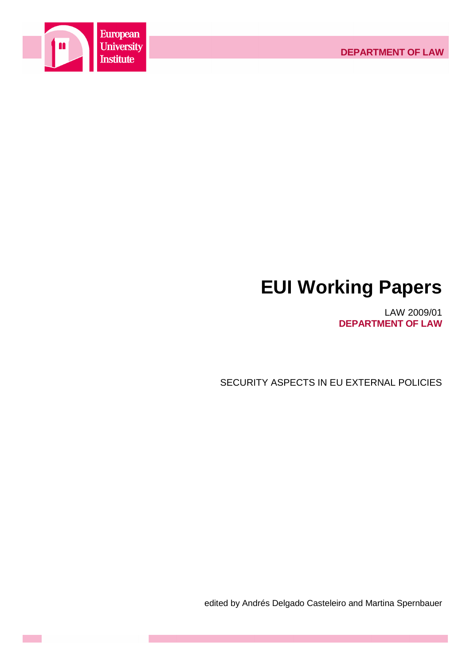



# **EUI Working Papers**

LAW 2009/01 **DEPARTMENT OF LAW**

SECURITY ASPECTS IN EU EXTERNAL POLICIES

edited by Andrés Delgado Casteleiro and Martina Spernbauer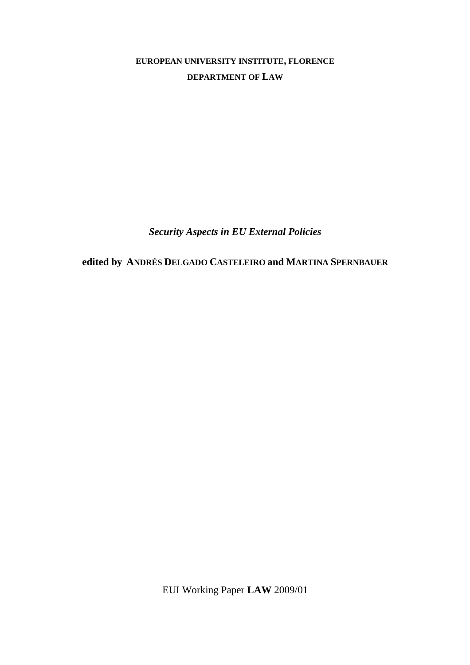**EUROPEAN UNIVERSITY INSTITUTE, FLORENCE DEPARTMENT OF LAW**

*Security Aspects in EU External Policies* 

**edited by ANDRÉS DELGADO CASTELEIRO and MARTINA SPERNBAUER**

EUI Working Paper **LAW** 2009/01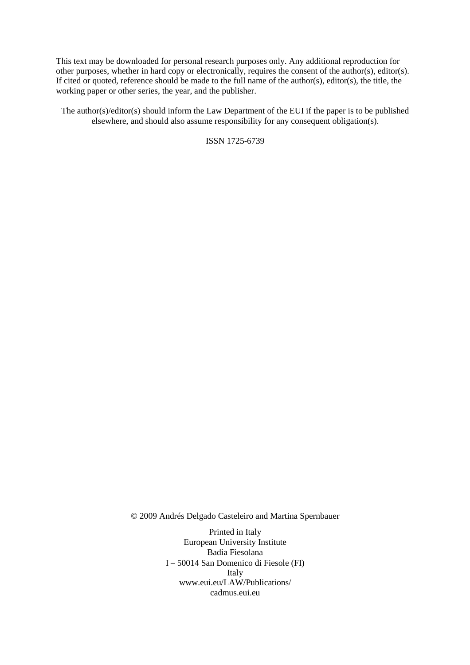This text may be downloaded for personal research purposes only. Any additional reproduction for other purposes, whether in hard copy or electronically, requires the consent of the author(s), editor(s). If cited or quoted, reference should be made to the full name of the author(s), editor(s), the title, the working paper or other series, the year, and the publisher.

The author(s)/editor(s) should inform the Law Department of the EUI if the paper is to be published elsewhere, and should also assume responsibility for any consequent obligation(s).

ISSN 1725-6739

© 2009 Andrés Delgado Casteleiro and Martina Spernbauer

Printed in Italy European University Institute Badia Fiesolana I – 50014 San Domenico di Fiesole (FI) Italy www.eui.eu/LAW/Publications/ cadmus.eui.eu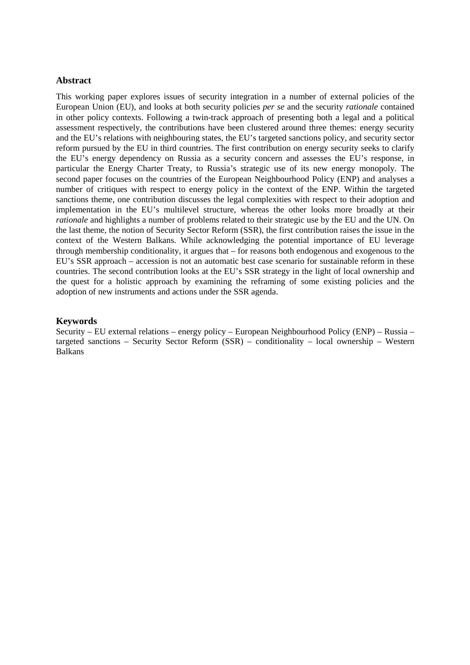### **Abstract**

This working paper explores issues of security integration in a number of external policies of the European Union (EU), and looks at both security policies *per se* and the security *rationale* contained in other policy contexts. Following a twin-track approach of presenting both a legal and a political assessment respectively, the contributions have been clustered around three themes: energy security and the EU's relations with neighbouring states, the EU's targeted sanctions policy, and security sector reform pursued by the EU in third countries. The first contribution on energy security seeks to clarify the EU's energy dependency on Russia as a security concern and assesses the EU's response, in particular the Energy Charter Treaty, to Russia's strategic use of its new energy monopoly. The second paper focuses on the countries of the European Neighbourhood Policy (ENP) and analyses a number of critiques with respect to energy policy in the context of the ENP. Within the targeted sanctions theme, one contribution discusses the legal complexities with respect to their adoption and implementation in the EU's multilevel structure, whereas the other looks more broadly at their *rationale* and highlights a number of problems related to their strategic use by the EU and the UN. On the last theme, the notion of Security Sector Reform (SSR), the first contribution raises the issue in the context of the Western Balkans. While acknowledging the potential importance of EU leverage through membership conditionality, it argues that – for reasons both endogenous and exogenous to the EU's SSR approach – accession is not an automatic best case scenario for sustainable reform in these countries. The second contribution looks at the EU's SSR strategy in the light of local ownership and the quest for a holistic approach by examining the reframing of some existing policies and the adoption of new instruments and actions under the SSR agenda.

#### **Keywords**

Security – EU external relations – energy policy – European Neighbourhood Policy (ENP) – Russia – targeted sanctions – Security Sector Reform (SSR) – conditionality – local ownership – Western Balkans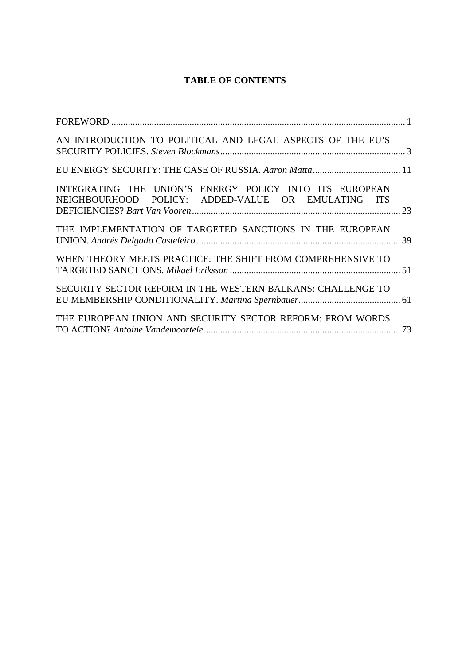# **TABLE OF CONTENTS**

| AN INTRODUCTION TO POLITICAL AND LEGAL ASPECTS OF THE EU'S                                                    |  |
|---------------------------------------------------------------------------------------------------------------|--|
|                                                                                                               |  |
| INTEGRATING THE UNION'S ENERGY POLICY INTO ITS EUROPEAN<br>NEIGHBOURHOOD POLICY: ADDED-VALUE OR EMULATING ITS |  |
| THE IMPLEMENTATION OF TARGETED SANCTIONS IN THE EUROPEAN                                                      |  |
| WHEN THEORY MEETS PRACTICE: THE SHIFT FROM COMPREHENSIVE TO                                                   |  |
| SECURITY SECTOR REFORM IN THE WESTERN BALKANS: CHALLENGE TO                                                   |  |
| THE EUROPEAN UNION AND SECURITY SECTOR REFORM: FROM WORDS                                                     |  |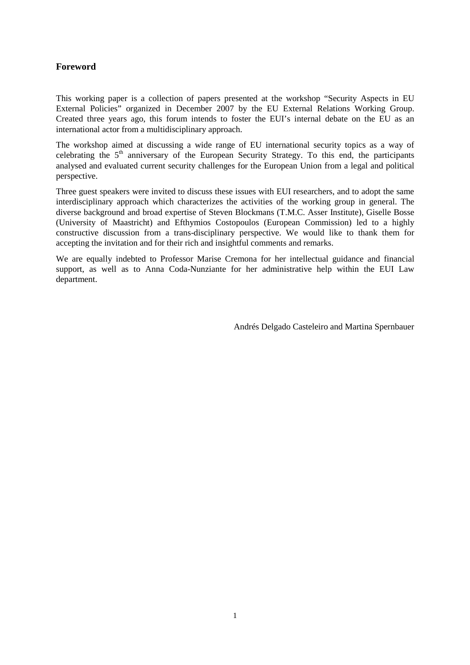# **Foreword**

This working paper is a collection of papers presented at the workshop "Security Aspects in EU External Policies" organized in December 2007 by the EU External Relations Working Group. Created three years ago, this forum intends to foster the EUI's internal debate on the EU as an international actor from a multidisciplinary approach.

The workshop aimed at discussing a wide range of EU international security topics as a way of celebrating the  $5<sup>th</sup>$  anniversary of the European Security Strategy. To this end, the participants analysed and evaluated current security challenges for the European Union from a legal and political perspective.

Three guest speakers were invited to discuss these issues with EUI researchers, and to adopt the same interdisciplinary approach which characterizes the activities of the working group in general. The diverse background and broad expertise of Steven Blockmans (T.M.C. Asser Institute), Giselle Bosse (University of Maastricht) and Efthymios Costopoulos (European Commission) led to a highly constructive discussion from a trans-disciplinary perspective. We would like to thank them for accepting the invitation and for their rich and insightful comments and remarks.

We are equally indebted to Professor Marise Cremona for her intellectual guidance and financial support, as well as to Anna Coda-Nunziante for her administrative help within the EUI Law department.

Andrés Delgado Casteleiro and Martina Spernbauer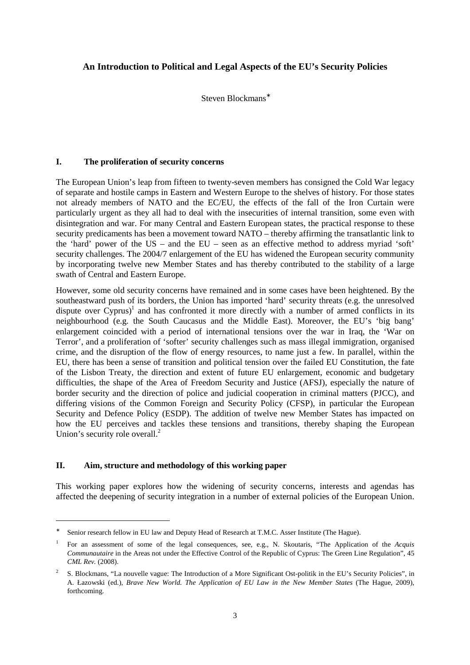# **An Introduction to Political and Legal Aspects of the EU's Security Policies**

Steven Blockmans<sup>\*</sup>

### **I. The proliferation of security concerns**

The European Union's leap from fifteen to twenty-seven members has consigned the Cold War legacy of separate and hostile camps in Eastern and Western Europe to the shelves of history. For those states not already members of NATO and the EC/EU, the effects of the fall of the Iron Curtain were particularly urgent as they all had to deal with the insecurities of internal transition, some even with disintegration and war. For many Central and Eastern European states, the practical response to these security predicaments has been a movement toward NATO – thereby affirming the transatlantic link to the 'hard' power of the US – and the EU – seen as an effective method to address myriad 'soft' security challenges. The 2004/7 enlargement of the EU has widened the European security community by incorporating twelve new Member States and has thereby contributed to the stability of a large swath of Central and Eastern Europe.

However, some old security concerns have remained and in some cases have been heightened. By the southeastward push of its borders, the Union has imported 'hard' security threats (e.g. the unresolved dispute over  $Cyprus$ <sup>1</sup> and has confronted it more directly with a number of armed conflicts in its neighbourhood (e.g. the South Caucasus and the Middle East). Moreover, the EU's 'big bang' enlargement coincided with a period of international tensions over the war in Iraq, the 'War on Terror', and a proliferation of 'softer' security challenges such as mass illegal immigration, organised crime, and the disruption of the flow of energy resources, to name just a few. In parallel, within the EU, there has been a sense of transition and political tension over the failed EU Constitution, the fate of the Lisbon Treaty, the direction and extent of future EU enlargement, economic and budgetary difficulties, the shape of the Area of Freedom Security and Justice (AFSJ), especially the nature of border security and the direction of police and judicial cooperation in criminal matters (PJCC), and differing visions of the Common Foreign and Security Policy (CFSP), in particular the European Security and Defence Policy (ESDP). The addition of twelve new Member States has impacted on how the EU perceives and tackles these tensions and transitions, thereby shaping the European Union's security role overall.<sup>2</sup>

#### **II. Aim, structure and methodology of this working paper**

 $\overline{a}$ 

This working paper explores how the widening of security concerns, interests and agendas has affected the deepening of security integration in a number of external policies of the European Union.

<sup>∗</sup> Senior research fellow in EU law and Deputy Head of Research at T.M.C. Asser Institute (The Hague).

<sup>1</sup> For an assessment of some of the legal consequences, see, e.g., N. Skoutaris, "The Application of the *Acquis Communautaire* in the Areas not under the Effective Control of the Republic of Cyprus: The Green Line Regulation", 45 *CML Rev.* (2008).

<sup>2</sup> S. Blockmans, "La nouvelle vague: The Introduction of a More Significant Ost-politik in the EU's Security Policies", in A. Łazowski (ed.), *Brave New World. The Application of EU Law in the New Member States* (The Hague, 2009), forthcoming.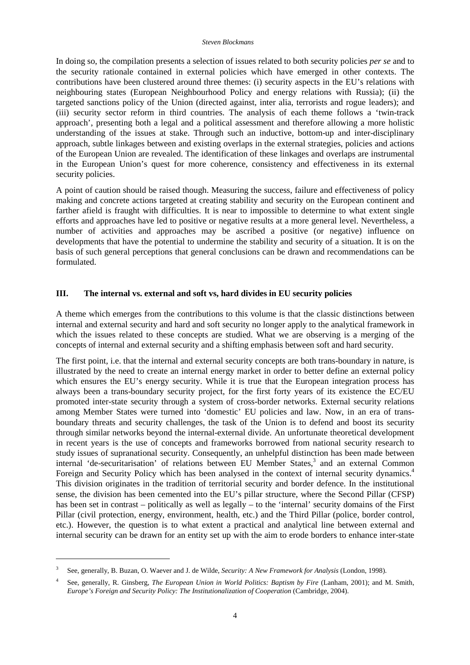In doing so, the compilation presents a selection of issues related to both security policies *per se* and to the security rationale contained in external policies which have emerged in other contexts. The contributions have been clustered around three themes: (i) security aspects in the EU's relations with neighbouring states (European Neighbourhood Policy and energy relations with Russia); (ii) the targeted sanctions policy of the Union (directed against, inter alia, terrorists and rogue leaders); and (iii) security sector reform in third countries. The analysis of each theme follows a 'twin-track approach', presenting both a legal and a political assessment and therefore allowing a more holistic understanding of the issues at stake. Through such an inductive, bottom-up and inter-disciplinary approach, subtle linkages between and existing overlaps in the external strategies, policies and actions of the European Union are revealed. The identification of these linkages and overlaps are instrumental in the European Union's quest for more coherence, consistency and effectiveness in its external security policies.

A point of caution should be raised though. Measuring the success, failure and effectiveness of policy making and concrete actions targeted at creating stability and security on the European continent and farther afield is fraught with difficulties. It is near to impossible to determine to what extent single efforts and approaches have led to positive or negative results at a more general level. Nevertheless, a number of activities and approaches may be ascribed a positive (or negative) influence on developments that have the potential to undermine the stability and security of a situation. It is on the basis of such general perceptions that general conclusions can be drawn and recommendations can be formulated.

#### **III. The internal vs. external and soft vs, hard divides in EU security policies**

A theme which emerges from the contributions to this volume is that the classic distinctions between internal and external security and hard and soft security no longer apply to the analytical framework in which the issues related to these concepts are studied. What we are observing is a merging of the concepts of internal and external security and a shifting emphasis between soft and hard security.

The first point, i.e. that the internal and external security concepts are both trans-boundary in nature, is illustrated by the need to create an internal energy market in order to better define an external policy which ensures the EU's energy security. While it is true that the European integration process has always been a trans-boundary security project, for the first forty years of its existence the EC/EU promoted inter-state security through a system of cross-border networks. External security relations among Member States were turned into 'domestic' EU policies and law. Now, in an era of transboundary threats and security challenges, the task of the Union is to defend and boost its security through similar networks beyond the internal-external divide. An unfortunate theoretical development in recent years is the use of concepts and frameworks borrowed from national security research to study issues of supranational security. Consequently, an unhelpful distinction has been made between internal 'de-securitarisation' of relations between EU Member States,<sup>3</sup> and an external Common Foreign and Security Policy which has been analysed in the context of internal security dynamics.<sup>4</sup> This division originates in the tradition of territorial security and border defence. In the institutional sense, the division has been cemented into the EU's pillar structure, where the Second Pillar (CFSP) has been set in contrast – politically as well as legally – to the 'internal' security domains of the First Pillar (civil protection, energy, environment, health, etc.) and the Third Pillar (police, border control, etc.). However, the question is to what extent a practical and analytical line between external and internal security can be drawn for an entity set up with the aim to erode borders to enhance inter-state

<sup>3</sup> See, generally, B. Buzan, O. Waever and J. de Wilde, *Security: A New Framework for Analysis* (London, 1998).

<sup>4</sup> See, generally, R. Ginsberg, *The European Union in World Politics: Baptism by Fire* (Lanham, 2001); and M. Smith, *Europe's Foreign and Security Policy: The Institutionalization of Cooperation* (Cambridge, 2004).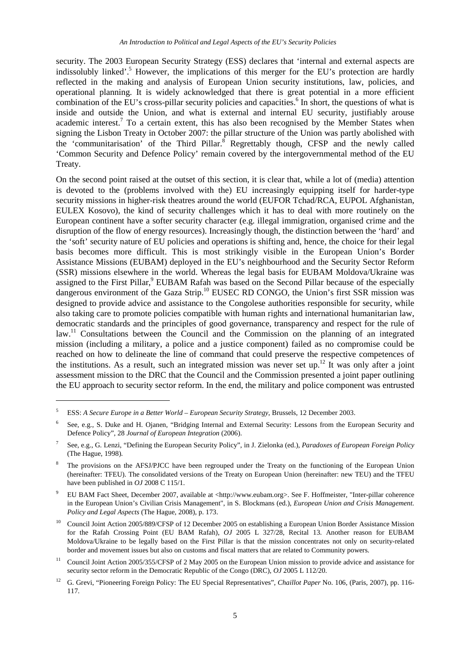security. The 2003 European Security Strategy (ESS) declares that 'internal and external aspects are indissolubly linked'.<sup>5</sup> However, the implications of this merger for the EU's protection are hardly reflected in the making and analysis of European Union security institutions, law, policies, and operational planning. It is widely acknowledged that there is great potential in a more efficient combination of the EU's cross-pillar security policies and capacities.<sup>6</sup> In short, the questions of what is inside and outside the Union, and what is external and internal EU security, justifiably arouse academic interest.<sup>7</sup> To a certain extent, this has also been recognised by the Member States when signing the Lisbon Treaty in October 2007: the pillar structure of the Union was partly abolished with the 'communitarisation' of the Third Pillar.<sup>8</sup> Regrettably though, CFSP and the newly called 'Common Security and Defence Policy' remain covered by the intergovernmental method of the EU Treaty.

On the second point raised at the outset of this section, it is clear that, while a lot of (media) attention is devoted to the (problems involved with the) EU increasingly equipping itself for harder-type security missions in higher-risk theatres around the world (EUFOR Tchad/RCA, EUPOL Afghanistan, EULEX Kosovo), the kind of security challenges which it has to deal with more routinely on the European continent have a softer security character (e.g. illegal immigration, organised crime and the disruption of the flow of energy resources). Increasingly though, the distinction between the 'hard' and the 'soft' security nature of EU policies and operations is shifting and, hence, the choice for their legal basis becomes more difficult. This is most strikingly visible in the European Union's Border Assistance Missions (EUBAM) deployed in the EU's neighbourhood and the Security Sector Reform (SSR) missions elsewhere in the world. Whereas the legal basis for EUBAM Moldova/Ukraine was assigned to the First Pillar,<sup>9</sup> EUBAM Rafah was based on the Second Pillar because of the especially dangerous environment of the Gaza Strip.<sup>10</sup> EUSEC RD CONGO, the Union's first SSR mission was designed to provide advice and assistance to the Congolese authorities responsible for security, while also taking care to promote policies compatible with human rights and international humanitarian law, democratic standards and the principles of good governance, transparency and respect for the rule of law.<sup>11</sup> Consultations between the Council and the Commission on the planning of an integrated mission (including a military, a police and a justice component) failed as no compromise could be reached on how to delineate the line of command that could preserve the respective competences of the institutions. As a result, such an integrated mission was never set up.<sup>12</sup> It was only after a joint assessment mission to the DRC that the Council and the Commission presented a joint paper outlining the EU approach to security sector reform. In the end, the military and police component was entrusted

l

<sup>5</sup> ESS: *A Secure Europe in a Better World – European Security Strategy*, Brussels, 12 December 2003.

<sup>6</sup> See, e.g., S. Duke and H. Ojanen, "Bridging Internal and External Security: Lessons from the European Security and Defence Policy", 28 *Journal of European Integration* (2006).

<sup>7</sup> See, e.g., G. Lenzi, "Defining the European Security Policy", in J. Zielonka (ed.), *Paradoxes of European Foreign Policy* (The Hague, 1998).

<sup>8</sup> The provisions on the AFSJ/PJCC have been regrouped under the Treaty on the functioning of the European Union (hereinafter: TFEU). The consolidated versions of the Treaty on European Union (hereinafter: new TEU) and the TFEU have been published in *OJ* 2008 C 115/1.

<sup>9</sup> EU BAM Fact Sheet, December 2007, available at <http://www.eubam.org>. See F. Hoffmeister, "Inter-pillar coherence in the European Union's Civilian Crisis Management", in S. Blockmans (ed.), *European Union and Crisis Management. Policy and Legal Aspects* (The Hague, 2008), p. 173.

<sup>&</sup>lt;sup>10</sup> Council Joint Action 2005/889/CFSP of 12 December 2005 on establishing a European Union Border Assistance Mission for the Rafah Crossing Point (EU BAM Rafah), *OJ* 2005 L 327/28, Recital 13. Another reason for EUBAM Moldova/Ukraine to be legally based on the First Pillar is that the mission concentrates not only on security-related border and movement issues but also on customs and fiscal matters that are related to Community powers.

<sup>&</sup>lt;sup>11</sup> Council Joint Action 2005/355/CFSP of 2 May 2005 on the European Union mission to provide advice and assistance for security sector reform in the Democratic Republic of the Congo (DRC), *OJ* 2005 L 112/20.

<sup>12</sup> G. Grevi, "Pioneering Foreign Policy: The EU Special Representatives", *Chaillot Paper* No. 106, (Paris, 2007), pp. 116- 117.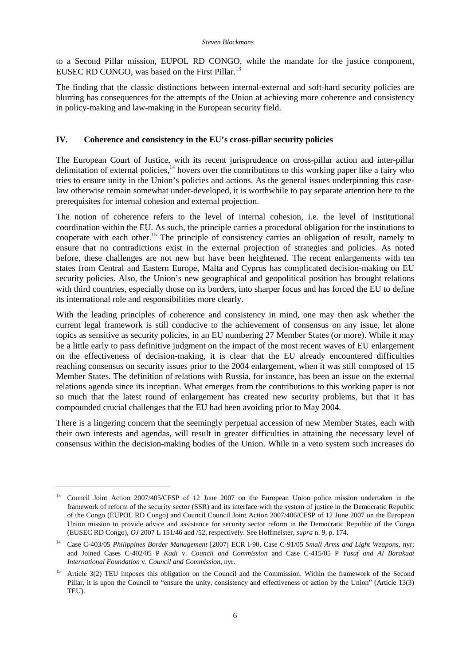to a Second Pillar mission, EUPOL RD CONGO, while the mandate for the justice component, EUSEC RD CONGO, was based on the First Pillar.<sup>13</sup>

The finding that the classic distinctions between internal-external and soft-hard security policies are blurring has consequences for the attempts of the Union at achieving more coherence and consistency in policy-making and law-making in the European security field.

## **IV. Coherence and consistency in the EU's cross-pillar security policies**

The European Court of Justice, with its recent jurisprudence on cross-pillar action and inter-pillar delimitation of external policies, $14$  hovers over the contributions to this working paper like a fairy who tries to ensure unity in the Union's policies and actions. As the general issues underpinning this caselaw otherwise remain somewhat under-developed, it is worthwhile to pay separate attention here to the prerequisites for internal cohesion and external projection.

The notion of coherence refers to the level of internal cohesion, i.e. the level of institutional coordination within the EU. As such, the principle carries a procedural obligation for the institutions to cooperate with each other.<sup>15</sup> The principle of consistency carries an obligation of result, namely to ensure that no contradictions exist in the external projection of strategies and policies. As noted before, these challenges are not new but have been heightened. The recent enlargements with ten states from Central and Eastern Europe, Malta and Cyprus has complicated decision-making on EU security policies. Also, the Union's new geographical and geopolitical position has brought relations with third countries, especially those on its borders, into sharper focus and has forced the EU to define its international role and responsibilities more clearly.

With the leading principles of coherence and consistency in mind, one may then ask whether the current legal framework is still conducive to the achievement of consensus on any issue, let alone topics as sensitive as security policies, in an EU numbering 27 Member States (or more). While it may be a little early to pass definitive judgment on the impact of the most recent waves of EU enlargement on the effectiveness of decision-making, it is clear that the EU already encountered difficulties reaching consensus on security issues prior to the 2004 enlargement, when it was still composed of 15 Member States. The definition of relations with Russia, for instance, has been an issue on the external relations agenda since its inception. What emerges from the contributions to this working paper is not so much that the latest round of enlargement has created new security problems, but that it has compounded crucial challenges that the EU had been avoiding prior to May 2004.

There is a lingering concern that the seemingly perpetual accession of new Member States, each with their own interests and agendas, will result in greater difficulties in attaining the necessary level of consensus within the decision-making bodies of the Union. While in a veto system such increases do

l

<sup>&</sup>lt;sup>13</sup> Council Joint Action 2007/405/CFSP of 12 June 2007 on the European Union police mission undertaken in the framework of reform of the security sector (SSR) and its interface with the system of justice in the Democratic Republic of the Congo (EUPOL RD Congo) and Council Council Joint Action 2007/406/CFSP of 12 June 2007 on the European Union mission to provide advice and assistance for security sector reform in the Democratic Republic of the Congo (EUSEC RD Congo), *OJ* 2007 L 151/46 and /52, respectively. See Hoffmeister, *supra* n. 9, p. 174.

<sup>14</sup> Case C-403/05 *Philippines Border Management* [2007] ECR I-90, Case C-91/05 *Small Arms and Light Weapons*, nyr; and Joined Cases C-402/05 P *Kadi* v. *Council and Commission* and Case C-415/05 P *Yusuf and Al Barakaat International Foundation* v. *Council and Commission*, nyr.

<sup>&</sup>lt;sup>15</sup> Article 3(2) TEU imposes this obligation on the Council and the Commission. Within the framework of the Second Pillar, it is upon the Council to "ensure the unity, consistency and effectiveness of action by the Union" (Article 13(3) TEU).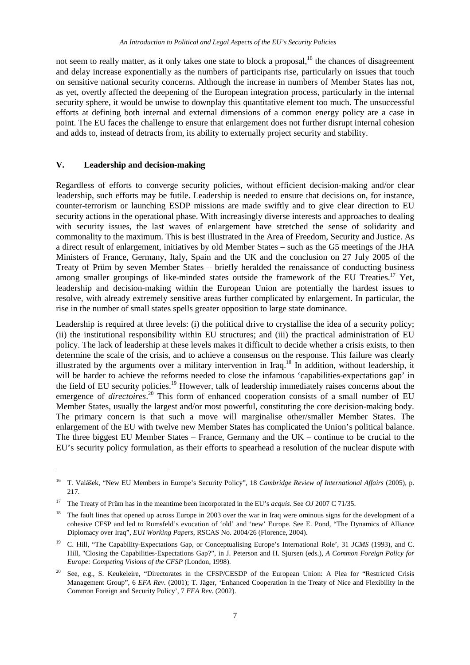not seem to really matter, as it only takes one state to block a proposal,<sup>16</sup> the chances of disagreement and delay increase exponentially as the numbers of participants rise, particularly on issues that touch on sensitive national security concerns. Although the increase in numbers of Member States has not, as yet, overtly affected the deepening of the European integration process, particularly in the internal security sphere, it would be unwise to downplay this quantitative element too much. The unsuccessful efforts at defining both internal and external dimensions of a common energy policy are a case in point. The EU faces the challenge to ensure that enlargement does not further disrupt internal cohesion and adds to, instead of detracts from, its ability to externally project security and stability.

#### **V. Leadership and decision-making**

 $\overline{a}$ 

Regardless of efforts to converge security policies, without efficient decision-making and/or clear leadership, such efforts may be futile. Leadership is needed to ensure that decisions on, for instance, counter-terrorism or launching ESDP missions are made swiftly and to give clear direction to EU security actions in the operational phase. With increasingly diverse interests and approaches to dealing with security issues, the last waves of enlargement have stretched the sense of solidarity and commonality to the maximum. This is best illustrated in the Area of Freedom, Security and Justice. As a direct result of enlargement, initiatives by old Member States – such as the G5 meetings of the JHA Ministers of France, Germany, Italy, Spain and the UK and the conclusion on 27 July 2005 of the Treaty of Prüm by seven Member States – briefly heralded the renaissance of conducting business among smaller groupings of like-minded states outside the framework of the EU Treaties.<sup>17</sup> Yet, leadership and decision-making within the European Union are potentially the hardest issues to resolve, with already extremely sensitive areas further complicated by enlargement. In particular, the rise in the number of small states spells greater opposition to large state dominance.

Leadership is required at three levels: (i) the political drive to crystallise the idea of a security policy; (ii) the institutional responsibility within EU structures; and (iii) the practical administration of EU policy. The lack of leadership at these levels makes it difficult to decide whether a crisis exists, to then determine the scale of the crisis, and to achieve a consensus on the response. This failure was clearly illustrated by the arguments over a military intervention in Iraq.<sup>18</sup> In addition, without leadership, it will be harder to achieve the reforms needed to close the infamous 'capabilities-expectations gap' in the field of EU security policies.<sup>19</sup> However, talk of leadership immediately raises concerns about the emergence of *directoires*. <sup>20</sup> This form of enhanced cooperation consists of a small number of EU Member States, usually the largest and/or most powerful, constituting the core decision-making body. The primary concern is that such a move will marginalise other/smaller Member States. The enlargement of the EU with twelve new Member States has complicated the Union's political balance. The three biggest EU Member States – France, Germany and the UK – continue to be crucial to the EU's security policy formulation, as their efforts to spearhead a resolution of the nuclear dispute with

<sup>16</sup> T. Valášek, "New EU Members in Europe's Security Policy", 18 *Cambridge Review of International Affairs* (2005), p. 217.

<sup>17</sup> The Treaty of Prüm has in the meantime been incorporated in the EU's *acquis*. See *OJ* 2007 C 71/35.

<sup>&</sup>lt;sup>18</sup> The fault lines that opened up across Europe in 2003 over the war in Iraq were ominous signs for the development of a cohesive CFSP and led to Rumsfeld's evocation of 'old' and 'new' Europe. See E. Pond, "The Dynamics of Alliance Diplomacy over Iraq", *EUI Working Papers*, RSCAS No. 2004/26 (Florence, 2004).

<sup>19</sup> C. Hill, "The Capability-Expectations Gap, or Conceptualising Europe's International Role', 31 *JCMS* (1993), and C. Hill, "Closing the Capabilities-Expectations Gap?", in J. Peterson and H. Sjursen (eds.), *A Common Foreign Policy for Europe: Competing Visions of the CFSP* (London, 1998).

<sup>20</sup> See, e.g., S. Keukeleire, "Directorates in the CFSP/CESDP of the European Union: A Plea for "Restricted Crisis Management Group", 6 *EFA Rev.* (2001); T. Jäger, 'Enhanced Cooperation in the Treaty of Nice and Flexibility in the Common Foreign and Security Policy', 7 *EFA Rev.* (2002).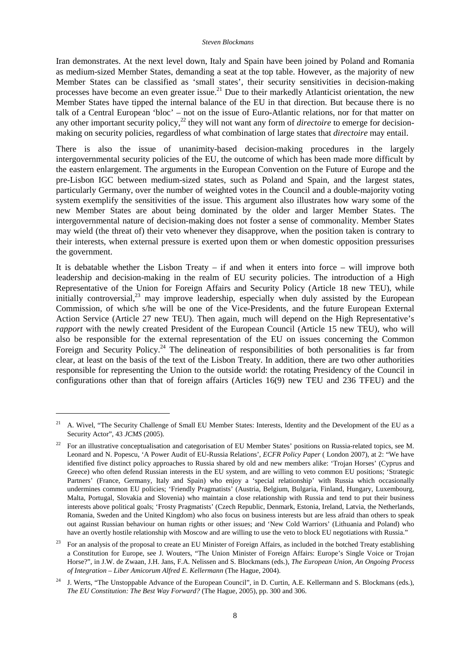Iran demonstrates. At the next level down, Italy and Spain have been joined by Poland and Romania as medium-sized Member States, demanding a seat at the top table. However, as the majority of new Member States can be classified as 'small states', their security sensitivities in decision-making processes have become an even greater issue.<sup>21</sup> Due to their markedly Atlanticist orientation, the new Member States have tipped the internal balance of the EU in that direction. But because there is no talk of a Central European 'bloc' – not on the issue of Euro-Atlantic relations, nor for that matter on any other important security policy,<sup>22</sup> they will not want any form of *directoire* to emerge for decisionmaking on security policies, regardless of what combination of large states that *directoire* may entail.

There is also the issue of unanimity-based decision-making procedures in the largely intergovernmental security policies of the EU, the outcome of which has been made more difficult by the eastern enlargement. The arguments in the European Convention on the Future of Europe and the pre-Lisbon IGC between medium-sized states, such as Poland and Spain, and the largest states, particularly Germany, over the number of weighted votes in the Council and a double-majority voting system exemplify the sensitivities of the issue. This argument also illustrates how wary some of the new Member States are about being dominated by the older and larger Member States. The intergovernmental nature of decision-making does not foster a sense of commonality. Member States may wield (the threat of) their veto whenever they disapprove, when the position taken is contrary to their interests, when external pressure is exerted upon them or when domestic opposition pressurises the government.

It is debatable whether the Lisbon Treaty – if and when it enters into force – will improve both leadership and decision-making in the realm of EU security policies. The introduction of a High Representative of the Union for Foreign Affairs and Security Policy (Article 18 new TEU), while initially controversial, $^{23}$  may improve leadership, especially when duly assisted by the European Commission, of which s/he will be one of the Vice-Presidents, and the future European External Action Service (Article 27 new TEU). Then again, much will depend on the High Representative's *rapport* with the newly created President of the European Council (Article 15 new TEU), who will also be responsible for the external representation of the EU on issues concerning the Common Foreign and Security Policy.<sup>24</sup> The delineation of responsibilities of both personalities is far from clear, at least on the basis of the text of the Lisbon Treaty. In addition, there are two other authorities responsible for representing the Union to the outside world: the rotating Presidency of the Council in configurations other than that of foreign affairs (Articles 16(9) new TEU and 236 TFEU) and the

<sup>&</sup>lt;sup>21</sup> A. Wivel, "The Security Challenge of Small EU Member States: Interests, Identity and the Development of the EU as a Security Actor", 43 *JCMS* (2005).

<sup>&</sup>lt;sup>22</sup> For an illustrative conceptualisation and categorisation of EU Member States' positions on Russia-related topics, see M. Leonard and N. Popescu, 'A Power Audit of EU-Russia Relations', *ECFR Policy Paper* ( London 2007), at 2: "We have identified five distinct policy approaches to Russia shared by old and new members alike: 'Trojan Horses' (Cyprus and Greece) who often defend Russian interests in the EU system, and are willing to veto common EU positions; 'Strategic Partners' (France, Germany, Italy and Spain) who enjoy a 'special relationship' with Russia which occasionally undermines common EU policies; 'Friendly Pragmatists' (Austria, Belgium, Bulgaria, Finland, Hungary, Luxembourg, Malta, Portugal, Slovakia and Slovenia) who maintain a close relationship with Russia and tend to put their business interests above political goals; 'Frosty Pragmatists' (Czech Republic, Denmark, Estonia, Ireland, Latvia, the Netherlands, Romania, Sweden and the United Kingdom) who also focus on business interests but are less afraid than others to speak out against Russian behaviour on human rights or other issues; and 'New Cold Warriors' (Lithuania and Poland) who have an overtly hostile relationship with Moscow and are willing to use the veto to block EU negotiations with Russia."

<sup>&</sup>lt;sup>23</sup> For an analysis of the proposal to create an EU Minister of Foreign Affairs, as included in the botched Treaty establishing a Constitution for Europe, see J. Wouters, "The Union Minister of Foreign Affairs: Europe's Single Voice or Trojan Horse?", in J.W. de Zwaan, J.H. Jans, F.A. Nelissen and S. Blockmans (eds.), *The European Union, An Ongoing Process of Integration – Liber Amicorum Alfred E. Kellermann* (The Hague, 2004).

<sup>24</sup> J. Werts, "The Unstoppable Advance of the European Council", in D. Curtin, A.E. Kellermann and S. Blockmans (eds.), *The EU Constitution: The Best Way Forward?* (The Hague, 2005), pp. 300 and 306.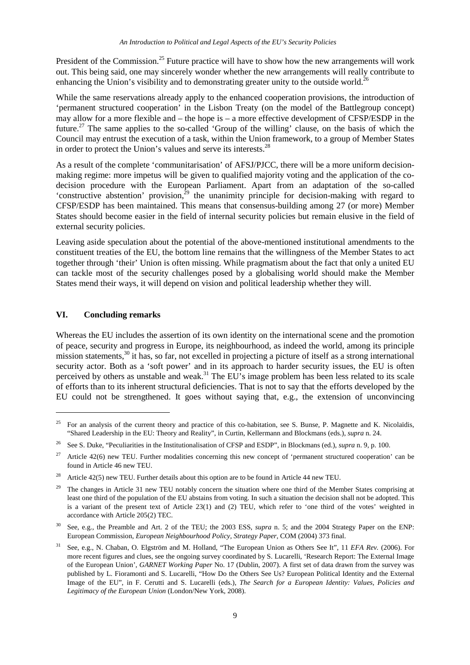President of the Commission.<sup>25</sup> Future practice will have to show how the new arrangements will work out. This being said, one may sincerely wonder whether the new arrangements will really contribute to enhancing the Union's visibility and to demonstrating greater unity to the outside world.<sup>26</sup>

While the same reservations already apply to the enhanced cooperation provisions, the introduction of 'permanent structured cooperation' in the Lisbon Treaty (on the model of the Battlegroup concept) may allow for a more flexible and – the hope is – a more effective development of CFSP/ESDP in the future.<sup>27</sup> The same applies to the so-called 'Group of the willing' clause, on the basis of which the Council may entrust the execution of a task, within the Union framework, to a group of Member States in order to protect the Union's values and serve its interests. $^{28}$ 

As a result of the complete 'communitarisation' of AFSJ/PJCC, there will be a more uniform decisionmaking regime: more impetus will be given to qualified majority voting and the application of the codecision procedure with the European Parliament. Apart from an adaptation of the so-called 'constructive abstention' provision,<sup>29</sup> the unanimity principle for decision-making with regard to CFSP/ESDP has been maintained. This means that consensus-building among 27 (or more) Member States should become easier in the field of internal security policies but remain elusive in the field of external security policies.

Leaving aside speculation about the potential of the above-mentioned institutional amendments to the constituent treaties of the EU, the bottom line remains that the willingness of the Member States to act together through 'their' Union is often missing. While pragmatism about the fact that only a united EU can tackle most of the security challenges posed by a globalising world should make the Member States mend their ways, it will depend on vision and political leadership whether they will.

#### **VI. Concluding remarks**

l

Whereas the EU includes the assertion of its own identity on the international scene and the promotion of peace, security and progress in Europe, its neighbourhood, as indeed the world, among its principle mission statements,<sup>30</sup> it has, so far, not excelled in projecting a picture of itself as a strong international security actor. Both as a 'soft power' and in its approach to harder security issues, the EU is often perceived by others as unstable and weak.<sup>31</sup> The EU's image problem has been less related to its scale of efforts than to its inherent structural deficiencies. That is not to say that the efforts developed by the EU could not be strengthened. It goes without saying that, e.g., the extension of unconvincing

<sup>&</sup>lt;sup>25</sup> For an analysis of the current theory and practice of this co-habitation, see S. Bunse, P. Magnette and K. Nicolaïdis, "Shared Leadership in the EU: Theory and Reality", in Curtin, Kellermann and Blockmans (eds.), *supra* n. 24.

<sup>26</sup> See S. Duke, "Peculiarities in the Institutionalisation of CFSP and ESDP", in Blockmans (ed.), *supra* n. 9, p. 100.

<sup>&</sup>lt;sup>27</sup> Article 42(6) new TEU. Further modalities concerning this new concept of 'permanent structured cooperation' can be found in Article 46 new TEU.

<sup>&</sup>lt;sup>28</sup> Article 42(5) new TEU. Further details about this option are to be found in Article 44 new TEU.

<sup>&</sup>lt;sup>29</sup> The changes in Article 31 new TEU notably concern the situation where one third of the Member States comprising at least one third of the population of the EU abstains from voting. In such a situation the decision shall not be adopted. This is a variant of the present text of Article 23(1) and (2) TEU, which refer to 'one third of the votes' weighted in accordance with Article 205(2) TEC.

See, e.g., the Preamble and Art. 2 of the TEU; the 2003 ESS, *supra* n. 5; and the 2004 Strategy Paper on the ENP: European Commission, *European Neighbourhood Policy, Strategy Paper*, COM (2004) 373 final.

<sup>31</sup> See, e.g., N. Chaban, O. Elgström and M. Holland, "The European Union as Others See It", 11 *EFA Rev.* (2006). For more recent figures and clues, see the ongoing survey coordinated by S. Lucarelli, 'Research Report: The External Image of the European Union', *GARNET Working Paper* No. 17 (Dublin, 2007). A first set of data drawn from the survey was published by L. Fioramonti and S. Lucarelli, "How Do the Others See Us? European Political Identity and the External Image of the EU", in F. Cerutti and S. Lucarelli (eds.), *The Search for a European Identity: Values, Policies and Legitimacy of the European Union* (London/New York, 2008).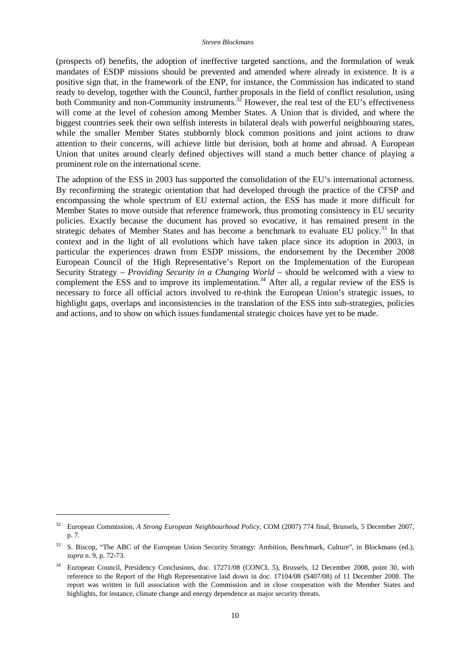(prospects of) benefits, the adoption of ineffective targeted sanctions, and the formulation of weak mandates of ESDP missions should be prevented and amended where already in existence. It is a positive sign that, in the framework of the ENP, for instance, the Commission has indicated to stand ready to develop, together with the Council, further proposals in the field of conflict resolution, using both Community and non-Community instruments.<sup>32</sup> However, the real test of the EU's effectiveness will come at the level of cohesion among Member States. A Union that is divided, and where the biggest countries seek their own selfish interests in bilateral deals with powerful neighbouring states, while the smaller Member States stubbornly block common positions and joint actions to draw attention to their concerns, will achieve little but derision, both at home and abroad. A European Union that unites around clearly defined objectives will stand a much better chance of playing a prominent role on the international scene.

The adoption of the ESS in 2003 has supported the consolidation of the EU's international actorness. By reconfirming the strategic orientation that had developed through the practice of the CFSP and encompassing the whole spectrum of EU external action, the ESS has made it more difficult for Member States to move outside that reference framework, thus promoting consistency in EU security policies. Exactly because the document has proved so evocative, it has remained present in the strategic debates of Member States and has become a benchmark to evaluate EU policy.<sup>33</sup> In that context and in the light of all evolutions which have taken place since its adoption in 2003, in particular the experiences drawn from ESDP missions, the endorsement by the December 2008 European Council of the High Representative's Report on the Implementation of the European Security Strategy – *Providing Security in a Changing World* – should be welcomed with a view to complement the ESS and to improve its implementation.<sup>34</sup> After all, a regular review of the ESS is necessary to force all official actors involved to re-think the European Union's strategic issues, to highlight gaps, overlaps and inconsistencies in the translation of the ESS into sub-strategies, policies and actions, and to show on which issues fundamental strategic choices have yet to be made.

<sup>32</sup> European Commission, *A Strong European Neighbourhood Policy*, COM (2007) 774 final, Brussels, 5 December 2007, p. 7.

<sup>&</sup>lt;sup>33</sup> S. Biscop, "The ABC of the European Union Security Strategy: Ambition, Benchmark, Culture", in Blockmans (ed.), *supra* n. 9, p. 72-73.

<sup>34</sup> European Council, Presidency Conclusions, doc. 17271/08 (CONCL 5), Brussels, 12 December 2008, point 30, with reference to the Report of the High Representative laid down in doc. 17104/08 (S407/08) of 11 December 2008. The report was written in full association with the Commission and in close cooperation with the Member States and highlights, for instance, climate change and energy dependence as major security threats.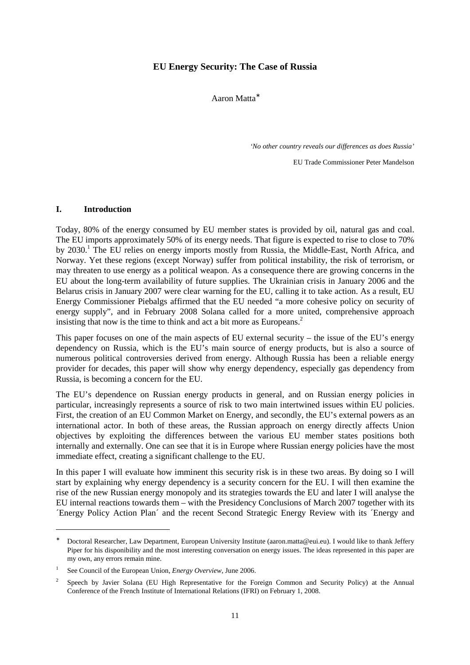# **EU Energy Security: The Case of Russia**

Aaron Matta<sup>∗</sup>

*'No other country reveals our differences as does Russia'*

EU Trade Commissioner Peter Mandelson

#### **I. Introduction**

 $\overline{a}$ 

Today, 80% of the energy consumed by EU member states is provided by oil, natural gas and coal. The EU imports approximately 50% of its energy needs. That figure is expected to rise to close to 70% by 2030.<sup>1</sup> The EU relies on energy imports mostly from Russia, the Middle-East, North Africa, and Norway. Yet these regions (except Norway) suffer from political instability, the risk of terrorism, or may threaten to use energy as a political weapon. As a consequence there are growing concerns in the EU about the long-term availability of future supplies. The Ukrainian crisis in January 2006 and the Belarus crisis in January 2007 were clear warning for the EU, calling it to take action. As a result, EU Energy Commissioner Piebalgs affirmed that the EU needed "a more cohesive policy on security of energy supply", and in February 2008 Solana called for a more united, comprehensive approach insisting that now is the time to think and act a bit more as Europeans. $2$ 

This paper focuses on one of the main aspects of EU external security – the issue of the EU's energy dependency on Russia, which is the EU's main source of energy products, but is also a source of numerous political controversies derived from energy. Although Russia has been a reliable energy provider for decades, this paper will show why energy dependency, especially gas dependency from Russia, is becoming a concern for the EU.

The EU's dependence on Russian energy products in general, and on Russian energy policies in particular, increasingly represents a source of risk to two main intertwined issues within EU policies. First, the creation of an EU Common Market on Energy, and secondly, the EU's external powers as an international actor. In both of these areas, the Russian approach on energy directly affects Union objectives by exploiting the differences between the various EU member states positions both internally and externally. One can see that it is in Europe where Russian energy policies have the most immediate effect, creating a significant challenge to the EU.

In this paper I will evaluate how imminent this security risk is in these two areas. By doing so I will start by explaining why energy dependency is a security concern for the EU. I will then examine the rise of the new Russian energy monopoly and its strategies towards the EU and later I will analyse the EU internal reactions towards them – with the Presidency Conclusions of March 2007 together with its ´Energy Policy Action Plan´ and the recent Second Strategic Energy Review with its ´Energy and

<sup>∗</sup> Doctoral Researcher, Law Department, European University Institute (aaron.matta@eui.eu). I would like to thank Jeffery Piper for his disponibility and the most interesting conversation on energy issues. The ideas represented in this paper are my own, any errors remain mine.

<sup>1</sup> See Council of the European Union, *Energy Overview*, June 2006.

<sup>2</sup> Speech by Javier Solana (EU High Representative for the Foreign Common and Security Policy) at the Annual Conference of the French Institute of International Relations (IFRI) on February 1, 2008.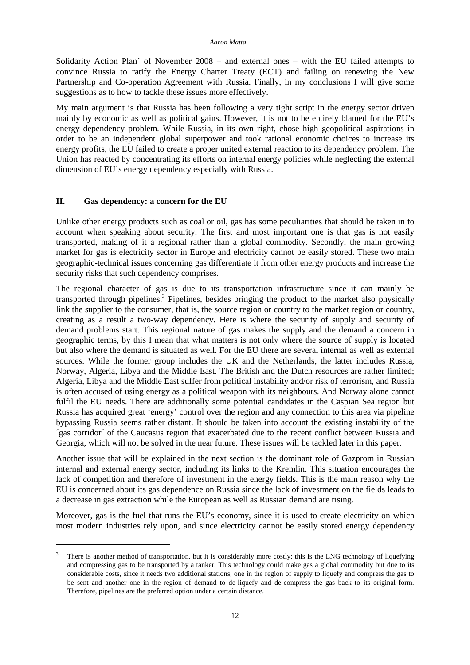Solidarity Action Plan´ of November 2008 – and external ones – with the EU failed attempts to convince Russia to ratify the Energy Charter Treaty (ECT) and failing on renewing the New Partnership and Co-operation Agreement with Russia. Finally, in my conclusions I will give some suggestions as to how to tackle these issues more effectively.

My main argument is that Russia has been following a very tight script in the energy sector driven mainly by economic as well as political gains. However, it is not to be entirely blamed for the EU's energy dependency problem. While Russia, in its own right, chose high geopolitical aspirations in order to be an independent global superpower and took rational economic choices to increase its energy profits, the EU failed to create a proper united external reaction to its dependency problem. The Union has reacted by concentrating its efforts on internal energy policies while neglecting the external dimension of EU's energy dependency especially with Russia.

### **II. Gas dependency: a concern for the EU**

 $\overline{a}$ 

Unlike other energy products such as coal or oil, gas has some peculiarities that should be taken in to account when speaking about security. The first and most important one is that gas is not easily transported, making of it a regional rather than a global commodity. Secondly, the main growing market for gas is electricity sector in Europe and electricity cannot be easily stored. These two main geographic-technical issues concerning gas differentiate it from other energy products and increase the security risks that such dependency comprises.

The regional character of gas is due to its transportation infrastructure since it can mainly be transported through pipelines.<sup>3</sup> Pipelines, besides bringing the product to the market also physically link the supplier to the consumer, that is, the source region or country to the market region or country, creating as a result a two-way dependency. Here is where the security of supply and security of demand problems start. This regional nature of gas makes the supply and the demand a concern in geographic terms, by this I mean that what matters is not only where the source of supply is located but also where the demand is situated as well. For the EU there are several internal as well as external sources. While the former group includes the UK and the Netherlands, the latter includes Russia, Norway, Algeria, Libya and the Middle East. The British and the Dutch resources are rather limited; Algeria, Libya and the Middle East suffer from political instability and/or risk of terrorism, and Russia is often accused of using energy as a political weapon with its neighbours. And Norway alone cannot fulfil the EU needs. There are additionally some potential candidates in the Caspian Sea region but Russia has acquired great 'energy' control over the region and any connection to this area via pipeline bypassing Russia seems rather distant. It should be taken into account the existing instability of the ´gas corridor´ of the Caucasus region that exacerbated due to the recent conflict between Russia and Georgia, which will not be solved in the near future. These issues will be tackled later in this paper.

Another issue that will be explained in the next section is the dominant role of Gazprom in Russian internal and external energy sector, including its links to the Kremlin. This situation encourages the lack of competition and therefore of investment in the energy fields. This is the main reason why the EU is concerned about its gas dependence on Russia since the lack of investment on the fields leads to a decrease in gas extraction while the European as well as Russian demand are rising.

Moreover, gas is the fuel that runs the EU's economy, since it is used to create electricity on which most modern industries rely upon, and since electricity cannot be easily stored energy dependency

<sup>3</sup> There is another method of transportation, but it is considerably more costly: this is the LNG technology of liquefying and compressing gas to be transported by a tanker. This technology could make gas a global commodity but due to its considerable costs, since it needs two additional stations, one in the region of supply to liquefy and compress the gas to be sent and another one in the region of demand to de-liquefy and de-compress the gas back to its original form. Therefore, pipelines are the preferred option under a certain distance.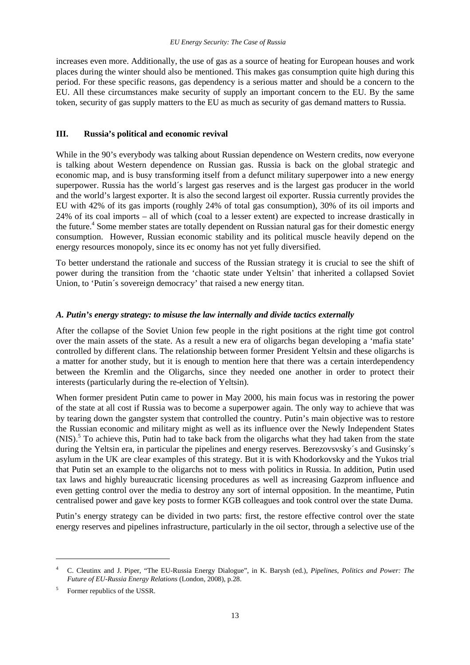increases even more. Additionally, the use of gas as a source of heating for European houses and work places during the winter should also be mentioned. This makes gas consumption quite high during this period. For these specific reasons, gas dependency is a serious matter and should be a concern to the EU. All these circumstances make security of supply an important concern to the EU. By the same token, security of gas supply matters to the EU as much as security of gas demand matters to Russia.

#### **III. Russia's political and economic revival**

While in the 90's everybody was talking about Russian dependence on Western credits, now everyone is talking about Western dependence on Russian gas. Russia is back on the global strategic and economic map, and is busy transforming itself from a defunct military superpower into a new energy superpower. Russia has the world´s largest gas reserves and is the largest gas producer in the world and the world's largest exporter. It is also the second largest oil exporter. Russia currently provides the EU with 42% of its gas imports (roughly 24% of total gas consumption), 30% of its oil imports and 24% of its coal imports – all of which (coal to a lesser extent) are expected to increase drastically in the future.<sup>4</sup> Some member states are totally dependent on Russian natural gas for their domestic energy consumption. However, Russian economic stability and its political muscle heavily depend on the energy resources monopoly, since its ec onomy has not yet fully diversified.

To better understand the rationale and success of the Russian strategy it is crucial to see the shift of power during the transition from the 'chaotic state under Yeltsin' that inherited a collapsed Soviet Union, to 'Putin´s sovereign democracy' that raised a new energy titan.

### *A. Putin's energy strategy: to misuse the law internally and divide tactics externally*

After the collapse of the Soviet Union few people in the right positions at the right time got control over the main assets of the state. As a result a new era of oligarchs began developing a 'mafia state' controlled by different clans. The relationship between former President Yeltsin and these oligarchs is a matter for another study, but it is enough to mention here that there was a certain interdependency between the Kremlin and the Oligarchs, since they needed one another in order to protect their interests (particularly during the re-election of Yeltsin).

When former president Putin came to power in May 2000, his main focus was in restoring the power of the state at all cost if Russia was to become a superpower again. The only way to achieve that was by tearing down the gangster system that controlled the country. Putin's main objective was to restore the Russian economic and military might as well as its influence over the Newly Independent States (NIS).<sup>5</sup> To achieve this, Putin had to take back from the oligarchs what they had taken from the state during the Yeltsin era, in particular the pipelines and energy reserves. Berezovsvsky´s and Gusinsky´s asylum in the UK are clear examples of this strategy. But it is with Khodorkovsky and the Yukos trial that Putin set an example to the oligarchs not to mess with politics in Russia. In addition, Putin used tax laws and highly bureaucratic licensing procedures as well as increasing Gazprom influence and even getting control over the media to destroy any sort of internal opposition. In the meantime, Putin centralised power and gave key posts to former KGB colleagues and took control over the state Duma.

Putin's energy strategy can be divided in two parts: first, the restore effective control over the state energy reserves and pipelines infrastructure, particularly in the oil sector, through a selective use of the

<sup>4</sup> C. Cleutinx and J. Piper, "The EU-Russia Energy Dialogue", in K. Barysh (ed.), *Pipelines, Politics and Power: The Future of EU-Russia Energy Relations* (London, 2008), p.28.

<sup>5</sup> Former republics of the USSR.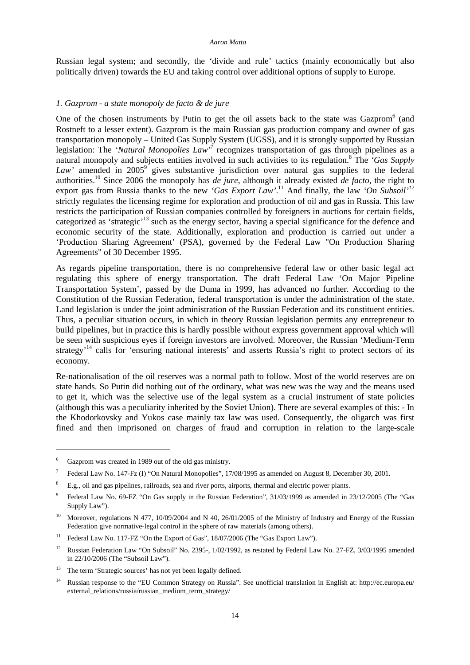#### *Aaron Matta*

Russian legal system; and secondly, the 'divide and rule' tactics (mainly economically but also politically driven) towards the EU and taking control over additional options of supply to Europe.

### *1. Gazprom - a state monopoly de facto & de jure*

One of the chosen instruments by Putin to get the oil assets back to the state was Gazprom<sup>6</sup> (and Rostneft to a lesser extent). Gazprom is the main Russian gas production company and owner of gas transportation monopoly – United Gas Supply System (UGSS), and it is strongly supported by Russian legislation: The *'Natural Monopolies Law<sup>,7</sup>* recognizes transportation of gas through pipelines as a natural monopoly and subjects entities involved in such activities to its regulation.<sup>8</sup> The *'Gas Supply*  Law' amended in 2005<sup>9</sup> gives substantive jurisdiction over natural gas supplies to the federal authorities.<sup>10</sup> Since 2006 the monopoly has *de jure*, although it already existed *de facto*, the right to export gas from Russia thanks to the new *'Gas Export Law'*. <sup>11</sup> And finally, the law *'On Subsoil'<sup>12</sup>* strictly regulates the licensing regime for exploration and production of oil and gas in Russia. This law restricts the participation of Russian companies controlled by foreigners in auctions for certain fields, categorized as 'strategic'<sup>13</sup> such as the energy sector, having a special significance for the defence and economic security of the state. Additionally, exploration and production is carried out under a 'Production Sharing Agreement' (PSA), governed by the Federal Law "On Production Sharing Agreements" of 30 December 1995.

As regards pipeline transportation, there is no comprehensive federal law or other basic legal act regulating this sphere of energy transportation. The draft Federal Law 'On Major Pipeline Transportation System', passed by the Duma in 1999, has advanced no further. According to the Constitution of the Russian Federation, federal transportation is under the administration of the state. Land legislation is under the joint administration of the Russian Federation and its constituent entities. Thus, a peculiar situation occurs, in which in theory Russian legislation permits any entrepreneur to build pipelines, but in practice this is hardly possible without express government approval which will be seen with suspicious eyes if foreign investors are involved. Moreover, the Russian 'Medium-Term strategy<sup>14</sup> calls for 'ensuring national interests' and asserts Russia's right to protect sectors of its economy.

Re-nationalisation of the oil reserves was a normal path to follow. Most of the world reserves are on state hands. So Putin did nothing out of the ordinary, what was new was the way and the means used to get it, which was the selective use of the legal system as a crucial instrument of state policies (although this was a peculiarity inherited by the Soviet Union). There are several examples of this: - In the Khodorkovsky and Yukos case mainly tax law was used. Consequently, the oligarch was first fined and then imprisoned on charges of fraud and corruption in relation to the large-scale

<sup>6</sup> Gazprom was created in 1989 out of the old gas ministry.

<sup>7</sup> Federal Law No. 147-Fz (I) "On Natural Monopolies", 17/08/1995 as amended on August 8, December 30, 2001.

<sup>8</sup> E.g., oil and gas pipelines, railroads, sea and river ports, airports, thermal and electric power plants.

<sup>9</sup> Federal Law No. 69-FZ "On Gas supply in the Russian Federation", 31/03/1999 as amended in 23/12/2005 (The "Gas Supply Law").

<sup>&</sup>lt;sup>10</sup> Moreover, regulations N 477, 10/09/2004 and N 40, 26/01/2005 of the Ministry of Industry and Energy of the Russian Federation give normative-legal control in the sphere of raw materials (among others).

<sup>&</sup>lt;sup>11</sup> Federal Law No. 117-FZ "On the Export of Gas", 18/07/2006 (The "Gas Export Law").

<sup>&</sup>lt;sup>12</sup> Russian Federation Law "On Subsoil" No. 2395-, 1/02/1992, as restated by Federal Law No. 27-FZ, 3/03/1995 amended in 22/10/2006 (The "Subsoil Law").

<sup>&</sup>lt;sup>13</sup> The term 'Strategic sources' has not yet been legally defined.

<sup>14</sup> Russian response to the "EU Common Strategy on Russia". See unofficial translation in English at: http://ec.europa.eu/ external\_relations/russia/russian\_medium\_term\_strategy/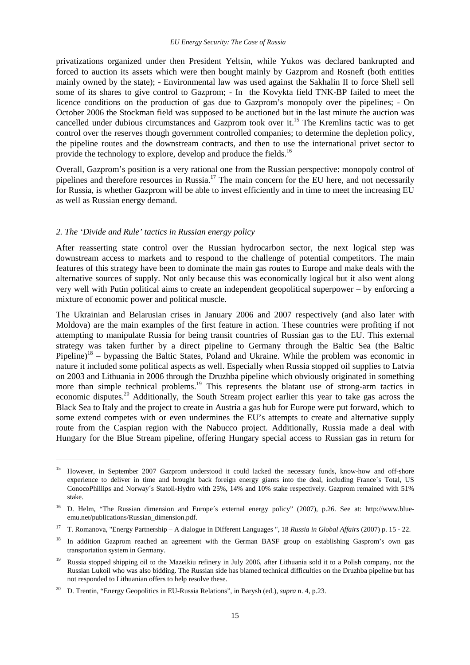privatizations organized under then President Yeltsin, while Yukos was declared bankrupted and forced to auction its assets which were then bought mainly by Gazprom and Rosneft (both entities mainly owned by the state); - Environmental law was used against the Sakhalin II to force Shell sell some of its shares to give control to Gazprom; - In the Kovykta field TNK-BP failed to meet the licence conditions on the production of gas due to Gazprom's monopoly over the pipelines; - On October 2006 the Stockman field was supposed to be auctioned but in the last minute the auction was cancelled under dubious circumstances and Gazprom took over it.<sup>15</sup> The Kremlins tactic was to get control over the reserves though government controlled companies; to determine the depletion policy, the pipeline routes and the downstream contracts, and then to use the international privet sector to provide the technology to explore, develop and produce the fields.<sup>16</sup>

Overall, Gazprom's position is a very rational one from the Russian perspective: monopoly control of pipelines and therefore resources in Russia.<sup>17</sup> The main concern for the EU here, and not necessarily for Russia, is whether Gazprom will be able to invest efficiently and in time to meet the increasing EU as well as Russian energy demand.

#### *2. The 'Divide and Rule' tactics in Russian energy policy*

 $\overline{a}$ 

After reasserting state control over the Russian hydrocarbon sector, the next logical step was downstream access to markets and to respond to the challenge of potential competitors. The main features of this strategy have been to dominate the main gas routes to Europe and make deals with the alternative sources of supply. Not only because this was economically logical but it also went along very well with Putin political aims to create an independent geopolitical superpower – by enforcing a mixture of economic power and political muscle.

The Ukrainian and Belarusian crises in January 2006 and 2007 respectively (and also later with Moldova) are the main examples of the first feature in action. These countries were profiting if not attempting to manipulate Russia for being transit countries of Russian gas to the EU. This external strategy was taken further by a direct pipeline to Germany through the Baltic Sea (the Baltic Pipeline)<sup>18</sup> – bypassing the Baltic States, Poland and Ukraine. While the problem was economic in nature it included some political aspects as well. Especially when Russia stopped oil supplies to Latvia on 2003 and Lithuania in 2006 through the Druzhba pipeline which obviously originated in something more than simple technical problems.<sup>19</sup> This represents the blatant use of strong-arm tactics in economic disputes.<sup>20</sup> Additionally, the South Stream project earlier this year to take gas across the Black Sea to Italy and the project to create in Austria a gas hub for Europe were put forward, which to some extend competes with or even undermines the EU's attempts to create and alternative supply route from the Caspian region with the Nabucco project. Additionally, Russia made a deal with Hungary for the Blue Stream pipeline, offering Hungary special access to Russian gas in return for

<sup>&</sup>lt;sup>15</sup> However, in September 2007 Gazprom understood it could lacked the necessary funds, know-how and off-shore experience to deliver in time and brought back foreign energy giants into the deal, including France´s Total, US ConocoPhillips and Norway´s Statoil-Hydro with 25%, 14% and 10% stake respectively. Gazprom remained with 51% stake.

<sup>&</sup>lt;sup>16</sup> D. Helm, "The Russian dimension and Europe's external energy policy" (2007), p.26. See at: http://www.blueemu.net/publications/Russian\_dimension.pdf.

<sup>17</sup> T. Romanova, "Energy Partnership – A dialogue in Different Languages ", 18 *Russia in Global Affairs* (2007) p. 15 - 22.

<sup>&</sup>lt;sup>18</sup> In addition Gazprom reached an agreement with the German BASF group on establishing Gasprom's own gas transportation system in Germany.

<sup>&</sup>lt;sup>19</sup> Russia stopped shipping oil to the Mazeikiu refinery in July 2006, after Lithuania sold it to a Polish company, not the Russian Lukoil who was also bidding. The Russian side has blamed technical difficulties on the Druzhba pipeline but has not responded to Lithuanian offers to help resolve these.

<sup>20</sup> D. Trentin, "Energy Geopolitics in EU-Russia Relations", in Barysh (ed.), *supra* n. 4, p.23.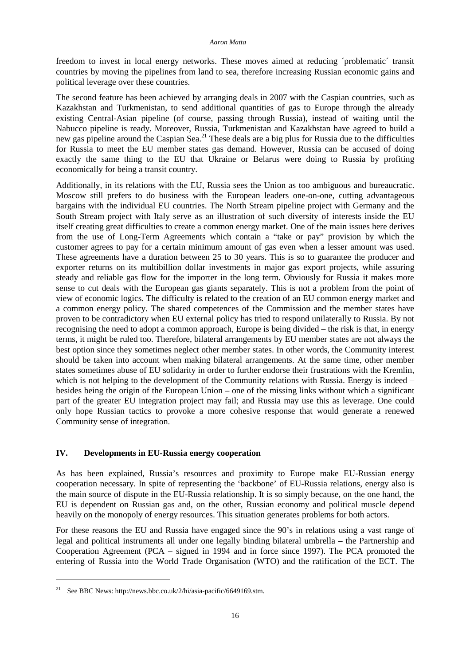freedom to invest in local energy networks. These moves aimed at reducing ´problematic´ transit countries by moving the pipelines from land to sea, therefore increasing Russian economic gains and political leverage over these countries.

The second feature has been achieved by arranging deals in 2007 with the Caspian countries, such as Kazakhstan and Turkmenistan, to send additional quantities of gas to Europe through the already existing Central-Asian pipeline (of course, passing through Russia), instead of waiting until the Nabucco pipeline is ready. Moreover, Russia, Turkmenistan and Kazakhstan have agreed to build a new gas pipeline around the Caspian Sea.<sup>21</sup> These deals are a big plus for Russia due to the difficulties for Russia to meet the EU member states gas demand. However, Russia can be accused of doing exactly the same thing to the EU that Ukraine or Belarus were doing to Russia by profiting economically for being a transit country.

Additionally, in its relations with the EU, Russia sees the Union as too ambiguous and bureaucratic. Moscow still prefers to do business with the European leaders one-on-one, cutting advantageous bargains with the individual EU countries. The North Stream pipeline project with Germany and the South Stream project with Italy serve as an illustration of such diversity of interests inside the EU itself creating great difficulties to create a common energy market. One of the main issues here derives from the use of Long-Term Agreements which contain a "take or pay" provision by which the customer agrees to pay for a certain minimum amount of gas even when a lesser amount was used. These agreements have a duration between 25 to 30 years. This is so to guarantee the producer and exporter returns on its multibillion dollar investments in major gas export projects, while assuring steady and reliable gas flow for the importer in the long term. Obviously for Russia it makes more sense to cut deals with the European gas giants separately. This is not a problem from the point of view of economic logics. The difficulty is related to the creation of an EU common energy market and a common energy policy. The shared competences of the Commission and the member states have proven to be contradictory when EU external policy has tried to respond unilaterally to Russia. By not recognising the need to adopt a common approach, Europe is being divided – the risk is that, in energy terms, it might be ruled too. Therefore, bilateral arrangements by EU member states are not always the best option since they sometimes neglect other member states. In other words, the Community interest should be taken into account when making bilateral arrangements. At the same time, other member states sometimes abuse of EU solidarity in order to further endorse their frustrations with the Kremlin, which is not helping to the development of the Community relations with Russia. Energy is indeed – besides being the origin of the European Union – one of the missing links without which a significant part of the greater EU integration project may fail; and Russia may use this as leverage. One could only hope Russian tactics to provoke a more cohesive response that would generate a renewed Community sense of integration.

## **IV. Developments in EU-Russia energy cooperation**

As has been explained, Russia's resources and proximity to Europe make EU-Russian energy cooperation necessary. In spite of representing the 'backbone' of EU-Russia relations, energy also is the main source of dispute in the EU-Russia relationship. It is so simply because, on the one hand, the EU is dependent on Russian gas and, on the other, Russian economy and political muscle depend heavily on the monopoly of energy resources. This situation generates problems for both actors.

For these reasons the EU and Russia have engaged since the 90's in relations using a vast range of legal and political instruments all under one legally binding bilateral umbrella – the Partnership and Cooperation Agreement (PCA – signed in 1994 and in force since 1997). The PCA promoted the entering of Russia into the World Trade Organisation (WTO) and the ratification of the ECT. The

<sup>21</sup> See BBC News: http://news.bbc.co.uk/2/hi/asia-pacific/6649169.stm.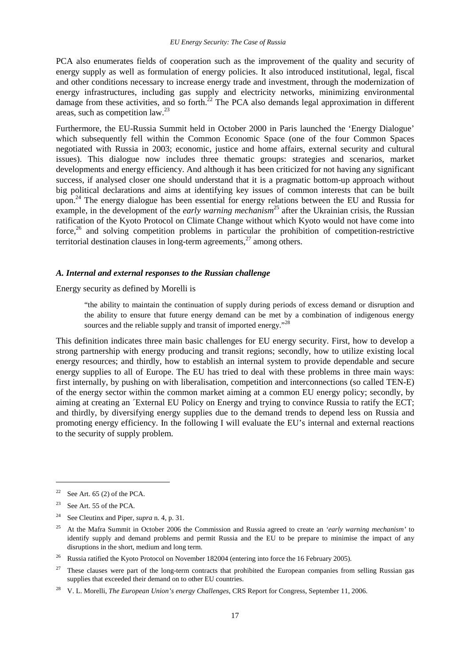PCA also enumerates fields of cooperation such as the improvement of the quality and security of energy supply as well as formulation of energy policies. It also introduced institutional, legal, fiscal and other conditions necessary to increase energy trade and investment, through the modernization of energy infrastructures, including gas supply and electricity networks, minimizing environmental damage from these activities, and so forth.<sup>22</sup> The PCA also demands legal approximation in different areas, such as competition law.<sup>23</sup>

Furthermore, the EU-Russia Summit held in October 2000 in Paris launched the 'Energy Dialogue' which subsequently fell within the Common Economic Space (one of the four Common Spaces negotiated with Russia in 2003; economic, justice and home affairs, external security and cultural issues). This dialogue now includes three thematic groups: strategies and scenarios, market developments and energy efficiency. And although it has been criticized for not having any significant success, if analysed closer one should understand that it is a pragmatic bottom-up approach without big political declarations and aims at identifying key issues of common interests that can be built upon.<sup>24</sup> The energy dialogue has been essential for energy relations between the EU and Russia for example, in the development of the *early warning mechanism*<sup>25</sup> after the Ukrainian crisis, the Russian ratification of the Kyoto Protocol on Climate Change without which Kyoto would not have come into force, $26$  and solving competition problems in particular the prohibition of competition-restrictive territorial destination clauses in long-term agreements, $^{27}$  among others.

### *A. Internal and external responses to the Russian challenge*

Energy security as defined by Morelli is

"the ability to maintain the continuation of supply during periods of excess demand or disruption and the ability to ensure that future energy demand can be met by a combination of indigenous energy sources and the reliable supply and transit of imported energy."<sup>28</sup>

This definition indicates three main basic challenges for EU energy security. First, how to develop a strong partnership with energy producing and transit regions; secondly, how to utilize existing local energy resources; and thirdly, how to establish an internal system to provide dependable and secure energy supplies to all of Europe. The EU has tried to deal with these problems in three main ways: first internally, by pushing on with liberalisation, competition and interconnections (so called TEN-E) of the energy sector within the common market aiming at a common EU energy policy; secondly, by aiming at creating an ´External EU Policy on Energy and trying to convince Russia to ratify the ECT; and thirdly, by diversifying energy supplies due to the demand trends to depend less on Russia and promoting energy efficiency. In the following I will evaluate the EU's internal and external reactions to the security of supply problem.

<sup>&</sup>lt;sup>22</sup> See Art. 65 (2) of the PCA.

<sup>&</sup>lt;sup>23</sup> See Art. 55 of the PCA.

<sup>24</sup> See Cleutinx and Piper, *supra* n. 4, p. 31.

<sup>25</sup> At the Mafra Summit in October 2006 the Commission and Russia agreed to create an *'early warning mechanism'* to identify supply and demand problems and permit Russia and the EU to be prepare to minimise the impact of any disruptions in the short, medium and long term.

<sup>&</sup>lt;sup>26</sup> Russia ratified the Kyoto Protocol on November 182004 (entering into force the 16 February 2005).

<sup>&</sup>lt;sup>27</sup> These clauses were part of the long-term contracts that prohibited the European companies from selling Russian gas supplies that exceeded their demand on to other EU countries.

<sup>28</sup> V. L. Morelli, *The European Union's energy Challenges*, CRS Report for Congress, September 11, 2006.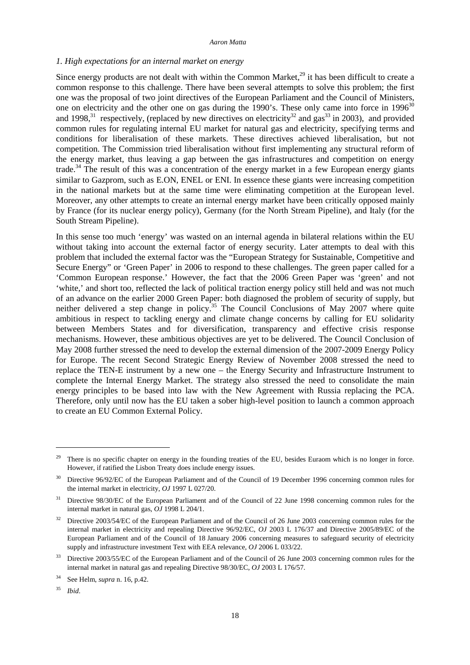#### *1. High expectations for an internal market on energy*

Since energy products are not dealt with within the Common Market, $^{29}$  it has been difficult to create a common response to this challenge. There have been several attempts to solve this problem; the first one was the proposal of two joint directives of the European Parliament and the Council of Ministers, one on electricity and the other one on gas during the 1990's. These only came into force in  $1996^{30}$ and 1998,<sup>31</sup> respectively, (replaced by new directives on electricity<sup>32</sup> and gas<sup>33</sup> in 2003), and provided common rules for regulating internal EU market for natural gas and electricity, specifying terms and conditions for liberalisation of these markets. These directives achieved liberalisation, but not competition. The Commission tried liberalisation without first implementing any structural reform of the energy market, thus leaving a gap between the gas infrastructures and competition on energy trade.<sup>34</sup> The result of this was a concentration of the energy market in a few European energy giants similar to Gazprom, such as E.ON, ENEL or ENI. In essence these giants were increasing competition in the national markets but at the same time were eliminating competition at the European level. Moreover, any other attempts to create an internal energy market have been critically opposed mainly by France (for its nuclear energy policy), Germany (for the North Stream Pipeline), and Italy (for the South Stream Pipeline).

In this sense too much 'energy' was wasted on an internal agenda in bilateral relations within the EU without taking into account the external factor of energy security. Later attempts to deal with this problem that included the external factor was the "European Strategy for Sustainable, Competitive and Secure Energy" or 'Green Paper' in 2006 to respond to these challenges. The green paper called for a 'Common European response.' However, the fact that the 2006 Green Paper was 'green' and not 'white,' and short too, reflected the lack of political traction energy policy still held and was not much of an advance on the earlier 2000 Green Paper: both diagnosed the problem of security of supply, but neither delivered a step change in policy.<sup>35</sup> The Council Conclusions of May 2007 where quite ambitious in respect to tackling energy and climate change concerns by calling for EU solidarity between Members States and for diversification, transparency and effective crisis response mechanisms. However, these ambitious objectives are yet to be delivered. The Council Conclusion of May 2008 further stressed the need to develop the external dimension of the 2007-2009 Energy Policy for Europe. The recent Second Strategic Energy Review of November 2008 stressed the need to replace the TEN-E instrument by a new one – the Energy Security and Infrastructure Instrument to complete the Internal Energy Market. The strategy also stressed the need to consolidate the main energy principles to be based into law with the New Agreement with Russia replacing the PCA. Therefore, only until now has the EU taken a sober high-level position to launch a common approach to create an EU Common External Policy.

<sup>&</sup>lt;sup>29</sup> There is no specific chapter on energy in the founding treaties of the EU, besides Euraom which is no longer in force. However, if ratified the Lisbon Treaty does include energy issues.

<sup>30</sup> Directive 96/92/EC of the European Parliament and of the Council of 19 December 1996 concerning common rules for the internal market in electricity, *OJ* 1997 L 027/20.

<sup>31</sup> Directive 98/30/EC of the European Parliament and of the Council of 22 June 1998 concerning common rules for the internal market in natural gas, *OJ* 1998 L 204/1.

<sup>&</sup>lt;sup>32</sup> Directive 2003/54/EC of the European Parliament and of the Council of 26 June 2003 concerning common rules for the internal market in electricity and repealing Directive 96/92/EC, *OJ* 2003 L 176/37 and Directive 2005/89/EC of the European Parliament and of the Council of 18 January 2006 concerning measures to safeguard security of electricity supply and infrastructure investment Text with EEA relevance, *OJ* 2006 L 033/22.

<sup>&</sup>lt;sup>33</sup> Directive 2003/55/EC of the European Parliament and of the Council of 26 June 2003 concerning common rules for the internal market in natural gas and repealing Directive 98/30/EC, *OJ* 2003 L 176/57.

<sup>34</sup> See Helm, *supra* n. 16, p.42.

<sup>35</sup> *Ibid*.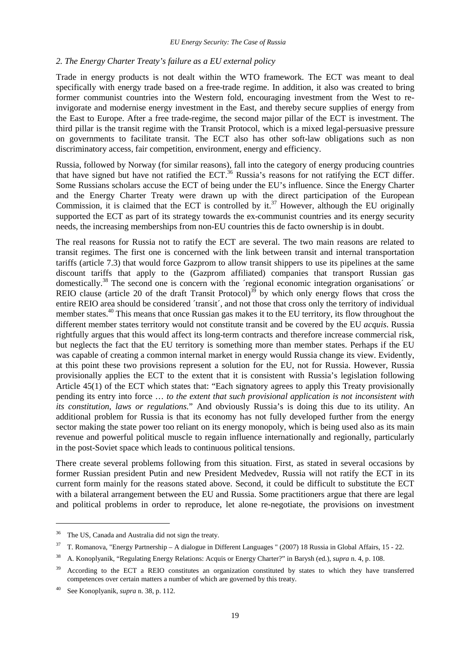#### *2. The Energy Charter Treaty's failure as a EU external policy*

Trade in energy products is not dealt within the WTO framework. The ECT was meant to deal specifically with energy trade based on a free-trade regime. In addition, it also was created to bring former communist countries into the Western fold, encouraging investment from the West to reinvigorate and modernise energy investment in the East, and thereby secure supplies of energy from the East to Europe. After a free trade-regime, the second major pillar of the ECT is investment. The third pillar is the transit regime with the Transit Protocol, which is a mixed legal-persuasive pressure on governments to facilitate transit. The ECT also has other soft-law obligations such as non discriminatory access, fair competition, environment, energy and efficiency.

Russia, followed by Norway (for similar reasons), fall into the category of energy producing countries that have signed but have not ratified the ECT.<sup>36</sup> Russia's reasons for not ratifying the ECT differ. Some Russians scholars accuse the ECT of being under the EU's influence. Since the Energy Charter and the Energy Charter Treaty were drawn up with the direct participation of the European Commission, it is claimed that the ECT is controlled by it.<sup>37</sup> However, although the EU originally supported the ECT as part of its strategy towards the ex-communist countries and its energy security needs, the increasing memberships from non-EU countries this de facto ownership is in doubt.

The real reasons for Russia not to ratify the ECT are several. The two main reasons are related to transit regimes. The first one is concerned with the link between transit and internal transportation tariffs (article 7.3) that would force Gazprom to allow transit shippers to use its pipelines at the same discount tariffs that apply to the (Gazprom affiliated) companies that transport Russian gas domestically.<sup>38</sup> The second one is concern with the *'regional economic integration organisations'* or REIO clause (article 20 of the draft Transit Protocol)<sup>39</sup> by which only energy flows that cross the entire REIO area should be considered ´transit´, and not those that cross only the territory of individual member states.<sup>40</sup> This means that once Russian gas makes it to the EU territory, its flow throughout the different member states territory would not constitute transit and be covered by the EU *acquis*. Russia rightfully argues that this would affect its long-term contracts and therefore increase commercial risk, but neglects the fact that the EU territory is something more than member states. Perhaps if the EU was capable of creating a common internal market in energy would Russia change its view. Evidently, at this point these two provisions represent a solution for the EU, not for Russia. However, Russia provisionally applies the ECT to the extent that it is consistent with Russia's legislation following Article 45(1) of the ECT which states that: "Each signatory agrees to apply this Treaty provisionally pending its entry into force … *to the extent that such provisional application is not inconsistent with its constitution, laws or regulations.*" And obviously Russia's is doing this due to its utility. An additional problem for Russia is that its economy has not fully developed further from the energy sector making the state power too reliant on its energy monopoly, which is being used also as its main revenue and powerful political muscle to regain influence internationally and regionally, particularly in the post-Soviet space which leads to continuous political tensions.

There create several problems following from this situation. First, as stated in several occasions by former Russian president Putin and new President Medvedev, Russia will not ratify the ECT in its current form mainly for the reasons stated above. Second, it could be difficult to substitute the ECT with a bilateral arrangement between the EU and Russia. Some practitioners argue that there are legal and political problems in order to reproduce, let alone re-negotiate, the provisions on investment

<sup>&</sup>lt;sup>36</sup> The US, Canada and Australia did not sign the treaty.

<sup>37</sup> T. Romanova, "Energy Partnership – A dialogue in Different Languages " (2007) 18 Russia in Global Affairs, 15 - 22.

<sup>38</sup> A. Konoplyanik, "Regulating Energy Relations: Acquis or Energy Charter?" in Barysh (ed.), *supra* n. 4, p. 108.

<sup>&</sup>lt;sup>39</sup> According to the ECT a REIO constitutes an organization constituted by states to which they have transferred competences over certain matters a number of which are governed by this treaty.

<sup>40</sup> See Konoplyanik, *supra* n. 38, p. 112.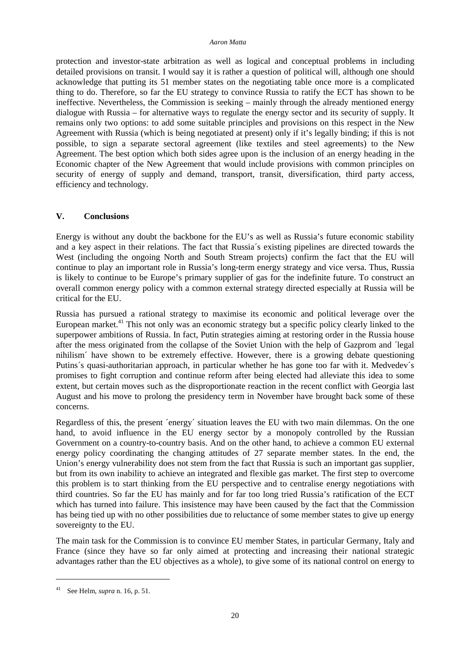#### *Aaron Matta*

protection and investor-state arbitration as well as logical and conceptual problems in including detailed provisions on transit. I would say it is rather a question of political will, although one should acknowledge that putting its 51 member states on the negotiating table once more is a complicated thing to do. Therefore, so far the EU strategy to convince Russia to ratify the ECT has shown to be ineffective. Nevertheless, the Commission is seeking – mainly through the already mentioned energy dialogue with Russia – for alternative ways to regulate the energy sector and its security of supply. It remains only two options: to add some suitable principles and provisions on this respect in the New Agreement with Russia (which is being negotiated at present) only if it's legally binding; if this is not possible, to sign a separate sectoral agreement (like textiles and steel agreements) to the New Agreement. The best option which both sides agree upon is the inclusion of an energy heading in the Economic chapter of the New Agreement that would include provisions with common principles on security of energy of supply and demand, transport, transit, diversification, third party access, efficiency and technology.

# **V. Conclusions**

Energy is without any doubt the backbone for the EU's as well as Russia's future economic stability and a key aspect in their relations. The fact that Russia´s existing pipelines are directed towards the West (including the ongoing North and South Stream projects) confirm the fact that the EU will continue to play an important role in Russia's long-term energy strategy and vice versa. Thus, Russia is likely to continue to be Europe's primary supplier of gas for the indefinite future. To construct an overall common energy policy with a common external strategy directed especially at Russia will be critical for the EU.

Russia has pursued a rational strategy to maximise its economic and political leverage over the European market.<sup>41</sup> This not only was an economic strategy but a specific policy clearly linked to the superpower ambitions of Russia. In fact, Putin strategies aiming at restoring order in the Russia house after the mess originated from the collapse of the Soviet Union with the help of Gazprom and ´legal nihilism´ have shown to be extremely effective. However, there is a growing debate questioning Putins´s quasi-authoritarian approach, in particular whether he has gone too far with it. Medvedev´s promises to fight corruption and continue reform after being elected had alleviate this idea to some extent, but certain moves such as the disproportionate reaction in the recent conflict with Georgia last August and his move to prolong the presidency term in November have brought back some of these concerns.

Regardless of this, the present ´energy´ situation leaves the EU with two main dilemmas. On the one hand, to avoid influence in the EU energy sector by a monopoly controlled by the Russian Government on a country-to-country basis. And on the other hand, to achieve a common EU external energy policy coordinating the changing attitudes of 27 separate member states. In the end, the Union's energy vulnerability does not stem from the fact that Russia is such an important gas supplier, but from its own inability to achieve an integrated and flexible gas market. The first step to overcome this problem is to start thinking from the EU perspective and to centralise energy negotiations with third countries. So far the EU has mainly and for far too long tried Russia's ratification of the ECT which has turned into failure. This insistence may have been caused by the fact that the Commission has being tied up with no other possibilities due to reluctance of some member states to give up energy sovereignty to the EU.

The main task for the Commission is to convince EU member States, in particular Germany, Italy and France (since they have so far only aimed at protecting and increasing their national strategic advantages rather than the EU objectives as a whole), to give some of its national control on energy to

<sup>41</sup> See Helm, *supra* n. 16, p. 51.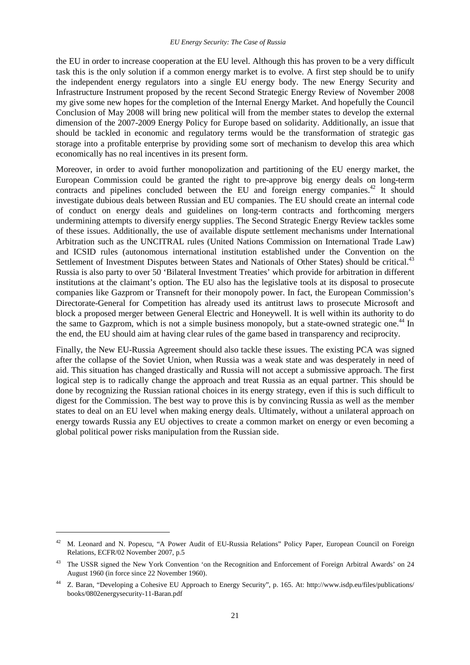the EU in order to increase cooperation at the EU level. Although this has proven to be a very difficult task this is the only solution if a common energy market is to evolve. A first step should be to unify the independent energy regulators into a single EU energy body. The new Energy Security and Infrastructure Instrument proposed by the recent Second Strategic Energy Review of November 2008 my give some new hopes for the completion of the Internal Energy Market. And hopefully the Council Conclusion of May 2008 will bring new political will from the member states to develop the external dimension of the 2007-2009 Energy Policy for Europe based on solidarity. Additionally, an issue that should be tackled in economic and regulatory terms would be the transformation of strategic gas storage into a profitable enterprise by providing some sort of mechanism to develop this area which economically has no real incentives in its present form.

Moreover, in order to avoid further monopolization and partitioning of the EU energy market, the European Commission could be granted the right to pre-approve big energy deals on long-term contracts and pipelines concluded between the EU and foreign energy companies.<sup>42</sup> It should investigate dubious deals between Russian and EU companies. The EU should create an internal code of conduct on energy deals and guidelines on long-term contracts and forthcoming mergers undermining attempts to diversify energy supplies. The Second Strategic Energy Review tackles some of these issues. Additionally, the use of available dispute settlement mechanisms under International Arbitration such as the UNCITRAL rules (United Nations Commission on International Trade Law) and ICSID rules (autonomous international institution established under the Convention on the Settlement of Investment Disputes between States and Nationals of Other States) should be critical.<sup>43</sup> Russia is also party to over 50 'Bilateral Investment Treaties' which provide for arbitration in different institutions at the claimant's option. The EU also has the legislative tools at its disposal to prosecute companies like Gazprom or Transneft for their monopoly power. In fact, the European Commission's Directorate-General for Competition has already used its antitrust laws to prosecute Microsoft and block a proposed merger between General Electric and Honeywell. It is well within its authority to do the same to Gazprom, which is not a simple business monopoly, but a state-owned strategic one.<sup>44</sup> In the end, the EU should aim at having clear rules of the game based in transparency and reciprocity.

Finally, the New EU-Russia Agreement should also tackle these issues. The existing PCA was signed after the collapse of the Soviet Union, when Russia was a weak state and was desperately in need of aid. This situation has changed drastically and Russia will not accept a submissive approach. The first logical step is to radically change the approach and treat Russia as an equal partner. This should be done by recognizing the Russian rational choices in its energy strategy, even if this is such difficult to digest for the Commission. The best way to prove this is by convincing Russia as well as the member states to deal on an EU level when making energy deals. Ultimately, without a unilateral approach on energy towards Russia any EU objectives to create a common market on energy or even becoming a global political power risks manipulation from the Russian side.

<sup>&</sup>lt;sup>42</sup> M. Leonard and N. Popescu, "A Power Audit of EU-Russia Relations" Policy Paper, European Council on Foreign Relations, ECFR/02 November 2007, p.5

<sup>&</sup>lt;sup>43</sup> The USSR signed the New York Convention 'on the Recognition and Enforcement of Foreign Arbitral Awards' on 24 August 1960 (in force since 22 November 1960).

<sup>44</sup> Z. Baran, "Developing a Cohesive EU Approach to Energy Security", p. 165. At: http://www.isdp.eu/files/publications/ books/0802energysecurity-11-Baran.pdf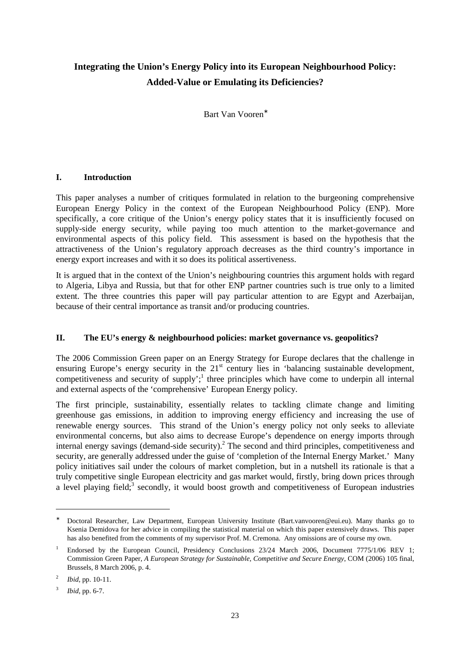# **Integrating the Union's Energy Policy into its European Neighbourhood Policy: Added-Value or Emulating its Deficiencies?**

Bart Van Vooren<sup>∗</sup>

### **I. Introduction**

This paper analyses a number of critiques formulated in relation to the burgeoning comprehensive European Energy Policy in the context of the European Neighbourhood Policy (ENP). More specifically, a core critique of the Union's energy policy states that it is insufficiently focused on supply-side energy security, while paying too much attention to the market-governance and environmental aspects of this policy field. This assessment is based on the hypothesis that the attractiveness of the Union's regulatory approach decreases as the third country's importance in energy export increases and with it so does its political assertiveness.

It is argued that in the context of the Union's neighbouring countries this argument holds with regard to Algeria, Libya and Russia, but that for other ENP partner countries such is true only to a limited extent. The three countries this paper will pay particular attention to are Egypt and Azerbaijan, because of their central importance as transit and/or producing countries.

### **II. The EU's energy & neighbourhood policies: market governance vs. geopolitics?**

The 2006 Commission Green paper on an Energy Strategy for Europe declares that the challenge in ensuring Europe's energy security in the  $21<sup>st</sup>$  century lies in 'balancing sustainable development, competitiveness and security of supply';<sup>1</sup> three principles which have come to underpin all internal and external aspects of the 'comprehensive' European Energy policy.

The first principle, sustainability, essentially relates to tackling climate change and limiting greenhouse gas emissions, in addition to improving energy efficiency and increasing the use of renewable energy sources. This strand of the Union's energy policy not only seeks to alleviate environmental concerns, but also aims to decrease Europe's dependence on energy imports through internal energy savings (demand-side security).<sup>2</sup> The second and third principles, competitiveness and security, are generally addressed under the guise of 'completion of the Internal Energy Market.' Many policy initiatives sail under the colours of market completion, but in a nutshell its rationale is that a truly competitive single European electricity and gas market would, firstly, bring down prices through a level playing field;<sup>3</sup> secondly, it would boost growth and competitiveness of European industries

<sup>∗</sup> Doctoral Researcher, Law Department, European University Institute (Bart.vanvooren@eui.eu). Many thanks go to Ksenia Demidova for her advice in compiling the statistical material on which this paper extensively draws. This paper has also benefited from the comments of my supervisor Prof. M. Cremona. Any omissions are of course my own.

<sup>1</sup> Endorsed by the European Council, Presidency Conclusions 23/24 March 2006, Document 7775/1/06 REV 1; Commission Green Paper, *A European Strategy for Sustainable, Competitive and Secure Energy*, COM (2006) 105 final, Brussels, 8 March 2006, p. 4.

<sup>2</sup> *Ibid*, pp. 10-11.

<sup>3</sup> *Ibid*, pp. 6-7.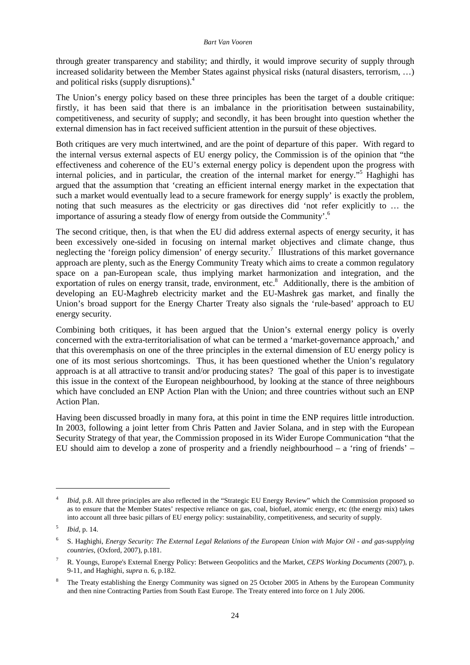through greater transparency and stability; and thirdly, it would improve security of supply through increased solidarity between the Member States against physical risks (natural disasters, terrorism, …) and political risks (supply disruptions).<sup>4</sup>

The Union's energy policy based on these three principles has been the target of a double critique: firstly, it has been said that there is an imbalance in the prioritisation between sustainability, competitiveness, and security of supply; and secondly, it has been brought into question whether the external dimension has in fact received sufficient attention in the pursuit of these objectives.

Both critiques are very much intertwined, and are the point of departure of this paper. With regard to the internal versus external aspects of EU energy policy, the Commission is of the opinion that "the effectiveness and coherence of the EU's external energy policy is dependent upon the progress with internal policies, and in particular, the creation of the internal market for energy."<sup>5</sup> Haghighi has argued that the assumption that 'creating an efficient internal energy market in the expectation that such a market would eventually lead to a secure framework for energy supply' is exactly the problem, noting that such measures as the electricity or gas directives did 'not refer explicitly to … the importance of assuring a steady flow of energy from outside the Community'.<sup>6</sup>

The second critique, then, is that when the EU did address external aspects of energy security, it has been excessively one-sided in focusing on internal market objectives and climate change, thus neglecting the 'foreign policy dimension' of energy security.<sup>7</sup> Illustrations of this market governance approach are plenty, such as the Energy Community Treaty which aims to create a common regulatory space on a pan-European scale, thus implying market harmonization and integration, and the exportation of rules on energy transit, trade, environment, etc.<sup>8</sup> Additionally, there is the ambition of developing an EU-Maghreb electricity market and the EU-Mashrek gas market, and finally the Union's broad support for the Energy Charter Treaty also signals the 'rule-based' approach to EU energy security.

Combining both critiques, it has been argued that the Union's external energy policy is overly concerned with the extra-territorialisation of what can be termed a 'market-governance approach,' and that this overemphasis on one of the three principles in the external dimension of EU energy policy is one of its most serious shortcomings. Thus, it has been questioned whether the Union's regulatory approach is at all attractive to transit and/or producing states? The goal of this paper is to investigate this issue in the context of the European neighbourhood, by looking at the stance of three neighbours which have concluded an ENP Action Plan with the Union; and three countries without such an ENP Action Plan.

Having been discussed broadly in many fora, at this point in time the ENP requires little introduction. In 2003, following a joint letter from Chris Patten and Javier Solana, and in step with the European Security Strategy of that year, the Commission proposed in its Wider Europe Communication "that the EU should aim to develop a zone of prosperity and a friendly neighbourhood – a 'ring of friends' –

l

<sup>4</sup> *Ibid*, p.8. All three principles are also reflected in the "Strategic EU Energy Review" which the Commission proposed so as to ensure that the Member States' respective reliance on gas, coal, biofuel, atomic energy, etc (the energy mix) takes into account all three basic pillars of EU energy policy: sustainability, competitiveness, and security of supply.

<sup>5</sup> *Ibid*, p. 14.

<sup>6</sup> S. Haghighi, *Energy Security: The External Legal Relations of the European Union with Major Oil - and gas-supplying countries*, (Oxford, 2007), p.181.

<sup>7</sup> R. Youngs, Europe's External Energy Policy: Between Geopolitics and the Market, *CEPS Working Documents* (2007), p. 9-11, and Haghighi, *supra* n. 6, p.182.

<sup>8</sup> The Treaty establishing the Energy Community was signed on 25 October 2005 in Athens by the European Community and then nine Contracting Parties from South East Europe. The Treaty entered into force on 1 July 2006.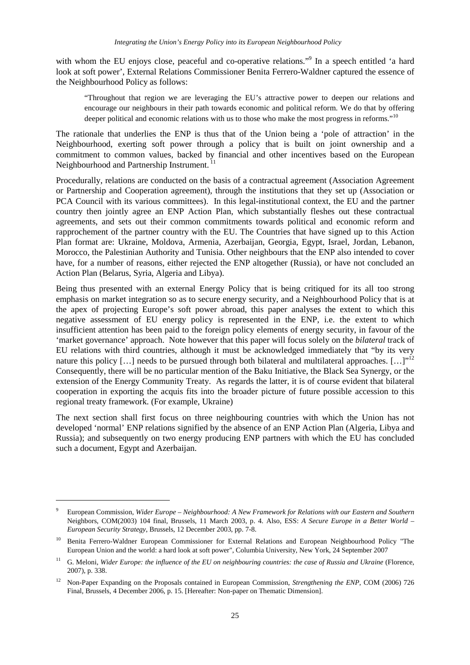with whom the EU enjoys close, peaceful and co-operative relations."<sup>9</sup> In a speech entitled 'a hard look at soft power', External Relations Commissioner Benita Ferrero-Waldner captured the essence of the Neighbourhood Policy as follows:

"Throughout that region we are leveraging the EU's attractive power to deepen our relations and encourage our neighbours in their path towards economic and political reform. We do that by offering deeper political and economic relations with us to those who make the most progress in reforms."<sup>10</sup>

The rationale that underlies the ENP is thus that of the Union being a 'pole of attraction' in the Neighbourhood, exerting soft power through a policy that is built on joint ownership and a commitment to common values, backed by financial and other incentives based on the European Neighbourhood and Partnership Instrument.

Procedurally, relations are conducted on the basis of a contractual agreement (Association Agreement or Partnership and Cooperation agreement), through the institutions that they set up (Association or PCA Council with its various committees). In this legal-institutional context, the EU and the partner country then jointly agree an ENP Action Plan, which substantially fleshes out these contractual agreements, and sets out their common commitments towards political and economic reform and rapprochement of the partner country with the EU. The Countries that have signed up to this Action Plan format are: Ukraine, Moldova, Armenia, Azerbaijan, Georgia, Egypt, Israel, Jordan, Lebanon, Morocco, the Palestinian Authority and Tunisia. Other neighbours that the ENP also intended to cover have, for a number of reasons, either rejected the ENP altogether (Russia), or have not concluded an Action Plan (Belarus, Syria, Algeria and Libya).

Being thus presented with an external Energy Policy that is being critiqued for its all too strong emphasis on market integration so as to secure energy security, and a Neighbourhood Policy that is at the apex of projecting Europe's soft power abroad, this paper analyses the extent to which this negative assessment of EU energy policy is represented in the ENP, i.e. the extent to which insufficient attention has been paid to the foreign policy elements of energy security, in favour of the 'market governance' approach. Note however that this paper will focus solely on the *bilateral* track of EU relations with third countries, although it must be acknowledged immediately that "by its very nature this policy [...] needs to be pursued through both bilateral and multilateral approaches. [...]"<sup>12</sup> Consequently, there will be no particular mention of the Baku Initiative, the Black Sea Synergy, or the extension of the Energy Community Treaty. As regards the latter, it is of course evident that bilateral cooperation in exporting the acquis fits into the broader picture of future possible accession to this regional treaty framework. (For example, Ukraine)

The next section shall first focus on three neighbouring countries with which the Union has not developed 'normal' ENP relations signified by the absence of an ENP Action Plan (Algeria, Libya and Russia); and subsequently on two energy producing ENP partners with which the EU has concluded such a document, Egypt and Azerbaijan.

<sup>9</sup> European Commission, *Wider Europe – Neighbourhood: A New Framework for Relations with our Eastern and Southern* Neighbors, COM(2003) 104 final, Brussels, 11 March 2003, p. 4. Also, ESS: *A Secure Europe in a Better World – European Security Strategy*, Brussels, 12 December 2003, pp. 7-8.

<sup>&</sup>lt;sup>10</sup> Benita Ferrero-Waldner European Commissioner for External Relations and European Neighbourhood Policy "The European Union and the world: a hard look at soft power", Columbia University, New York, 24 September 2007

<sup>&</sup>lt;sup>11</sup> G. Meloni, *Wider Europe: the influence of the EU on neighbouring countries: the case of Russia and Ukraine (Florence,* 2007), p. 338.

<sup>12</sup> Non-Paper Expanding on the Proposals contained in European Commission, *Strengthening the ENP,* COM (2006) 726 Final, Brussels, 4 December 2006, p. 15. [Hereafter: Non-paper on Thematic Dimension].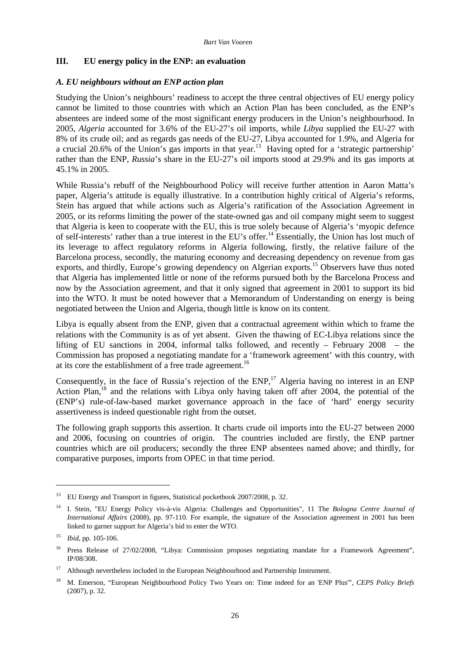# **III. EU energy policy in the ENP: an evaluation**

#### *A. EU neighbours without an ENP action plan*

Studying the Union's neighbours' readiness to accept the three central objectives of EU energy policy cannot be limited to those countries with which an Action Plan has been concluded, as the ENP's absentees are indeed some of the most significant energy producers in the Union's neighbourhood. In 2005, *Algeria* accounted for 3.6% of the EU-27's oil imports, while *Libya* supplied the EU-27 with 8% of its crude oil; and as regards gas needs of the EU-27, Libya accounted for 1.9%, and Algeria for a crucial 20.6% of the Union's gas imports in that year.<sup>13</sup> Having opted for a 'strategic partnership' rather than the ENP, *Russia*'s share in the EU-27's oil imports stood at 29.9% and its gas imports at 45.1% in 2005.

While Russia's rebuff of the Neighbourhood Policy will receive further attention in Aaron Matta's paper, Algeria's attitude is equally illustrative. In a contribution highly critical of Algeria's reforms, Stein has argued that while actions such as Algeria's ratification of the Association Agreement in 2005, or its reforms limiting the power of the state-owned gas and oil company might seem to suggest that Algeria is keen to cooperate with the EU, this is true solely because of Algeria's 'myopic defence of self-interests' rather than a true interest in the EU's offer.<sup>14</sup> Essentially, the Union has lost much of its leverage to affect regulatory reforms in Algeria following, firstly, the relative failure of the Barcelona process, secondly, the maturing economy and decreasing dependency on revenue from gas exports, and thirdly, Europe's growing dependency on Algerian exports.<sup>15</sup> Observers have thus noted that Algeria has implemented little or none of the reforms pursued both by the Barcelona Process and now by the Association agreement, and that it only signed that agreement in 2001 to support its bid into the WTO. It must be noted however that a Memorandum of Understanding on energy is being negotiated between the Union and Algeria, though little is know on its content.

Libya is equally absent from the ENP, given that a contractual agreement within which to frame the relations with the Community is as of yet absent. Given the thawing of EC-Libya relations since the lifting of EU sanctions in 2004, informal talks followed, and recently – February 2008 – the Commission has proposed a negotiating mandate for a 'framework agreement' with this country, with at its core the establishment of a free trade agreement.<sup>16</sup>

Consequently, in the face of Russia's rejection of the ENP,<sup>17</sup> Algeria having no interest in an ENP Action Plan,<sup>18</sup> and the relations with Libya only having taken off after 2004, the potential of the (ENP's) rule-of-law-based market governance approach in the face of 'hard' energy security assertiveness is indeed questionable right from the outset.

The following graph supports this assertion. It charts crude oil imports into the EU-27 between 2000 and 2006, focusing on countries of origin. The countries included are firstly, the ENP partner countries which are oil producers; secondly the three ENP absentees named above; and thirdly, for comparative purposes, imports from OPEC in that time period.

<sup>13</sup> EU Energy and Transport in figures, Statistical pocketbook 2007/2008, p. 32.

<sup>14</sup> I. Stein, "EU Energy Policy vis-à-vis Algeria: Challenges and Opportunities", 11 The *Bologna Centre Journal of International Affairs* (2008), pp. 97-110. For example, the signature of the Association agreement in 2001 has been linked to garner support for Algeria's bid to enter the WTO.

<sup>15</sup> *Ibid*, pp. 105-106.

<sup>&</sup>lt;sup>16</sup> Press Release of 27/02/2008, "Libya: Commission proposes negotiating mandate for a Framework Agreement", IP/08/308.

<sup>&</sup>lt;sup>17</sup> Although nevertheless included in the European Neighbourhood and Partnership Instrument.

<sup>18</sup> M. Emerson, "European Neighbourhood Policy Two Years on: Time indeed for an 'ENP Plus'", *CEPS Policy Briefs* (2007), p. 32.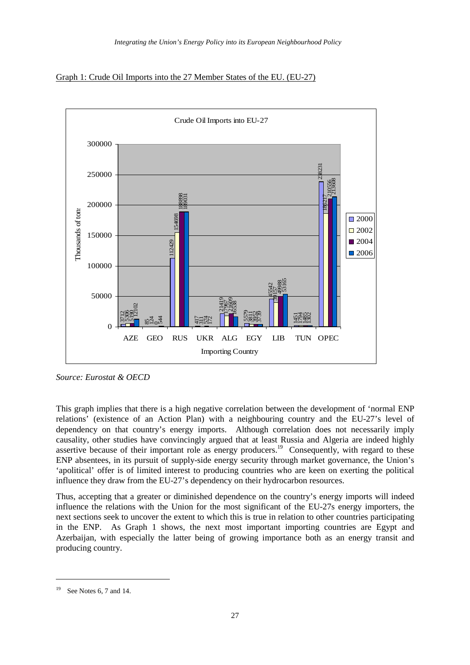Graph 1: Crude Oil Imports into the 27 Member States of the EU. (EU-27)



*Source: Eurostat & OECD* 

This graph implies that there is a high negative correlation between the development of 'normal ENP relations' (existence of an Action Plan) with a neighbouring country and the EU-27's level of dependency on that country's energy imports. Although correlation does not necessarily imply causality, other studies have convincingly argued that at least Russia and Algeria are indeed highly assertive because of their important role as energy producers.<sup>19</sup> Consequently, with regard to these ENP absentees, in its pursuit of supply-side energy security through market governance, the Union's 'apolitical' offer is of limited interest to producing countries who are keen on exerting the political influence they draw from the EU-27's dependency on their hydrocarbon resources.

Thus, accepting that a greater or diminished dependence on the country's energy imports will indeed influence the relations with the Union for the most significant of the EU-27s energy importers, the next sections seek to uncover the extent to which this is true in relation to other countries participating in the ENP. As Graph 1 shows, the next most important importing countries are Egypt and Azerbaijan, with especially the latter being of growing importance both as an energy transit and producing country.

See Notes 6, 7 and 14.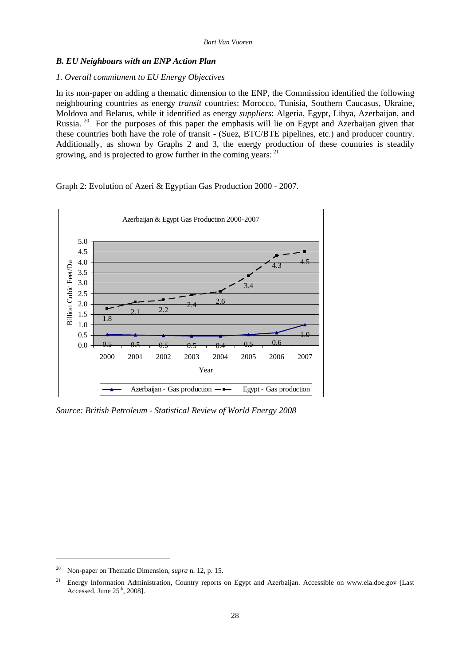#### *B. EU Neighbours with an ENP Action Plan*

#### *1. Overall commitment to EU Energy Objectives*

In its non-paper on adding a thematic dimension to the ENP, the Commission identified the following neighbouring countries as energy *transit* countries: Morocco, Tunisia, Southern Caucasus, Ukraine, Moldova and Belarus, while it identified as energy *suppliers*: Algeria, Egypt, Libya, Azerbaijan, and Russia.<sup>20</sup> For the purposes of this paper the emphasis will lie on Egypt and Azerbaijan given that these countries both have the role of transit - (Suez, BTC/BTE pipelines, etc.) and producer country. Additionally, as shown by Graphs 2 and 3, the energy production of these countries is steadily growing, and is projected to grow further in the coming years:  $21$ 

#### Graph 2: Evolution of Azeri & Egyptian Gas Production 2000 - 2007.



*Source: British Petroleum - Statistical Review of World Energy 2008* 

<sup>20</sup> Non-paper on Thematic Dimension, *supra* n. 12, p. 15.

<sup>&</sup>lt;sup>21</sup> Energy Information Administration, Country reports on Egypt and Azerbaijan. Accessible on www.eia.doe.gov [Last Accessed, June  $25<sup>th</sup>$ , 2008].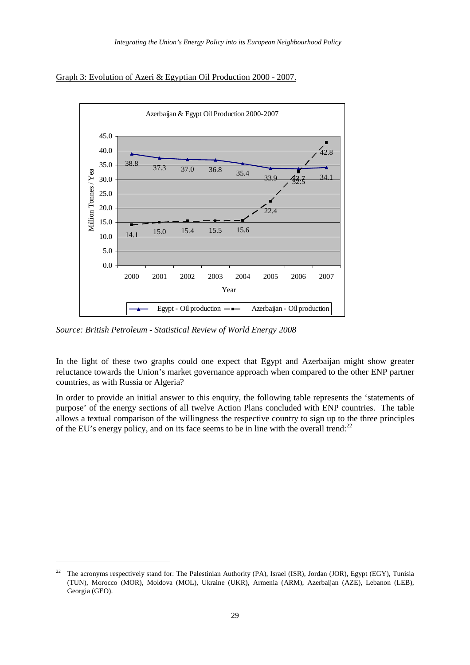



*Source: British Petroleum - Statistical Review of World Energy 2008* 

 $\overline{a}$ 

In the light of these two graphs could one expect that Egypt and Azerbaijan might show greater reluctance towards the Union's market governance approach when compared to the other ENP partner countries, as with Russia or Algeria?

In order to provide an initial answer to this enquiry, the following table represents the 'statements of purpose' of the energy sections of all twelve Action Plans concluded with ENP countries. The table allows a textual comparison of the willingness the respective country to sign up to the three principles of the EU's energy policy, and on its face seems to be in line with the overall trend:<sup>22</sup>

<sup>&</sup>lt;sup>22</sup> The acronyms respectively stand for: The Palestinian Authority (PA), Israel (ISR), Jordan (JOR), Egypt (EGY), Tunisia (TUN), Morocco (MOR), Moldova (MOL), Ukraine (UKR), Armenia (ARM), Azerbaijan (AZE), Lebanon (LEB), Georgia (GEO).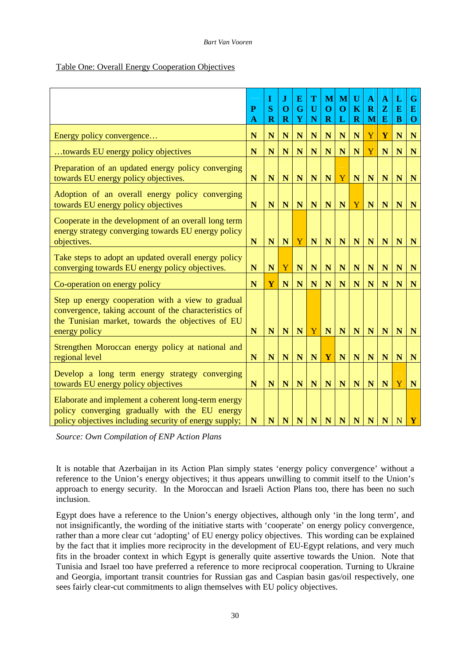# Table One: Overall Energy Cooperation Objectives

|                                                                                                                                                                                  |                  | I                       | $\bf{J}$                | E           | T              | M                        | M           | U            | $\mathbf A$ | A         | L | G            |
|----------------------------------------------------------------------------------------------------------------------------------------------------------------------------------|------------------|-------------------------|-------------------------|-------------|----------------|--------------------------|-------------|--------------|-------------|-----------|---|--------------|
|                                                                                                                                                                                  | P                | S                       | $\overline{O}$          | $\mathbf G$ | $\mathbf{U}$   | $\mathbf{O}$             | $\mathbf 0$ | K            | $\mathbf R$ | ${\bf z}$ | E | E            |
|                                                                                                                                                                                  | $\blacktriangle$ | $\overline{\mathbf{R}}$ | $\overline{\mathbf{R}}$ | Y           | N              | $\mathbf{R}$             | L           | $\mathbf R$  | M           | E         | B | $\mathbf{O}$ |
| Energy policy convergence                                                                                                                                                        | N                | N                       | N                       | $\mathbf N$ | N              | $\mathbf N$              | N           | N            | Y           | Y         | N | N            |
| towards EU energy policy objectives                                                                                                                                              | N                | N                       | N                       | N           | N              | N                        | N           | N            | Y           | N         | N | N            |
| Preparation of an updated energy policy converging<br>towards EU energy policy objectives.                                                                                       | N                | N                       | N                       | N           | N              | N                        | Y           | $\mathbf N$  | N           | N         | N | $\mathbf N$  |
|                                                                                                                                                                                  |                  |                         |                         |             |                |                          |             |              |             |           |   |              |
| Adoption of an overall energy policy converging<br>towards EU energy policy objectives                                                                                           | N                | N                       | N                       | N           | N              | N                        | $\mathbf N$ | Y            | N           | N         | N | N            |
| Cooperate in the development of an overall long term<br>energy strategy converging towards EU energy policy<br>objectives.                                                       | N                | N                       | $\mathbf N$             | Y           | N              | N                        | N           | $\mathbf N$  | N           | N         | N | $\mathbf N$  |
| Take steps to adopt an updated overall energy policy<br>converging towards EU energy policy objectives.                                                                          | N                | N                       | Y                       | N           | N <sub>1</sub> | $\mathbf N$              | N           | N            | N           | N         | N | N            |
| Co-operation on energy policy                                                                                                                                                    | N                | Y                       | N                       | N           | N              | N                        | N           | N            | N           | N         | N | N            |
| Step up energy cooperation with a view to gradual<br>convergence, taking account of the characteristics of<br>the Tunisian market, towards the objectives of EU<br>energy policy | N                | N                       | $\mathbf N$             | N           | Y              | ${\bf N}$                | N           | $\mathbf N$  | $\mathbf N$ | N         | N | N            |
| Strengthen Moroccan energy policy at national and<br>regional level                                                                                                              | N                | N                       | N                       | N           | N              | Y                        | N           | N            | N           | N         | N | N            |
| Develop a long term energy strategy converging<br>towards EU energy policy objectives                                                                                            | N                | N                       | N                       | $\mathbf N$ | N              | N                        | N           | N            | N           | N         | Y | N            |
| Elaborate and implement a coherent long-term energy<br>policy converging gradually with the EU energy<br>policy objectives including security of energy supply;                  | $\mathbb N$      | N.                      | N                       |             |                | $N \mid N \mid N \mid N$ |             | $\mathbf{N}$ | N           | N         | N | Y            |

*Source: Own Compilation of ENP Action Plans* 

It is notable that Azerbaijan in its Action Plan simply states 'energy policy convergence' without a reference to the Union's energy objectives; it thus appears unwilling to commit itself to the Union's approach to energy security. In the Moroccan and Israeli Action Plans too, there has been no such inclusion.

Egypt does have a reference to the Union's energy objectives, although only 'in the long term', and not insignificantly, the wording of the initiative starts with 'cooperate' on energy policy convergence, rather than a more clear cut 'adopting' of EU energy policy objectives. This wording can be explained by the fact that it implies more reciprocity in the development of EU-Egypt relations, and very much fits in the broader context in which Egypt is generally quite assertive towards the Union. Note that Tunisia and Israel too have preferred a reference to more reciprocal cooperation. Turning to Ukraine and Georgia, important transit countries for Russian gas and Caspian basin gas/oil respectively, one sees fairly clear-cut commitments to align themselves with EU policy objectives.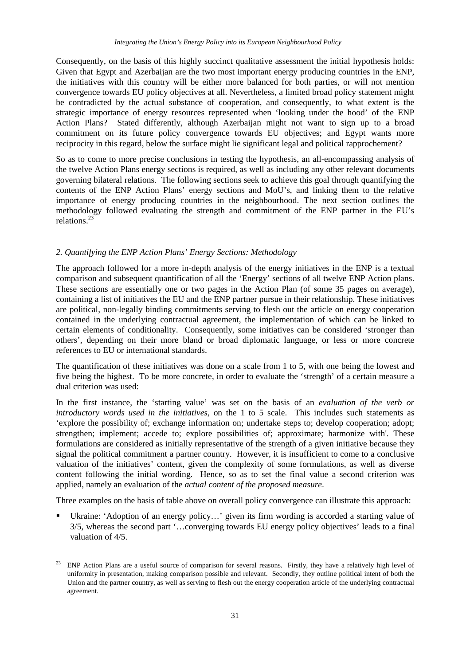Consequently, on the basis of this highly succinct qualitative assessment the initial hypothesis holds: Given that Egypt and Azerbaijan are the two most important energy producing countries in the ENP, the initiatives with this country will be either more balanced for both parties, or will not mention convergence towards EU policy objectives at all. Nevertheless, a limited broad policy statement might be contradicted by the actual substance of cooperation, and consequently, to what extent is the strategic importance of energy resources represented when 'looking under the hood' of the ENP Action Plans? Stated differently, although Azerbaijan might not want to sign up to a broad commitment on its future policy convergence towards EU objectives; and Egypt wants more reciprocity in this regard, below the surface might lie significant legal and political rapprochement?

So as to come to more precise conclusions in testing the hypothesis, an all-encompassing analysis of the twelve Action Plans energy sections is required, as well as including any other relevant documents governing bilateral relations. The following sections seek to achieve this goal through quantifying the contents of the ENP Action Plans' energy sections and MoU's, and linking them to the relative importance of energy producing countries in the neighbourhood. The next section outlines the methodology followed evaluating the strength and commitment of the ENP partner in the EU's relations.<sup>23</sup>

# *2. Quantifying the ENP Action Plans' Energy Sections: Methodology*

 $\overline{a}$ 

The approach followed for a more in-depth analysis of the energy initiatives in the ENP is a textual comparison and subsequent quantification of all the 'Energy' sections of all twelve ENP Action plans. These sections are essentially one or two pages in the Action Plan (of some 35 pages on average), containing a list of initiatives the EU and the ENP partner pursue in their relationship. These initiatives are political, non-legally binding commitments serving to flesh out the article on energy cooperation contained in the underlying contractual agreement, the implementation of which can be linked to certain elements of conditionality. Consequently, some initiatives can be considered 'stronger than others', depending on their more bland or broad diplomatic language, or less or more concrete references to EU or international standards.

The quantification of these initiatives was done on a scale from 1 to 5, with one being the lowest and five being the highest. To be more concrete, in order to evaluate the 'strength' of a certain measure a dual criterion was used:

In the first instance, the 'starting value' was set on the basis of an *evaluation of the verb or introductory words used in the initiatives*, on the 1 to 5 scale. This includes such statements as 'explore the possibility of; exchange information on; undertake steps to; develop cooperation; adopt; strengthen; implement; accede to; explore possibilities of; approximate; harmonize with'. These formulations are considered as initially representative of the strength of a given initiative because they signal the political commitment a partner country. However, it is insufficient to come to a conclusive valuation of the initiatives' content, given the complexity of some formulations, as well as diverse content following the initial wording. Hence, so as to set the final value a second criterion was applied, namely an evaluation of the *actual content of the proposed measure*.

Three examples on the basis of table above on overall policy convergence can illustrate this approach:

 Ukraine: 'Adoption of an energy policy…' given its firm wording is accorded a starting value of 3/5, whereas the second part '…converging towards EU energy policy objectives' leads to a final valuation of 4/5.

<sup>23</sup> ENP Action Plans are a useful source of comparison for several reasons. Firstly, they have a relatively high level of uniformity in presentation, making comparison possible and relevant. Secondly, they outline political intent of both the Union and the partner country, as well as serving to flesh out the energy cooperation article of the underlying contractual agreement.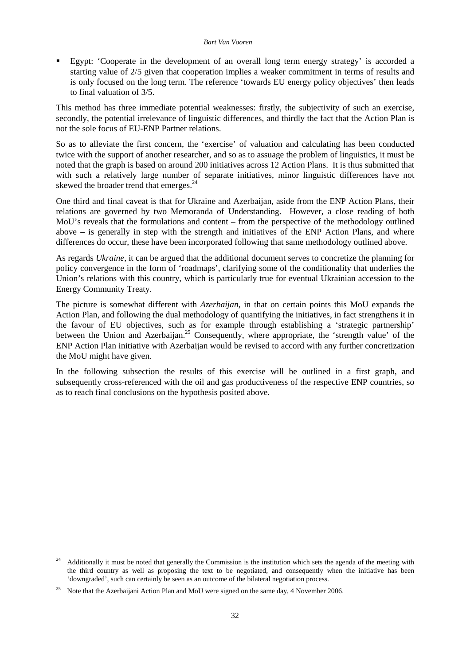Egypt: 'Cooperate in the development of an overall long term energy strategy' is accorded a starting value of 2/5 given that cooperation implies a weaker commitment in terms of results and is only focused on the long term. The reference 'towards EU energy policy objectives' then leads to final valuation of 3/5.

This method has three immediate potential weaknesses: firstly, the subjectivity of such an exercise, secondly, the potential irrelevance of linguistic differences, and thirdly the fact that the Action Plan is not the sole focus of EU-ENP Partner relations.

So as to alleviate the first concern, the 'exercise' of valuation and calculating has been conducted twice with the support of another researcher, and so as to assuage the problem of linguistics, it must be noted that the graph is based on around 200 initiatives across 12 Action Plans. It is thus submitted that with such a relatively large number of separate initiatives, minor linguistic differences have not skewed the broader trend that emerges.<sup>24</sup>

One third and final caveat is that for Ukraine and Azerbaijan, aside from the ENP Action Plans, their relations are governed by two Memoranda of Understanding. However, a close reading of both MoU's reveals that the formulations and content – from the perspective of the methodology outlined above – is generally in step with the strength and initiatives of the ENP Action Plans, and where differences do occur, these have been incorporated following that same methodology outlined above.

As regards *Ukraine*, it can be argued that the additional document serves to concretize the planning for policy convergence in the form of 'roadmaps', clarifying some of the conditionality that underlies the Union's relations with this country, which is particularly true for eventual Ukrainian accession to the Energy Community Treaty.

The picture is somewhat different with *Azerbaijan*, in that on certain points this MoU expands the Action Plan, and following the dual methodology of quantifying the initiatives, in fact strengthens it in the favour of EU objectives, such as for example through establishing a 'strategic partnership' between the Union and Azerbaijan.<sup>25</sup> Consequently, where appropriate, the 'strength value' of the ENP Action Plan initiative with Azerbaijan would be revised to accord with any further concretization the MoU might have given.

In the following subsection the results of this exercise will be outlined in a first graph, and subsequently cross-referenced with the oil and gas productiveness of the respective ENP countries, so as to reach final conclusions on the hypothesis posited above.

<sup>&</sup>lt;sup>24</sup> Additionally it must be noted that generally the Commission is the institution which sets the agenda of the meeting with the third country as well as proposing the text to be negotiated, and consequently when the initiative has been 'downgraded', such can certainly be seen as an outcome of the bilateral negotiation process.

<sup>&</sup>lt;sup>25</sup> Note that the Azerbaijani Action Plan and MoU were signed on the same day, 4 November 2006.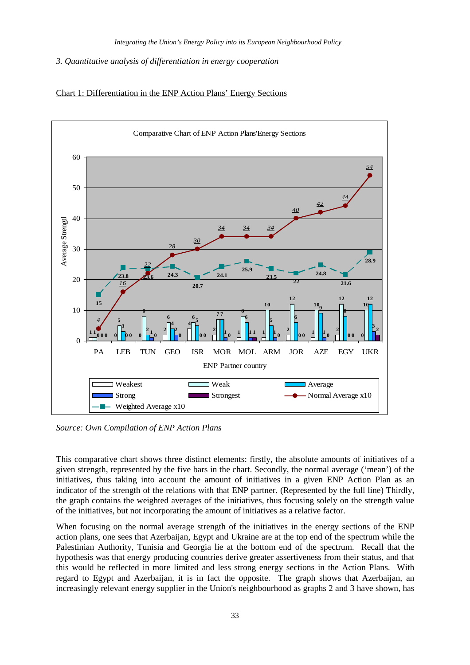### *3. Quantitative analysis of differentiation in energy cooperation*



### Chart 1: Differentiation in the ENP Action Plans' Energy Sections

*Source: Own Compilation of ENP Action Plans* 

This comparative chart shows three distinct elements: firstly, the absolute amounts of initiatives of a given strength, represented by the five bars in the chart. Secondly, the normal average ('mean') of the initiatives, thus taking into account the amount of initiatives in a given ENP Action Plan as an indicator of the strength of the relations with that ENP partner. (Represented by the full line) Thirdly, the graph contains the weighted averages of the initiatives, thus focusing solely on the strength value of the initiatives, but not incorporating the amount of initiatives as a relative factor.

When focusing on the normal average strength of the initiatives in the energy sections of the ENP action plans, one sees that Azerbaijan, Egypt and Ukraine are at the top end of the spectrum while the Palestinian Authority, Tunisia and Georgia lie at the bottom end of the spectrum. Recall that the hypothesis was that energy producing countries derive greater assertiveness from their status, and that this would be reflected in more limited and less strong energy sections in the Action Plans. With regard to Egypt and Azerbaijan, it is in fact the opposite. The graph shows that Azerbaijan, an increasingly relevant energy supplier in the Union's neighbourhood as graphs 2 and 3 have shown, has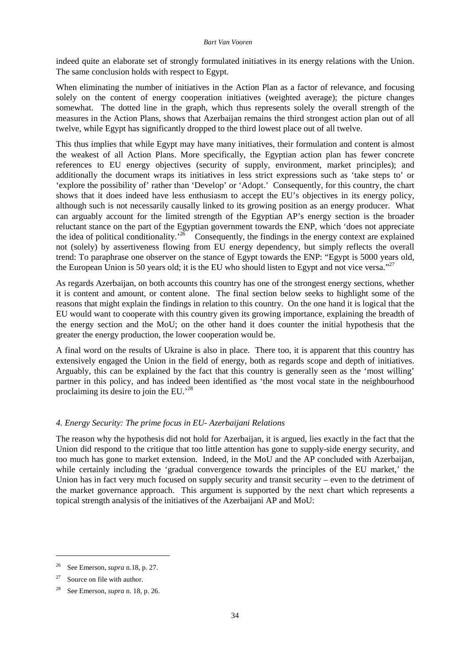indeed quite an elaborate set of strongly formulated initiatives in its energy relations with the Union. The same conclusion holds with respect to Egypt.

When eliminating the number of initiatives in the Action Plan as a factor of relevance, and focusing solely on the content of energy cooperation initiatives (weighted average); the picture changes somewhat. The dotted line in the graph, which thus represents solely the overall strength of the measures in the Action Plans, shows that Azerbaijan remains the third strongest action plan out of all twelve, while Egypt has significantly dropped to the third lowest place out of all twelve.

This thus implies that while Egypt may have many initiatives, their formulation and content is almost the weakest of all Action Plans. More specifically, the Egyptian action plan has fewer concrete references to EU energy objectives (security of supply, environment, market principles); and additionally the document wraps its initiatives in less strict expressions such as 'take steps to' or 'explore the possibility of' rather than 'Develop' or 'Adopt.' Consequently, for this country, the chart shows that it does indeed have less enthusiasm to accept the EU's objectives in its energy policy, although such is not necessarily causally linked to its growing position as an energy producer. What can arguably account for the limited strength of the Egyptian AP's energy section is the broader reluctant stance on the part of the Egyptian government towards the ENP, which 'does not appreciate the idea of political conditionality.<sup>26</sup> Consequently, the findings in the energy context are explained not (solely) by assertiveness flowing from EU energy dependency, but simply reflects the overall trend: To paraphrase one observer on the stance of Egypt towards the ENP: "Egypt is 5000 years old, the European Union is 50 years old; it is the EU who should listen to Egypt and not vice versa."<sup>27</sup>

As regards Azerbaijan, on both accounts this country has one of the strongest energy sections, whether it is content and amount, or content alone. The final section below seeks to highlight some of the reasons that might explain the findings in relation to this country. On the one hand it is logical that the EU would want to cooperate with this country given its growing importance, explaining the breadth of the energy section and the MoU; on the other hand it does counter the initial hypothesis that the greater the energy production, the lower cooperation would be.

A final word on the results of Ukraine is also in place. There too, it is apparent that this country has extensively engaged the Union in the field of energy, both as regards scope and depth of initiatives. Arguably, this can be explained by the fact that this country is generally seen as the 'most willing' partner in this policy, and has indeed been identified as 'the most vocal state in the neighbourhood proclaiming its desire to join the EU.<sup>28</sup>

## *4. Energy Security: The prime focus in EU- Azerbaijani Relations*

The reason why the hypothesis did not hold for Azerbaijan, it is argued, lies exactly in the fact that the Union did respond to the critique that too little attention has gone to supply-side energy security, and too much has gone to market extension. Indeed, in the MoU and the AP concluded with Azerbaijan, while certainly including the 'gradual convergence towards the principles of the EU market,' the Union has in fact very much focused on supply security and transit security – even to the detriment of the market governance approach. This argument is supported by the next chart which represents a topical strength analysis of the initiatives of the Azerbaijani AP and MoU:

<sup>26</sup> See Emerson, *supra* n.18, p. 27.

 $27$  Source on file with author.

See Emerson, *supra* n. 18, p. 26.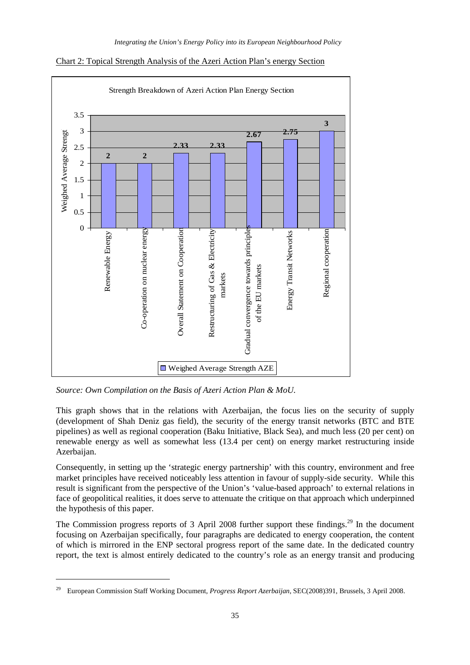

Chart 2: Topical Strength Analysis of the Azeri Action Plan's energy Section

*Source: Own Compilation on the Basis of Azeri Action Plan & MoU.* 

 $\overline{a}$ 

This graph shows that in the relations with Azerbaijan, the focus lies on the security of supply (development of Shah Deniz gas field), the security of the energy transit networks (BTC and BTE pipelines) as well as regional cooperation (Baku Initiative, Black Sea), and much less (20 per cent) on renewable energy as well as somewhat less (13.4 per cent) on energy market restructuring inside Azerbaijan.

Consequently, in setting up the 'strategic energy partnership' with this country, environment and free market principles have received noticeably less attention in favour of supply-side security. While this result is significant from the perspective of the Union's 'value-based approach' to external relations in face of geopolitical realities, it does serve to attenuate the critique on that approach which underpinned the hypothesis of this paper.

The Commission progress reports of 3 April 2008 further support these findings.<sup>29</sup> In the document focusing on Azerbaijan specifically, four paragraphs are dedicated to energy cooperation, the content of which is mirrored in the ENP sectoral progress report of the same date. In the dedicated country report, the text is almost entirely dedicated to the country's role as an energy transit and producing

<sup>29</sup> European Commission Staff Working Document, *Progress Report Azerbaijan*, SEC(2008)391, Brussels, 3 April 2008.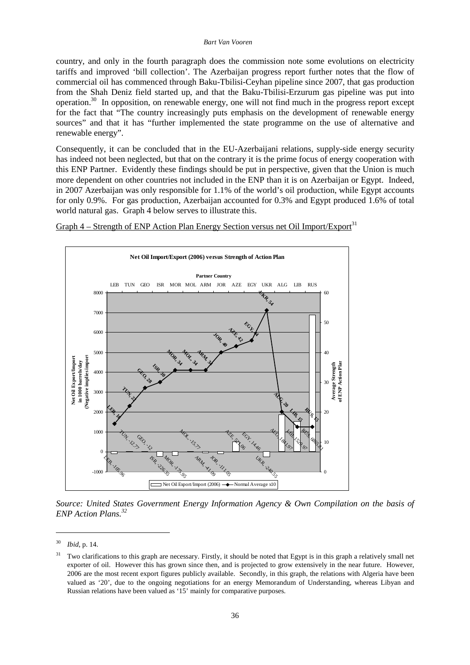country, and only in the fourth paragraph does the commission note some evolutions on electricity tariffs and improved 'bill collection'. The Azerbaijan progress report further notes that the flow of commercial oil has commenced through Baku-Tbilisi-Ceyhan pipeline since 2007, that gas production from the Shah Deniz field started up, and that the Baku-Tbilisi-Erzurum gas pipeline was put into operation.<sup>30</sup> In opposition, on renewable energy, one will not find much in the progress report except for the fact that "The country increasingly puts emphasis on the development of renewable energy sources" and that it has "further implemented the state programme on the use of alternative and renewable energy".

Consequently, it can be concluded that in the EU-Azerbaijani relations, supply-side energy security has indeed not been neglected, but that on the contrary it is the prime focus of energy cooperation with this ENP Partner. Evidently these findings should be put in perspective, given that the Union is much more dependent on other countries not included in the ENP than it is on Azerbaijan or Egypt. Indeed, in 2007 Azerbaijan was only responsible for 1.1% of the world's oil production, while Egypt accounts for only 0.9%. For gas production, Azerbaijan accounted for 0.3% and Egypt produced 1.6% of total world natural gas. Graph 4 below serves to illustrate this.



Graph 4 – Strength of ENP Action Plan Energy Section versus net Oil Import/Export<sup>31</sup>

*Source: United States Government Energy Information Agency & Own Compilation on the basis of ENP Action Plans.<sup>32</sup>*

<sup>30</sup> *Ibid*, p. 14.

Two clarifications to this graph are necessary. Firstly, it should be noted that Egypt is in this graph a relatively small net exporter of oil. However this has grown since then, and is projected to grow extensively in the near future. However, 2006 are the most recent export figures publicly available. Secondly, in this graph, the relations with Algeria have been valued as '20', due to the ongoing negotiations for an energy Memorandum of Understanding, whereas Libyan and Russian relations have been valued as '15' mainly for comparative purposes.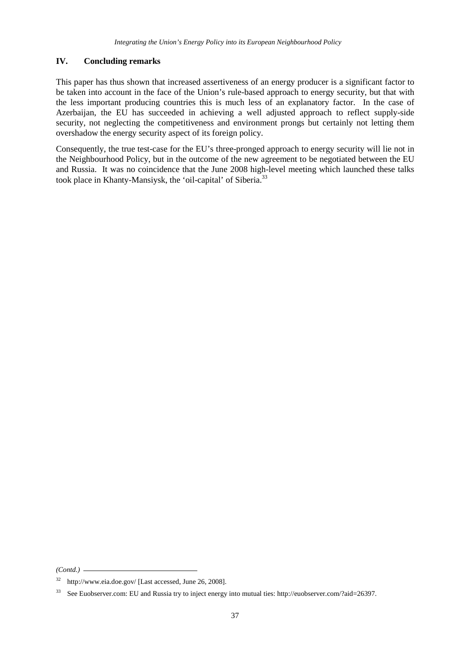# **IV. Concluding remarks**

This paper has thus shown that increased assertiveness of an energy producer is a significant factor to be taken into account in the face of the Union's rule-based approach to energy security, but that with the less important producing countries this is much less of an explanatory factor. In the case of Azerbaijan, the EU has succeeded in achieving a well adjusted approach to reflect supply-side security, not neglecting the competitiveness and environment prongs but certainly not letting them overshadow the energy security aspect of its foreign policy.

Consequently, the true test-case for the EU's three-pronged approach to energy security will lie not in the Neighbourhood Policy, but in the outcome of the new agreement to be negotiated between the EU and Russia. It was no coincidence that the June 2008 high-level meeting which launched these talks took place in Khanty-Mansiysk, the 'oil-capital' of Siberia.<sup>33</sup>

*(Contd.)* 

<sup>32</sup> http://www.eia.doe.gov/ [Last accessed, June 26, 2008].

<sup>33</sup> See Euobserver.com: EU and Russia try to inject energy into mutual ties: http://euobserver.com/?aid=26397.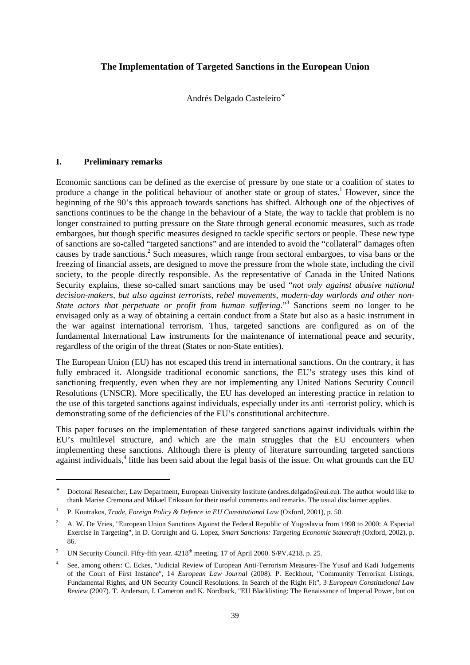# **The Implementation of Targeted Sanctions in the European Union**

Andrés Delgado Casteleiro<sup>∗</sup>

#### **I. Preliminary remarks**

 $\overline{a}$ 

Economic sanctions can be defined as the exercise of pressure by one state or a coalition of states to produce a change in the political behaviour of another state or group of states.<sup>1</sup> However, since the beginning of the 90's this approach towards sanctions has shifted. Although one of the objectives of sanctions continues to be the change in the behaviour of a State, the way to tackle that problem is no longer constrained to putting pressure on the State through general economic measures, such as trade embargoes, but though specific measures designed to tackle specific sectors or people. These new type of sanctions are so-called "targeted sanctions" and are intended to avoid the "collateral" damages often causes by trade sanctions.<sup>2</sup> Such measures, which range from sectoral embargoes, to visa bans or the freezing of financial assets, are designed to move the pressure from the whole state, including the civil society, to the people directly responsible. As the representative of Canada in the United Nations Security explains, these so-called smart sanctions may be used "*not only against abusive national decision-makers, but also against terrorists, rebel movements, modern-day warlords and other non-*State actors that perpetuate or profit from human suffering."<sup>3</sup> Sanctions seem no longer to be envisaged only as a way of obtaining a certain conduct from a State but also as a basic instrument in the war against international terrorism. Thus, targeted sanctions are configured as on of the fundamental International Law instruments for the maintenance of international peace and security, regardless of the origin of the threat (States or non-State entities).

The European Union (EU) has not escaped this trend in international sanctions. On the contrary, it has fully embraced it. Alongside traditional economic sanctions, the EU's strategy uses this kind of sanctioning frequently, even when they are not implementing any United Nations Security Council Resolutions (UNSCR). More specifically, the EU has developed an interesting practice in relation to the use of this targeted sanctions against individuals, especially under its anti -terrorist policy, which is demonstrating some of the deficiencies of the EU's constitutional architecture.

This paper focuses on the implementation of these targeted sanctions against individuals within the EU's multilevel structure, and which are the main struggles that the EU encounters when implementing these sanctions. Although there is plenty of literature surrounding targeted sanctions against individuals,<sup>4</sup> little has been said about the legal basis of the issue. On what grounds can the EU

<sup>∗</sup> Doctoral Researcher, Law Department, European University Institute (andres.delgado@eui.eu). The author would like to thank Marise Cremona and Mikael Eriksson for their useful comments and remarks. The usual disclaimer applies.

<sup>1</sup> P. Koutrakos, *Trade, Foreign Policy & Defence in EU Constitutional Law* (Oxford, 2001), p. 50.

<sup>2</sup> A. W. De Vries, "European Union Sanctions Against the Federal Republic of Yugoslavia from 1998 to 2000: A Especial Exercise in Targeting", in D. Cortright and G. Lopez, *Smart Sanctions: Targeting Economic Statecraft* (Oxford, 2002), p. 86.

<sup>3</sup> UN Security Council. Fifty-fith year.  $4218<sup>th</sup>$  meeting. 17 of April 2000. S/PV.4218. p. 25.

<sup>4</sup> See, among others: C. Eckes, "Judicial Review of European Anti-Terrorism Measures-The Yusuf and Kadi Judgements of the Court of First Instance", 14 *European Law Journal* (2008). P. Eeckhout, "Community Terrorism Listings, Fundamental Rights, and UN Security Council Resolutions. In Search of the Right Fit", 3 *European Constitutional Law Review* (2007). T. Anderson, I. Cameron and K. Nordback, "EU Blacklisting: The Renaissance of Imperial Power, but on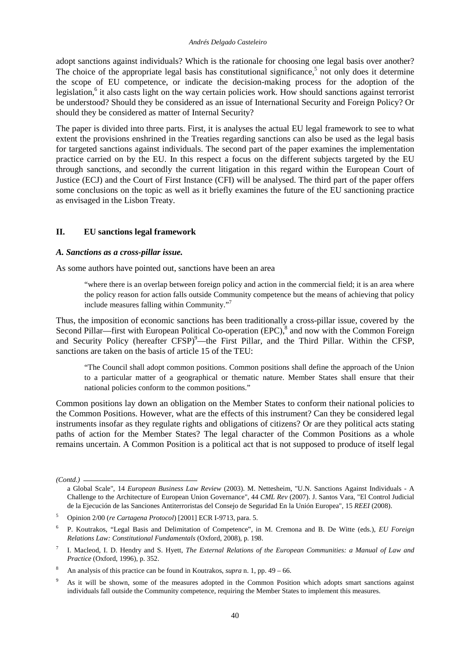adopt sanctions against individuals? Which is the rationale for choosing one legal basis over another? The choice of the appropriate legal basis has constitutional significance,<sup>5</sup> not only does it determine the scope of EU competence, or indicate the decision-making process for the adoption of the legislation,<sup>6</sup> it also casts light on the way certain policies work. How should sanctions against terrorist be understood? Should they be considered as an issue of International Security and Foreign Policy? Or should they be considered as matter of Internal Security?

The paper is divided into three parts. First, it is analyses the actual EU legal framework to see to what extent the provisions enshrined in the Treaties regarding sanctions can also be used as the legal basis for targeted sanctions against individuals. The second part of the paper examines the implementation practice carried on by the EU. In this respect a focus on the different subjects targeted by the EU through sanctions, and secondly the current litigation in this regard within the European Court of Justice (ECJ) and the Court of First Instance (CFI) will be analysed. The third part of the paper offers some conclusions on the topic as well as it briefly examines the future of the EU sanctioning practice as envisaged in the Lisbon Treaty.

### **II. EU sanctions legal framework**

#### *A. Sanctions as a cross-pillar issue.*

As some authors have pointed out, sanctions have been an area

"where there is an overlap between foreign policy and action in the commercial field; it is an area where the policy reason for action falls outside Community competence but the means of achieving that policy include measures falling within Community."<sup>7</sup>

Thus, the imposition of economic sanctions has been traditionally a cross-pillar issue, covered by the Second Pillar—first with European Political Co-operation (EPC),<sup>8</sup> and now with the Common Foreign and Security Policy (hereafter  $CFSP$ )<sup>9</sup>—the First Pillar, and the Third Pillar. Within the CFSP, sanctions are taken on the basis of article 15 of the TEU:

"The Council shall adopt common positions. Common positions shall define the approach of the Union to a particular matter of a geographical or thematic nature. Member States shall ensure that their national policies conform to the common positions."

Common positions lay down an obligation on the Member States to conform their national policies to the Common Positions. However, what are the effects of this instrument? Can they be considered legal instruments insofar as they regulate rights and obligations of citizens? Or are they political acts stating paths of action for the Member States? The legal character of the Common Positions as a whole remains uncertain. A Common Position is a political act that is not supposed to produce of itself legal

*<sup>(</sup>Contd.)* 

a Global Scale", 14 *European Business Law Review* (2003). M. Nettesheim, "U.N. Sanctions Against Individuals - A Challenge to the Architecture of European Union Governance", 44 *CML Rev* (2007). J. Santos Vara, "El Control Judicial de la Ejecución de las Sanciones Antiterroristas del Consejo de Seguridad En la Unión Europea", 15 *REEI* (2008).

<sup>5</sup> Opinion 2/00 (*re Cartagena Protocol*) [2001] ECR I-9713, para. 5.

<sup>6</sup> P. Koutrakos, "Legal Basis and Delimitation of Competence", in M. Cremona and B. De Witte (eds.), *EU Foreign Relations Law: Constitutional Fundamentals* (Oxford, 2008), p. 198.

<sup>7</sup> I. Macleod, I. D. Hendry and S. Hyett, *The External Relations of the European Communities: a Manual of Law and Practice* (Oxford, 1996), p. 352.

<sup>8</sup> An analysis of this practice can be found in Koutrakos, *supra* n. 1, pp. 49 – 66.

<sup>9</sup> As it will be shown, some of the measures adopted in the Common Position which adopts smart sanctions against individuals fall outside the Community competence, requiring the Member States to implement this measures.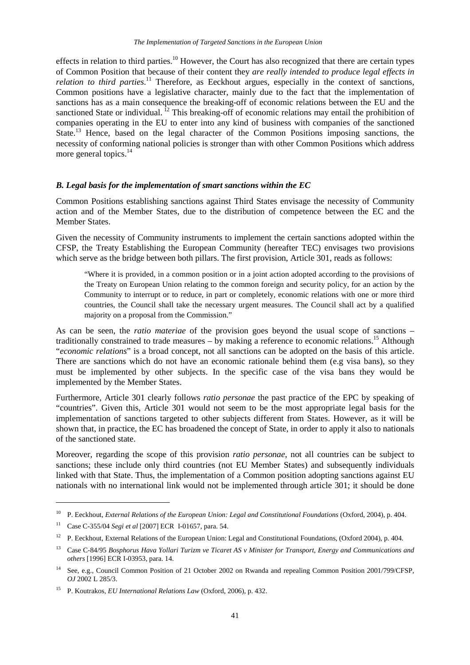effects in relation to third parties.<sup>10</sup> However, the Court has also recognized that there are certain types of Common Position that because of their content they *are really intended to produce legal effects in*  relation to third parties.<sup>11</sup> Therefore, as Eeckhout argues, especially in the context of sanctions, Common positions have a legislative character, mainly due to the fact that the implementation of sanctions has as a main consequence the breaking-off of economic relations between the EU and the sanctioned State or individual.<sup>12</sup> This breaking-off of economic relations may entail the prohibition of companies operating in the EU to enter into any kind of business with companies of the sanctioned State.<sup>13</sup> Hence, based on the legal character of the Common Positions imposing sanctions, the necessity of conforming national policies is stronger than with other Common Positions which address more general topics.<sup>14</sup>

#### *B. Legal basis for the implementation of smart sanctions within the EC*

Common Positions establishing sanctions against Third States envisage the necessity of Community action and of the Member States, due to the distribution of competence between the EC and the Member States.

Given the necessity of Community instruments to implement the certain sanctions adopted within the CFSP, the Treaty Establishing the European Community (hereafter TEC) envisages two provisions which serve as the bridge between both pillars. The first provision, Article 301, reads as follows:

"Where it is provided, in a common position or in a joint action adopted according to the provisions of the Treaty on European Union relating to the common foreign and security policy, for an action by the Community to interrupt or to reduce, in part or completely, economic relations with one or more third countries, the Council shall take the necessary urgent measures. The Council shall act by a qualified majority on a proposal from the Commission."

As can be seen, the *ratio materiae* of the provision goes beyond the usual scope of sanctions – traditionally constrained to trade measures – by making a reference to economic relations.<sup>15</sup> Although "*economic relations*" is a broad concept, not all sanctions can be adopted on the basis of this article. There are sanctions which do not have an economic rationale behind them (e.g visa bans), so they must be implemented by other subjects. In the specific case of the visa bans they would be implemented by the Member States.

Furthermore, Article 301 clearly follows *ratio personae* the past practice of the EPC by speaking of "countries". Given this, Article 301 would not seem to be the most appropriate legal basis for the implementation of sanctions targeted to other subjects different from States. However, as it will be shown that, in practice, the EC has broadened the concept of State, in order to apply it also to nationals of the sanctioned state.

Moreover, regarding the scope of this provision *ratio personae*, not all countries can be subject to sanctions; these include only third countries (not EU Member States) and subsequently individuals linked with that State. Thus, the implementation of a Common position adopting sanctions against EU nationals with no international link would not be implemented through article 301; it should be done

<sup>10</sup> P. Eeckhout, *External Relations of the European Union: Legal and Constitutional Foundations* (Oxford, 2004), p. 404.

<sup>11</sup> Case C-355/04 *Segi et al* [2007] ECR I-01657, para. 54.

<sup>&</sup>lt;sup>12</sup> P. Eeckhout, External Relations of the European Union: Legal and Constitutional Foundations, (Oxford 2004), p. 404.

<sup>13</sup> Case C-84/95 *Bosphorus Hava Yollari Turizm ve Ticaret AS v Minister for Transport, Energy and Communications and others* [1996] ECR I-03953, para. 14.

<sup>14</sup> See, e.g., Council Common Position of 21 October 2002 on Rwanda and repealing Common Position 2001/799/CFSP, *OJ* 2002 L 285/3.

<sup>15</sup> P. Koutrakos, *EU International Relations Law* (Oxford, 2006), p. 432.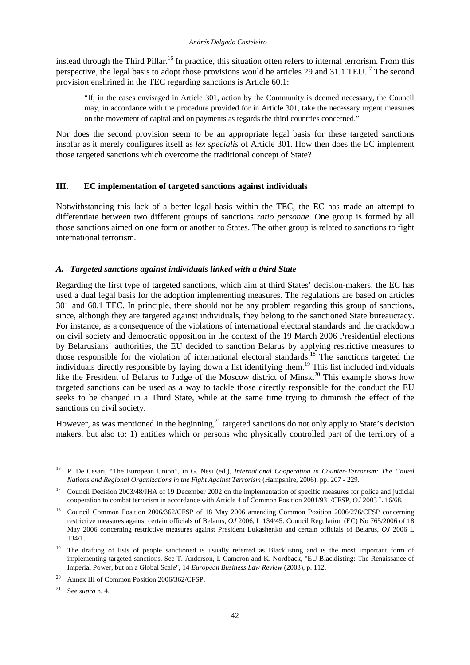instead through the Third Pillar.<sup>16</sup> In practice, this situation often refers to internal terrorism. From this perspective, the legal basis to adopt those provisions would be articles 29 and 31.1 TEU.<sup>17</sup> The second provision enshrined in the TEC regarding sanctions is Article 60.1:

"If, in the cases envisaged in Article 301, action by the Community is deemed necessary, the Council may, in accordance with the procedure provided for in Article 301, take the necessary urgent measures on the movement of capital and on payments as regards the third countries concerned."

Nor does the second provision seem to be an appropriate legal basis for these targeted sanctions insofar as it merely configures itself as *lex specialis* of Article 301. How then does the EC implement those targeted sanctions which overcome the traditional concept of State?

## **III. EC implementation of targeted sanctions against individuals**

Notwithstanding this lack of a better legal basis within the TEC, the EC has made an attempt to differentiate between two different groups of sanctions *ratio personae*. One group is formed by all those sanctions aimed on one form or another to States. The other group is related to sanctions to fight international terrorism.

# *A. Targeted sanctions against individuals linked with a third State*

Regarding the first type of targeted sanctions, which aim at third States' decision-makers, the EC has used a dual legal basis for the adoption implementing measures. The regulations are based on articles 301 and 60.1 TEC. In principle, there should not be any problem regarding this group of sanctions, since, although they are targeted against individuals, they belong to the sanctioned State bureaucracy. For instance, as a consequence of the violations of international electoral standards and the crackdown on civil society and democratic opposition in the context of the 19 March 2006 Presidential elections by Belarusians' authorities, the EU decided to sanction Belarus by applying restrictive measures to those responsible for the violation of international electoral standards.<sup>18</sup> The sanctions targeted the individuals directly responsible by laying down a list identifying them.<sup>19</sup> This list included individuals like the President of Belarus to Judge of the Moscow district of Minsk.<sup>20</sup> This example shows how targeted sanctions can be used as a way to tackle those directly responsible for the conduct the EU seeks to be changed in a Third State, while at the same time trying to diminish the effect of the sanctions on civil society.

However, as was mentioned in the beginning, $^{21}$  targeted sanctions do not only apply to State's decision makers, but also to: 1) entities which or persons who physically controlled part of the territory of a

<sup>16</sup> P. De Cesari, "The European Union", in G. Nesi (ed.), *International Cooperation in Counter-Terrorism: The United Nations and Regional Organizations in the Fight Against Terrorism* (Hampshire, 2006), pp. 207 - 229.

<sup>&</sup>lt;sup>17</sup> Council Decision 2003/48/JHA of 19 December 2002 on the implementation of specific measures for police and judicial cooperation to combat terrorism in accordance with Article 4 of Common Position 2001/931/CFSP, *OJ* 2003 L 16/68*.* 

<sup>&</sup>lt;sup>18</sup> Council Common Position 2006/362/CFSP of 18 May 2006 amending Common Position 2006/276/CFSP concerning restrictive measures against certain officials of Belarus, *OJ* 2006, L 134/45. Council Regulation (EC) No 765/2006 of 18 May 2006 concerning restrictive measures against President Lukashenko and certain officials of Belarus, *OJ* 2006 L 134/1.

<sup>&</sup>lt;sup>19</sup> The drafting of lists of people sanctioned is usually referred as Blacklisting and is the most important form of implementing targeted sanctions. See T. Anderson, I. Cameron and K. Nordback, "EU Blacklisting: The Renaissance of Imperial Power, but on a Global Scale", 14 *European Business Law Review* (2003), p. 112.

<sup>&</sup>lt;sup>20</sup> Annex III of Common Position 2006/362/CFSP.

<sup>21</sup> See *supra* n. 4.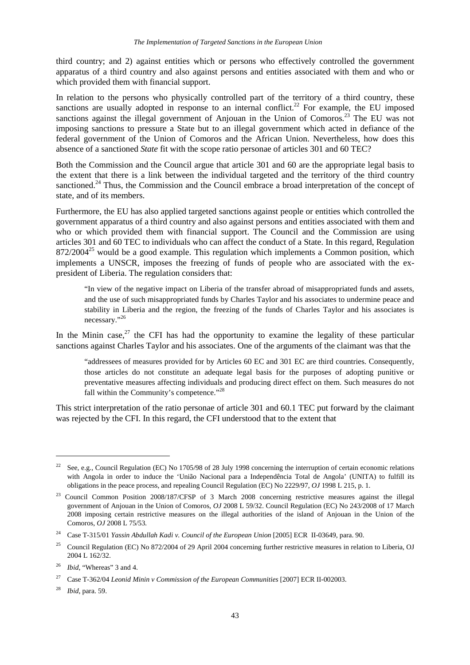third country; and 2) against entities which or persons who effectively controlled the government apparatus of a third country and also against persons and entities associated with them and who or which provided them with financial support.

In relation to the persons who physically controlled part of the territory of a third country, these sanctions are usually adopted in response to an internal conflict.<sup>22</sup> For example, the EU imposed sanctions against the illegal government of Anjouan in the Union of Comoros.<sup>23</sup> The EU was not imposing sanctions to pressure a State but to an illegal government which acted in defiance of the federal government of the Union of Comoros and the African Union. Nevertheless, how does this absence of a sanctioned *State* fit with the scope ratio personae of articles 301 and 60 TEC?

Both the Commission and the Council argue that article 301 and 60 are the appropriate legal basis to the extent that there is a link between the individual targeted and the territory of the third country sanctioned.<sup>24</sup> Thus, the Commission and the Council embrace a broad interpretation of the concept of state, and of its members.

Furthermore, the EU has also applied targeted sanctions against people or entities which controlled the government apparatus of a third country and also against persons and entities associated with them and who or which provided them with financial support. The Council and the Commission are using articles 301 and 60 TEC to individuals who can affect the conduct of a State. In this regard, Regulation  $872/2004^{25}$  would be a good example. This regulation which implements a Common position, which implements a UNSCR, imposes the freezing of funds of people who are associated with the expresident of Liberia. The regulation considers that:

"In view of the negative impact on Liberia of the transfer abroad of misappropriated funds and assets, and the use of such misappropriated funds by Charles Taylor and his associates to undermine peace and stability in Liberia and the region, the freezing of the funds of Charles Taylor and his associates is necessary."<sup>26</sup>

In the Minin case,  $27$  the CFI has had the opportunity to examine the legality of these particular sanctions against Charles Taylor and his associates. One of the arguments of the claimant was that the

"addressees of measures provided for by Articles 60 EC and 301 EC are third countries. Consequently, those articles do not constitute an adequate legal basis for the purposes of adopting punitive or preventative measures affecting individuals and producing direct effect on them. Such measures do not fall within the Community's competence."<sup>28</sup>

This strict interpretation of the ratio personae of article 301 and 60.1 TEC put forward by the claimant was rejected by the CFI. In this regard, the CFI understood that to the extent that

<sup>22</sup> See, e.g., Council Regulation (EC) No 1705/98 of 28 July 1998 concerning the interruption of certain economic relations with Angola in order to induce the 'União Nacional para a Independência Total de Angola' (UNITA) to fulfill its obligations in the peace process, and repealing Council Regulation (EC) No 2229/97, *OJ* 1998 L 215, p. 1.

<sup>&</sup>lt;sup>23</sup> Council Common Position 2008/187/CFSP of 3 March 2008 concerning restrictive measures against the illegal government of Anjouan in the Union of Comoros, *OJ* 2008 L 59/32. Council Regulation (EC) No 243/2008 of 17 March 2008 imposing certain restrictive measures on the illegal authorities of the island of Anjouan in the Union of the Comoros, *OJ* 2008 L 75/53*.*

<sup>24</sup> Case T-315/01 *Yassin Abdullah Kadi v. Council of the European Union* [2005] ECR II-03649, para. 90.

<sup>&</sup>lt;sup>25</sup> Council Regulation (EC) No 872/2004 of 29 April 2004 concerning further restrictive measures in relation to Liberia, OJ 2004 L 162/32.

<sup>26</sup> *Ibid*, "Whereas" 3 and 4.

<sup>27</sup> Case T-362/04 *Leonid Minin v Commission of the European Communities* [2007] ECR II-002003.

<sup>28</sup> *Ibid*, para. 59.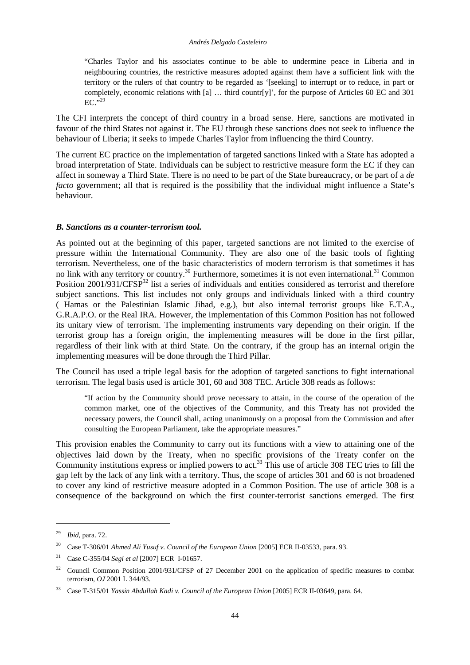"Charles Taylor and his associates continue to be able to undermine peace in Liberia and in neighbouring countries, the restrictive measures adopted against them have a sufficient link with the territory or the rulers of that country to be regarded as '[seeking] to interrupt or to reduce, in part or completely, economic relations with  $[a]$  ... third countr $[y]$ ', for the purpose of Articles 60 EC and 301  $EC.$ <sup>"29</sup>

The CFI interprets the concept of third country in a broad sense. Here, sanctions are motivated in favour of the third States not against it. The EU through these sanctions does not seek to influence the behaviour of Liberia; it seeks to impede Charles Taylor from influencing the third Country.

The current EC practice on the implementation of targeted sanctions linked with a State has adopted a broad interpretation of State. Individuals can be subject to restrictive measure form the EC if they can affect in someway a Third State. There is no need to be part of the State bureaucracy, or be part of a *de facto* government; all that is required is the possibility that the individual might influence a State's behaviour.

#### *B. Sanctions as a counter-terrorism tool.*

As pointed out at the beginning of this paper, targeted sanctions are not limited to the exercise of pressure within the International Community. They are also one of the basic tools of fighting terrorism. Nevertheless, one of the basic characteristics of modern terrorism is that sometimes it has no link with any territory or country.<sup>30</sup> Furthermore, sometimes it is not even international.<sup>31</sup> Common Position 2001/931/CFSP<sup>32</sup> list a series of individuals and entities considered as terrorist and therefore subject sanctions. This list includes not only groups and individuals linked with a third country ( Hamas or the Palestinian Islamic Jihad, e.g.), but also internal terrorist groups like E.T.A., G.R.A.P.O. or the Real IRA. However, the implementation of this Common Position has not followed its unitary view of terrorism. The implementing instruments vary depending on their origin. If the terrorist group has a foreign origin, the implementing measures will be done in the first pillar, regardless of their link with at third State. On the contrary, if the group has an internal origin the implementing measures will be done through the Third Pillar.

The Council has used a triple legal basis for the adoption of targeted sanctions to fight international terrorism. The legal basis used is article 301, 60 and 308 TEC. Article 308 reads as follows:

"If action by the Community should prove necessary to attain, in the course of the operation of the common market, one of the objectives of the Community, and this Treaty has not provided the necessary powers, the Council shall, acting unanimously on a proposal from the Commission and after consulting the European Parliament, take the appropriate measures."

This provision enables the Community to carry out its functions with a view to attaining one of the objectives laid down by the Treaty, when no specific provisions of the Treaty confer on the Community institutions express or implied powers to act.<sup>33</sup> This use of article 308 TEC tries to fill the gap left by the lack of any link with a territory. Thus, the scope of articles 301 and 60 is not broadened to cover any kind of restrictive measure adopted in a Common Position. The use of article 308 is a consequence of the background on which the first counter-terrorist sanctions emerged. The first

<sup>29</sup> *Ibid*, para. 72.

<sup>30</sup> Case T-306/01 *Ahmed Ali Yusuf v. Council of the European Union* [2005] ECR II-03533, para. 93.

<sup>31</sup> Case C-355/04 *Segi et al* [2007] ECR I-01657.

<sup>&</sup>lt;sup>32</sup> Council Common Position 2001/931/CFSP of 27 December 2001 on the application of specific measures to combat terrorism, *OJ* 2001 L 344/93.

<sup>33</sup> Case T-315/01 *Yassin Abdullah Kadi v. Council of the European Union* [2005] ECR II-03649, para. 64.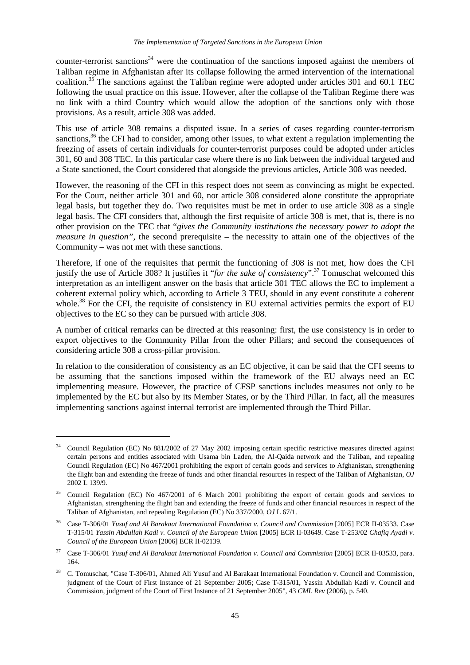counter-terrorist sanctions<sup>34</sup> were the continuation of the sanctions imposed against the members of Taliban regime in Afghanistan after its collapse following the armed intervention of the international coalition.<sup>35</sup> The sanctions against the Taliban regime were adopted under articles 301 and 60.1 TEC following the usual practice on this issue. However, after the collapse of the Taliban Regime there was no link with a third Country which would allow the adoption of the sanctions only with those provisions. As a result, article 308 was added.

This use of article 308 remains a disputed issue. In a series of cases regarding counter-terrorism sanctions,<sup>36</sup> the CFI had to consider, among other issues, to what extent a regulation implementing the freezing of assets of certain individuals for counter-terrorist purposes could be adopted under articles 301, 60 and 308 TEC. In this particular case where there is no link between the individual targeted and a State sanctioned, the Court considered that alongside the previous articles, Article 308 was needed.

However, the reasoning of the CFI in this respect does not seem as convincing as might be expected. For the Court, neither article 301 and 60, nor article 308 considered alone constitute the appropriate legal basis, but together they do. Two requisites must be met in order to use article 308 as a single legal basis. The CFI considers that, although the first requisite of article 308 is met, that is, there is no other provision on the TEC that "*gives the Community institutions the necessary power to adopt the measure in question"*, the second prerequisite – the necessity to attain one of the objectives of the Community – was not met with these sanctions.

Therefore, if one of the requisites that permit the functioning of 308 is not met, how does the CFI justify the use of Article 308? It justifies it "*for the sake of consistency*".<sup>37</sup> Tomuschat welcomed this interpretation as an intelligent answer on the basis that article 301 TEC allows the EC to implement a coherent external policy which, according to Article 3 TEU, should in any event constitute a coherent whole.<sup>38</sup> For the CFI, the requisite of consistency in EU external activities permits the export of EU objectives to the EC so they can be pursued with article 308.

A number of critical remarks can be directed at this reasoning: first, the use consistency is in order to export objectives to the Community Pillar from the other Pillars; and second the consequences of considering article 308 a cross-pillar provision.

In relation to the consideration of consistency as an EC objective, it can be said that the CFI seems to be assuming that the sanctions imposed within the framework of the EU always need an EC implementing measure. However, the practice of CFSP sanctions includes measures not only to be implemented by the EC but also by its Member States, or by the Third Pillar. In fact, all the measures implementing sanctions against internal terrorist are implemented through the Third Pillar.

l

<sup>34</sup> Council Regulation (EC) No 881/2002 of 27 May 2002 imposing certain specific restrictive measures directed against certain persons and entities associated with Usama bin Laden, the Al-Qaida network and the Taliban, and repealing Council Regulation (EC) No 467/2001 prohibiting the export of certain goods and services to Afghanistan, strengthening the flight ban and extending the freeze of funds and other financial resources in respect of the Taliban of Afghanistan, *OJ* 2002 L 139/9.

<sup>&</sup>lt;sup>35</sup> Council Regulation (EC) No 467/2001 of 6 March 2001 prohibiting the export of certain goods and services to Afghanistan, strengthening the flight ban and extending the freeze of funds and other financial resources in respect of the Taliban of Afghanistan, and repealing Regulation (EC) No 337/2000, *OJ* L 67/1.

<sup>36</sup> Case T-306/01 *Yusuf and Al Barakaat International Foundation v. Council and Commission* [2005] ECR II-03533. Case T-315/01 *Yassin Abdullah Kadi v. Council of the European Union* [2005] ECR II-03649. Case T-253/02 *Chafiq Ayadi v. Council of the European Union* [2006] ECR II-02139.

<sup>37</sup> Case T-306/01 *Yusuf and Al Barakaat International Foundation v. Council and Commission* [2005] ECR II-03533, para. 164.

<sup>38</sup> C. Tomuschat, "Case T-306/01, Ahmed Ali Yusuf and Al Barakaat International Foundation v. Council and Commission, judgment of the Court of First Instance of 21 September 2005; Case T-315/01, Yassin Abdullah Kadi v. Council and Commission, judgment of the Court of First Instance of 21 September 2005", 43 *CML Rev* (2006), p. 540.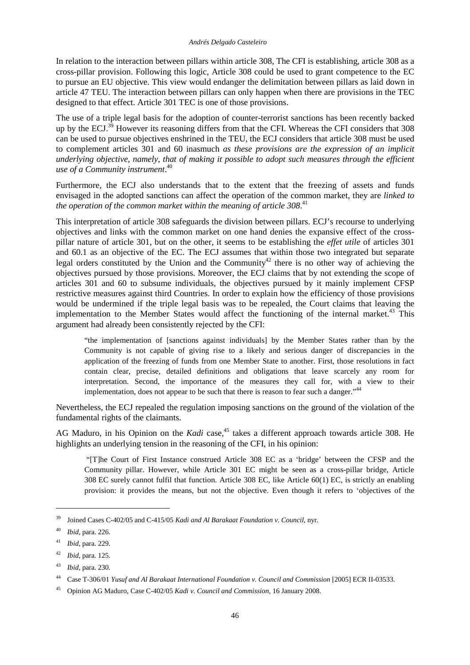In relation to the interaction between pillars within article 308, The CFI is establishing, article 308 as a cross-pillar provision. Following this logic, Article 308 could be used to grant competence to the EC to pursue an EU objective. This view would endanger the delimitation between pillars as laid down in article 47 TEU. The interaction between pillars can only happen when there are provisions in the TEC designed to that effect. Article 301 TEC is one of those provisions.

The use of a triple legal basis for the adoption of counter-terrorist sanctions has been recently backed up by the ECJ.<sup>39</sup> However its reasoning differs from that the CFI. Whereas the CFI considers that 308 can be used to pursue objectives enshrined in the TEU, the ECJ considers that article 308 must be used to complement articles 301 and 60 inasmuch *as these provisions are the expression of an implicit underlying objective, namely, that of making it possible to adopt such measures through the efficient use of a Community instrument*. 40

Furthermore, the ECJ also understands that to the extent that the freezing of assets and funds envisaged in the adopted sanctions can affect the operation of the common market, they are *linked to the operation of the common market within the meaning of article 308*. 41

This interpretation of article 308 safeguards the division between pillars. ECJ's recourse to underlying objectives and links with the common market on one hand denies the expansive effect of the crosspillar nature of article 301, but on the other, it seems to be establishing the *effet utile* of articles 301 and 60.1 as an objective of the EC. The ECJ assumes that within those two integrated but separate legal orders constituted by the Union and the Community<sup>42</sup> there is no other way of achieving the objectives pursued by those provisions. Moreover, the ECJ claims that by not extending the scope of articles 301 and 60 to subsume individuals, the objectives pursued by it mainly implement CFSP restrictive measures against third Countries. In order to explain how the efficiency of those provisions would be undermined if the triple legal basis was to be repealed, the Court claims that leaving the implementation to the Member States would affect the functioning of the internal market.<sup>43</sup> This argument had already been consistently rejected by the CFI:

"the implementation of [sanctions against individuals] by the Member States rather than by the Community is not capable of giving rise to a likely and serious danger of discrepancies in the application of the freezing of funds from one Member State to another. First, those resolutions in fact contain clear, precise, detailed definitions and obligations that leave scarcely any room for interpretation. Second, the importance of the measures they call for, with a view to their implementation, does not appear to be such that there is reason to fear such a danger."<sup>44</sup>

Nevertheless, the ECJ repealed the regulation imposing sanctions on the ground of the violation of the fundamental rights of the claimants.

AG Maduro, in his Opinion on the *Kadi* case,<sup>45</sup> takes a different approach towards article 308. He highlights an underlying tension in the reasoning of the CFI, in his opinion:

 "[T]he Court of First Instance construed Article 308 EC as a 'bridge' between the CFSP and the Community pillar. However, while Article 301 EC might be seen as a cross-pillar bridge, Article 308 EC surely cannot fulfil that function. Article 308 EC, like Article 60(1) EC, is strictly an enabling provision: it provides the means, but not the objective. Even though it refers to 'objectives of the

<sup>39</sup> Joined Cases C-402/05 and C-415/05 *Kadi and Al Barakaat Foundation v. Council*, nyr.

<sup>40</sup> *Ibid*, para. 226.

<sup>41</sup> *Ibid*, para. 229.

<sup>42</sup> *Ibid*, para. 125.

<sup>43</sup> *Ibid*, para. 230.

<sup>44</sup> Case T-306/01 *Yusuf and Al Barakaat International Foundation v. Council and Commission* [2005] ECR II-03533.

<sup>45</sup> Opinion AG Maduro, Case C-402/05 *Kadi v. Council and Commission*, 16 January 2008.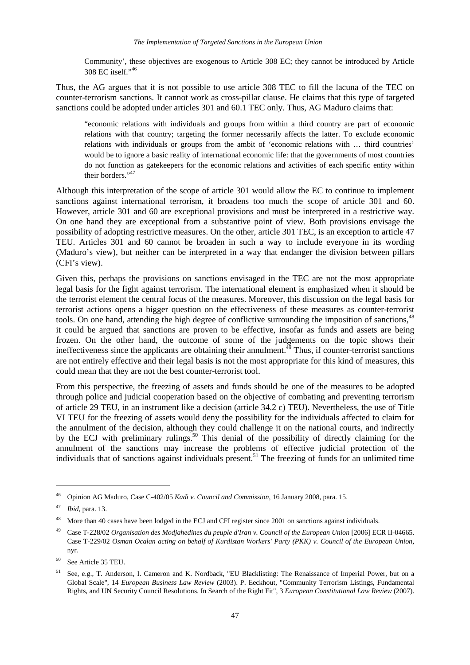Community', these objectives are exogenous to Article 308 EC; they cannot be introduced by Article 308 EC itself."<sup>46</sup>

Thus, the AG argues that it is not possible to use article 308 TEC to fill the lacuna of the TEC on counter-terrorism sanctions. It cannot work as cross-pillar clause. He claims that this type of targeted sanctions could be adopted under articles 301 and 60.1 TEC only. Thus, AG Maduro claims that:

"economic relations with individuals and groups from within a third country are part of economic relations with that country; targeting the former necessarily affects the latter. To exclude economic relations with individuals or groups from the ambit of 'economic relations with … third countries' would be to ignore a basic reality of international economic life: that the governments of most countries do not function as gatekeepers for the economic relations and activities of each specific entity within their borders."<sup>47</sup>

Although this interpretation of the scope of article 301 would allow the EC to continue to implement sanctions against international terrorism, it broadens too much the scope of article 301 and 60. However, article 301 and 60 are exceptional provisions and must be interpreted in a restrictive way. On one hand they are exceptional from a substantive point of view. Both provisions envisage the possibility of adopting restrictive measures. On the other, article 301 TEC, is an exception to article 47 TEU. Articles 301 and 60 cannot be broaden in such a way to include everyone in its wording (Maduro's view), but neither can be interpreted in a way that endanger the division between pillars (CFI's view).

Given this, perhaps the provisions on sanctions envisaged in the TEC are not the most appropriate legal basis for the fight against terrorism. The international element is emphasized when it should be the terrorist element the central focus of the measures. Moreover, this discussion on the legal basis for terrorist actions opens a bigger question on the effectiveness of these measures as counter-terrorist tools. On one hand, attending the high degree of conflictive surrounding the imposition of sanctions,<sup>48</sup> it could be argued that sanctions are proven to be effective, insofar as funds and assets are being frozen. On the other hand, the outcome of some of the judgements on the topic shows their ineffectiveness since the applicants are obtaining their annulment.<sup>49</sup> Thus, if counter-terrorist sanctions are not entirely effective and their legal basis is not the most appropriate for this kind of measures, this could mean that they are not the best counter-terrorist tool.

From this perspective, the freezing of assets and funds should be one of the measures to be adopted through police and judicial cooperation based on the objective of combating and preventing terrorism of article 29 TEU, in an instrument like a decision (article 34.2 c) TEU). Nevertheless, the use of Title VI TEU for the freezing of assets would deny the possibility for the individuals affected to claim for the annulment of the decision, although they could challenge it on the national courts, and indirectly by the ECJ with preliminary rulings.<sup>50</sup> This denial of the possibility of directly claiming for the annulment of the sanctions may increase the problems of effective judicial protection of the individuals that of sanctions against individuals present.<sup>51</sup> The freezing of funds for an unlimited time

<sup>46</sup> Opinion AG Maduro, Case C-402/05 *Kadi v. Council and Commission*, 16 January 2008, para. 15.

<sup>47</sup> *Ibid*, para. 13.

<sup>&</sup>lt;sup>48</sup> More than 40 cases have been lodged in the ECJ and CFI register since 2001 on sanctions against individuals.

<sup>49</sup> Case T-228/02 *Organisation des Modjahedines du peuple d'Iran v. Council of the European Union* [2006] ECR II-04665. Case T-229/02 *Osman Ocalan acting on behalf of Kurdistan Workers' Party (PKK) v. Council of the European Union,*  nyr*.* 

<sup>50</sup> See Article 35 TEU.

<sup>&</sup>lt;sup>51</sup> See, e.g., T. Anderson, I. Cameron and K. Nordback, "EU Blacklisting: The Renaissance of Imperial Power, but on a Global Scale", 14 *European Business Law Review* (2003). P. Eeckhout, "Community Terrorism Listings, Fundamental Rights, and UN Security Council Resolutions. In Search of the Right Fit", 3 *European Constitutional Law Review* (2007).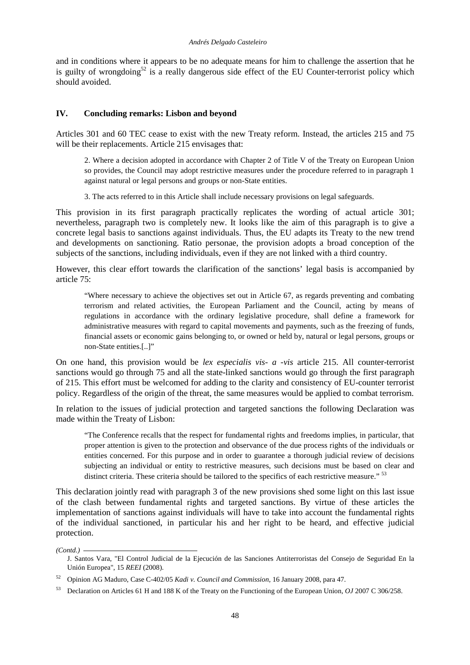and in conditions where it appears to be no adequate means for him to challenge the assertion that he is guilty of wrongdoing<sup>52</sup> is a really dangerous side effect of the EU Counter-terrorist policy which should avoided.

#### **IV. Concluding remarks: Lisbon and beyond**

Articles 301 and 60 TEC cease to exist with the new Treaty reform. Instead, the articles 215 and 75 will be their replacements. Article 215 envisages that:

2. Where a decision adopted in accordance with Chapter 2 of Title V of the Treaty on European Union so provides, the Council may adopt restrictive measures under the procedure referred to in paragraph 1 against natural or legal persons and groups or non-State entities.

3. The acts referred to in this Article shall include necessary provisions on legal safeguards.

This provision in its first paragraph practically replicates the wording of actual article 301; nevertheless, paragraph two is completely new. It looks like the aim of this paragraph is to give a concrete legal basis to sanctions against individuals. Thus, the EU adapts its Treaty to the new trend and developments on sanctioning. Ratio personae, the provision adopts a broad conception of the subjects of the sanctions, including individuals, even if they are not linked with a third country.

However, this clear effort towards the clarification of the sanctions' legal basis is accompanied by article 75:

"Where necessary to achieve the objectives set out in Article 67, as regards preventing and combating terrorism and related activities, the European Parliament and the Council, acting by means of regulations in accordance with the ordinary legislative procedure, shall define a framework for administrative measures with regard to capital movements and payments, such as the freezing of funds, financial assets or economic gains belonging to, or owned or held by, natural or legal persons, groups or non-State entities.[..]"

On one hand, this provision would be *lex especialis vis- a -vis* article 215. All counter-terrorist sanctions would go through 75 and all the state-linked sanctions would go through the first paragraph of 215. This effort must be welcomed for adding to the clarity and consistency of EU-counter terrorist policy. Regardless of the origin of the threat, the same measures would be applied to combat terrorism.

In relation to the issues of judicial protection and targeted sanctions the following Declaration was made within the Treaty of Lisbon:

"The Conference recalls that the respect for fundamental rights and freedoms implies, in particular, that proper attention is given to the protection and observance of the due process rights of the individuals or entities concerned. For this purpose and in order to guarantee a thorough judicial review of decisions subjecting an individual or entity to restrictive measures, such decisions must be based on clear and distinct criteria. These criteria should be tailored to the specifics of each restrictive measure." <sup>53</sup>

This declaration jointly read with paragraph 3 of the new provisions shed some light on this last issue of the clash between fundamental rights and targeted sanctions. By virtue of these articles the implementation of sanctions against individuals will have to take into account the fundamental rights of the individual sanctioned, in particular his and her right to be heard, and effective judicial protection.

*(Contd.)* 

J. Santos Vara, "El Control Judicial de la Ejecución de las Sanciones Antiterroristas del Consejo de Seguridad En la Unión Europea", 15 *REEI* (2008).

<sup>52</sup> Opinion AG Maduro, Case C-402/05 *Kadi v. Council and Commission*, 16 January 2008, para 47.

<sup>53</sup> Declaration on Articles 61 H and 188 K of the Treaty on the Functioning of the European Union, *OJ* 2007 C 306/258.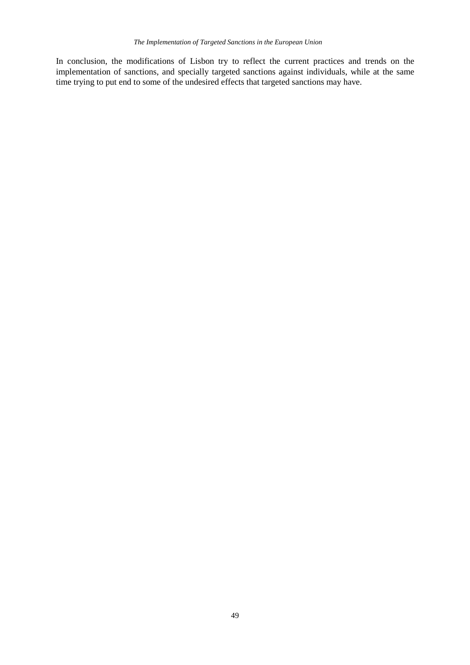In conclusion, the modifications of Lisbon try to reflect the current practices and trends on the implementation of sanctions, and specially targeted sanctions against individuals, while at the same time trying to put end to some of the undesired effects that targeted sanctions may have.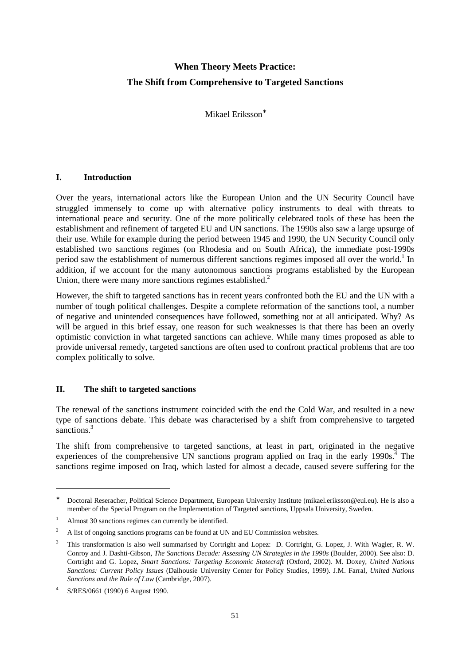# **When Theory Meets Practice: The Shift from Comprehensive to Targeted Sanctions**

Mikael Eriksson<sup>∗</sup>

## **I. Introduction**

Over the years, international actors like the European Union and the UN Security Council have struggled immensely to come up with alternative policy instruments to deal with threats to international peace and security. One of the more politically celebrated tools of these has been the establishment and refinement of targeted EU and UN sanctions. The 1990s also saw a large upsurge of their use. While for example during the period between 1945 and 1990, the UN Security Council only established two sanctions regimes (on Rhodesia and on South Africa), the immediate post-1990s period saw the establishment of numerous different sanctions regimes imposed all over the world.<sup>1</sup> In addition, if we account for the many autonomous sanctions programs established by the European Union, there were many more sanctions regimes established. $2$ 

However, the shift to targeted sanctions has in recent years confronted both the EU and the UN with a number of tough political challenges. Despite a complete reformation of the sanctions tool, a number of negative and unintended consequences have followed, something not at all anticipated. Why? As will be argued in this brief essay, one reason for such weaknesses is that there has been an overly optimistic conviction in what targeted sanctions can achieve. While many times proposed as able to provide universal remedy, targeted sanctions are often used to confront practical problems that are too complex politically to solve.

# **II. The shift to targeted sanctions**

The renewal of the sanctions instrument coincided with the end the Cold War, and resulted in a new type of sanctions debate. This debate was characterised by a shift from comprehensive to targeted sanctions.<sup>3</sup>

The shift from comprehensive to targeted sanctions, at least in part, originated in the negative experiences of the comprehensive UN sanctions program applied on Iraq in the early  $1990s$ <sup> $\frac{1}{1}$ </sup> The sanctions regime imposed on Iraq, which lasted for almost a decade, caused severe suffering for the

l

<sup>∗</sup> Doctoral Reseracher, Political Science Department, European University Institute (mikael.eriksson@eui.eu). He is also a member of the Special Program on the Implementation of Targeted sanctions, Uppsala University, Sweden.

<sup>1</sup> Almost 30 sanctions regimes can currently be identified.

 $\overline{2}$ A list of ongoing sanctions programs can be found at UN and EU Commission websites.

<sup>3</sup> This transformation is also well summarised by Cortright and Lopez: D. Cortright, G. Lopez, J. With Wagler, R. W. Conroy and J. Dashti-Gibson, *The Sanctions Decade: Assessing UN Strategies in the 1990s* (Boulder, 2000). See also: D. Cortright and G. Lopez, *Smart Sanctions: Targeting Economic Statecraft* (Oxford, 2002). M. Doxey, *United Nations Sanctions: Current Policy Issues* (Dalhousie University Center for Policy Studies, 1999). J.M. Farral, *United Nations Sanctions and the Rule of Law* (Cambridge, 2007).

<sup>4</sup> S/RES/0661 (1990) 6 August 1990.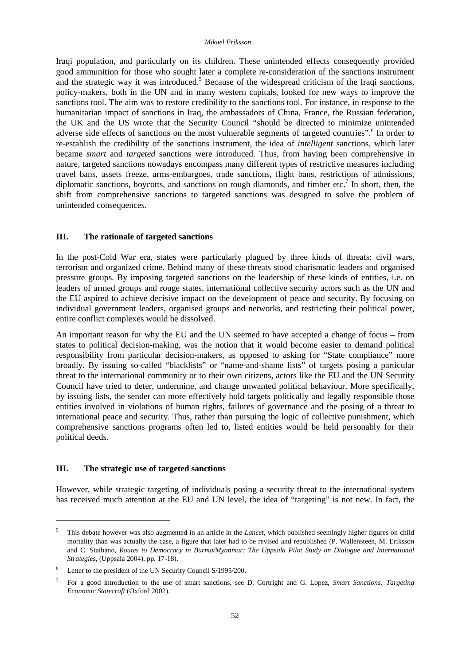#### *Mikael Eriksson*

Iraqi population, and particularly on its children. These unintended effects consequently provided good ammunition for those who sought later a complete re-consideration of the sanctions instrument and the strategic way it was introduced.<sup>5</sup> Because of the widespread criticism of the Iraqi sanctions, policy-makers, both in the UN and in many western capitals, looked for new ways to improve the sanctions tool. The aim was to restore credibility to the sanctions tool. For instance, in response to the humanitarian impact of sanctions in Iraq, the ambassadors of China, France, the Russian federation, the UK and the US wrote that the Security Council "should be directed to minimize unintended adverse side effects of sanctions on the most vulnerable segments of targeted countries".<sup>6</sup> In order to re-establish the credibility of the sanctions instrument, the idea of *intelligent* sanctions, which later became *smart* and *targeted* sanctions were introduced. Thus, from having been comprehensive in nature, targeted sanctions nowadays encompass many different types of restrictive measures including travel bans, assets freeze, arms-embargoes, trade sanctions, flight bans, restrictions of admissions, diplomatic sanctions, boycotts, and sanctions on rough diamonds, and timber etc.<sup>7</sup> In short, then, the shift from comprehensive sanctions to targeted sanctions was designed to solve the problem of unintended consequences.

## **III. The rationale of targeted sanctions**

In the post-Cold War era, states were particularly plagued by three kinds of threats: civil wars, terrorism and organized crime. Behind many of these threats stood charismatic leaders and organised pressure groups. By imposing targeted sanctions on the leadership of these kinds of entities, i.e. on leaders of armed groups and rouge states, international collective security actors such as the UN and the EU aspired to achieve decisive impact on the development of peace and security. By focusing on individual government leaders, organised groups and networks, and restricting their political power, entire conflict complexes would be dissolved.

An important reason for why the EU and the UN seemed to have accepted a change of focus – from states to political decision-making, was the notion that it would become easier to demand political responsibility from particular decision-makers, as opposed to asking for "State compliance" more broadly. By issuing so-called "blacklists" or "name-and-shame lists" of targets posing a particular threat to the international community or to their own citizens, actors like the EU and the UN Security Council have tried to deter, undermine, and change unwanted political behaviour. More specifically, by issuing lists, the sender can more effectively hold targets politically and legally responsible those entities involved in violations of human rights, failures of governance and the posing of a threat to international peace and security. Thus, rather than pursuing the logic of collective punishment, which comprehensive sanctions programs often led to, listed entities would be held personably for their political deeds.

## **III. The strategic use of targeted sanctions**

 $\overline{a}$ 

However, while strategic targeting of individuals posing a security threat to the international system has received much attention at the EU and UN level, the idea of "targeting" is not new. In fact, the

<sup>5</sup> This debate however was also augmented in an article in the *Lancet*, which published seemingly higher figures on child mortality than was actually the case, a figure that later had to be revised and republished (P. Wallensteen, M. Eriksson and C. Staibano, *Routes to Democracy in Burma/Myanmar: The Uppsala Pilot Study on Dialogue and International Strategies*, (Uppsala 2004), pp. 17-18).

<sup>6</sup> Letter to the president of the UN Security Council S/1995/200.

<sup>7</sup> For a good introduction to the use of smart sanctions, see D. Cortright and G. Lopez, *Smart Sanctions: Targeting Economic Statecraft* (Oxford 2002).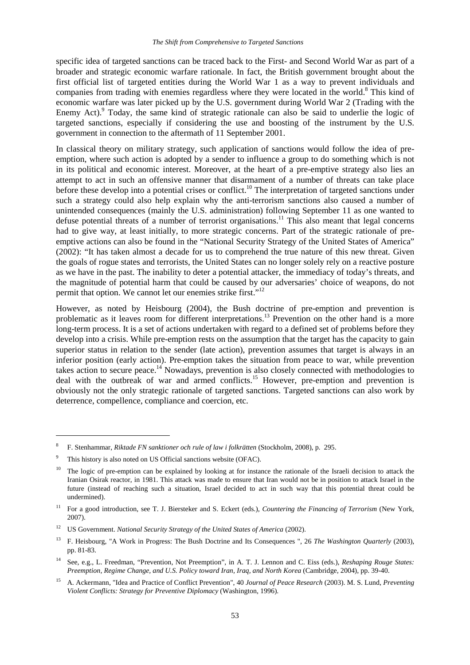specific idea of targeted sanctions can be traced back to the First- and Second World War as part of a broader and strategic economic warfare rationale. In fact, the British government brought about the first official list of targeted entities during the World War 1 as a way to prevent individuals and companies from trading with enemies regardless where they were located in the world.<sup>8</sup> This kind of economic warfare was later picked up by the U.S. government during World War 2 (Trading with the Enemy Act).<sup>9</sup> Today, the same kind of strategic rationale can also be said to underlie the logic of targeted sanctions, especially if considering the use and boosting of the instrument by the U.S. government in connection to the aftermath of 11 September 2001.

In classical theory on military strategy, such application of sanctions would follow the idea of preemption, where such action is adopted by a sender to influence a group to do something which is not in its political and economic interest. Moreover, at the heart of a pre-emptive strategy also lies an attempt to act in such an offensive manner that disarmament of a number of threats can take place before these develop into a potential crises or conflict.<sup>10</sup> The interpretation of targeted sanctions under such a strategy could also help explain why the anti-terrorism sanctions also caused a number of unintended consequences (mainly the U.S. administration) following September 11 as one wanted to defuse potential threats of a number of terrorist organisations.<sup>11</sup> This also meant that legal concerns had to give way, at least initially, to more strategic concerns. Part of the strategic rationale of preemptive actions can also be found in the "National Security Strategy of the United States of America" (2002): "It has taken almost a decade for us to comprehend the true nature of this new threat. Given the goals of rogue states and terrorists, the United States can no longer solely rely on a reactive posture as we have in the past. The inability to deter a potential attacker, the immediacy of today's threats, and the magnitude of potential harm that could be caused by our adversaries' choice of weapons, do not permit that option. We cannot let our enemies strike first."<sup>12</sup>

However, as noted by Heisbourg (2004), the Bush doctrine of pre-emption and prevention is problematic as it leaves room for different interpretations.<sup>13</sup> Prevention on the other hand is a more long-term process. It is a set of actions undertaken with regard to a defined set of problems before they develop into a crisis. While pre-emption rests on the assumption that the target has the capacity to gain superior status in relation to the sender (late action), prevention assumes that target is always in an inferior position (early action). Pre-emption takes the situation from peace to war, while prevention takes action to secure peace.<sup>14</sup> Nowadays, prevention is also closely connected with methodologies to deal with the outbreak of war and armed conflicts.<sup>15</sup> However, pre-emption and prevention is obviously not the only strategic rationale of targeted sanctions. Targeted sanctions can also work by deterrence, compellence, compliance and coercion, etc.

<sup>8</sup> F. Stenhammar, *Riktade FN sanktioner och rule of law i folkrätten* (Stockholm, 2008), p. 295.

<sup>9</sup> This history is also noted on US Official sanctions website (OFAC).

<sup>&</sup>lt;sup>10</sup> The logic of pre-emption can be explained by looking at for instance the rationale of the Israeli decision to attack the Iranian Osirak reactor, in 1981. This attack was made to ensure that Iran would not be in position to attack Israel in the future (instead of reaching such a situation, Israel decided to act in such way that this potential threat could be undermined).

<sup>11</sup> For a good introduction, see T. J. Biersteker and S. Eckert (eds.), *Countering the Financing of Terrorism* (New York, 2007).

<sup>&</sup>lt;sup>12</sup> US Government. *National Security Strategy of the United States of America* (2002).

<sup>13</sup> F. Heisbourg, "A Work in Progress: The Bush Doctrine and Its Consequences ", 26 *The Washington Quarterly* (2003), pp. 81-83.

<sup>14</sup> See, e.g., L. Freedman, "Prevention, Not Preemption", in A. T. J. Lennon and C. Eiss (eds.), *Reshaping Rouge States: Preemption, Regime Change, and U.S. Policy toward Iran, Iraq, and North Korea* (Cambridge, 2004), pp. 39-40.

<sup>15</sup> A. Ackermann, "Idea and Practice of Conflict Prevention", 40 *Journal of Peace Research* (2003). M. S. Lund, *Preventing Violent Conflicts: Strategy for Preventive Diplomacy* (Washington, 1996).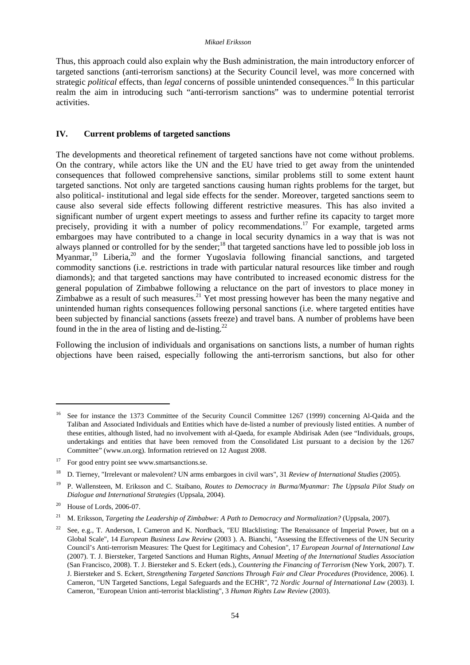Thus, this approach could also explain why the Bush administration, the main introductory enforcer of targeted sanctions (anti-terrorism sanctions) at the Security Council level, was more concerned with strategic *political* effects, than *legal* concerns of possible unintended consequences.<sup>16</sup> In this particular realm the aim in introducing such "anti-terrorism sanctions" was to undermine potential terrorist activities.

### **IV. Current problems of targeted sanctions**

The developments and theoretical refinement of targeted sanctions have not come without problems. On the contrary, while actors like the UN and the EU have tried to get away from the unintended consequences that followed comprehensive sanctions, similar problems still to some extent haunt targeted sanctions. Not only are targeted sanctions causing human rights problems for the target, but also political- institutional and legal side effects for the sender. Moreover, targeted sanctions seem to cause also several side effects following different restrictive measures. This has also invited a significant number of urgent expert meetings to assess and further refine its capacity to target more precisely, providing it with a number of policy recommendations.<sup>17</sup> For example, targeted arms embargoes may have contributed to a change in local security dynamics in a way that is was not always planned or controlled for by the sender;<sup>18</sup> that targeted sanctions have led to possible job loss in Myanmar,<sup>19</sup> Liberia,<sup>20</sup> and the former Yugoslavia following financial sanctions, and targeted commodity sanctions (i.e. restrictions in trade with particular natural resources like timber and rough diamonds); and that targeted sanctions may have contributed to increased economic distress for the general population of Zimbabwe following a reluctance on the part of investors to place money in Zimbabwe as a result of such measures.<sup>21</sup> Yet most pressing however has been the many negative and unintended human rights consequences following personal sanctions (i.e. where targeted entities have been subjected by financial sanctions (assets freeze) and travel bans. A number of problems have been found in the in the area of listing and de-listing.<sup>22</sup>

Following the inclusion of individuals and organisations on sanctions lists, a number of human rights objections have been raised, especially following the anti-terrorism sanctions, but also for other

<sup>&</sup>lt;sup>16</sup> See for instance the 1373 Committee of the Security Council Committee 1267 (1999) concerning Al-Qaida and the Taliban and Associated Individuals and Entities which have de-listed a number of previously listed entities. A number of these entities, although listed, had no involvement with al-Qaeda, for example Abdirisak Aden (see "Individuals, groups, undertakings and entities that have been removed from the Consolidated List pursuant to a decision by the 1267 Committee" (www.un.org). Information retrieved on 12 August 2008.

<sup>&</sup>lt;sup>17</sup> For good entry point see www.smartsanctions.se.

<sup>18</sup> D. Tierney, "Irrelevant or malevolent? UN arms embargoes in civil wars", 31 *Review of International Studies* (2005).

<sup>19</sup> P. Wallensteen, M. Eriksson and C. Staibano, *Routes to Democracy in Burma/Myanmar: The Uppsala Pilot Study on Dialogue and International Strategies* (Uppsala, 2004).

 $20$  House of Lords, 2006-07.

<sup>&</sup>lt;sup>21</sup> M. Eriksson, *Targeting the Leadership of Zimbabwe: A Path to Democracy and Normalization?* (Uppsala, 2007).

<sup>&</sup>lt;sup>22</sup> See, e.g., T. Anderson, I. Cameron and K. Nordback, "EU Blacklisting: The Renaissance of Imperial Power, but on a Global Scale", 14 *European Business Law Review* (2003 ). A. Bianchi, "Assessing the Effectiveness of the UN Security Council's Anti-terrorism Measures: The Quest for Legitimacy and Cohesion", 17 *European Journal of International Law*  (2007). T. J. Biersteker, Targeted Sanctions and Human Rights, *Annual Meeting of the International Studies Association*  (San Francisco, 2008). T. J. Biersteker and S. Eckert (eds.), *Countering the Financing of Terrorism* (New York, 2007). T. J. Biersteker and S. Eckert, *Strengthening Targeted Sanctions Through Fair and Clear Procedures* (Providence, 2006). I. Cameron, "UN Targeted Sanctions, Legal Safeguards and the ECHR", 72 *Nordic Journal of International Law* (2003). I. Cameron, "European Union anti-terrorist blacklisting", 3 *Human Rights Law Review* (2003).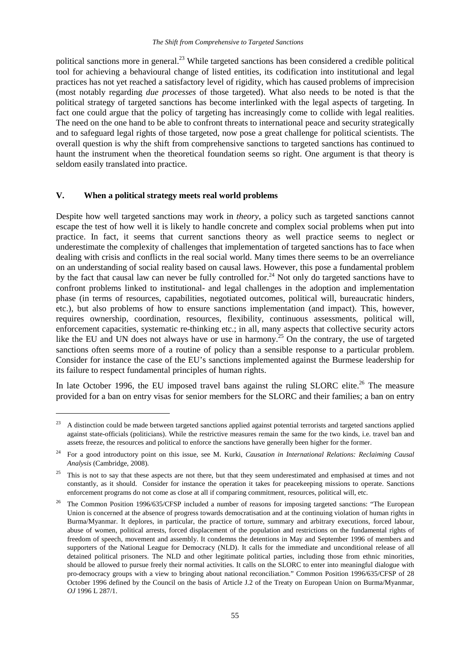political sanctions more in general.<sup>23</sup> While targeted sanctions has been considered a credible political tool for achieving a behavioural change of listed entities, its codification into institutional and legal practices has not yet reached a satisfactory level of rigidity, which has caused problems of imprecision (most notably regarding *due processes* of those targeted). What also needs to be noted is that the political strategy of targeted sanctions has become interlinked with the legal aspects of targeting. In fact one could argue that the policy of targeting has increasingly come to collide with legal realities. The need on the one hand to be able to confront threats to international peace and security strategically and to safeguard legal rights of those targeted, now pose a great challenge for political scientists. The overall question is why the shift from comprehensive sanctions to targeted sanctions has continued to haunt the instrument when the theoretical foundation seems so right. One argument is that theory is seldom easily translated into practice.

#### **V. When a political strategy meets real world problems**

 $\overline{a}$ 

Despite how well targeted sanctions may work in *theory*, a policy such as targeted sanctions cannot escape the test of how well it is likely to handle concrete and complex social problems when put into practice. In fact, it seems that current sanctions theory as well practice seems to neglect or underestimate the complexity of challenges that implementation of targeted sanctions has to face when dealing with crisis and conflicts in the real social world. Many times there seems to be an overreliance on an understanding of social reality based on causal laws. However, this pose a fundamental problem by the fact that causal law can never be fully controlled for.<sup>24</sup> Not only do targeted sanctions have to confront problems linked to institutional- and legal challenges in the adoption and implementation phase (in terms of resources, capabilities, negotiated outcomes, political will, bureaucratic hinders, etc.), but also problems of how to ensure sanctions implementation (and impact). This, however, requires ownership, coordination, resources, flexibility, continuous assessments, political will, enforcement capacities, systematic re-thinking etc.; in all, many aspects that collective security actors like the EU and UN does not always have or use in harmony.<sup>25</sup> On the contrary, the use of targeted sanctions often seems more of a routine of policy than a sensible response to a particular problem. Consider for instance the case of the EU's sanctions implemented against the Burmese leadership for its failure to respect fundamental principles of human rights.

In late October 1996, the EU imposed travel bans against the ruling SLORC elite.<sup>26</sup> The measure provided for a ban on entry visas for senior members for the SLORC and their families; a ban on entry

<sup>&</sup>lt;sup>23</sup> A distinction could be made between targeted sanctions applied against potential terrorists and targeted sanctions applied against state-officials (politicians). While the restrictive measures remain the same for the two kinds, i.e. travel ban and assets freeze, the resources and political to enforce the sanctions have generally been higher for the former.

<sup>24</sup> For a good introductory point on this issue, see M. Kurki, *Causation in International Relations: Reclaiming Causal Analysis* (Cambridge, 2008).

<sup>25</sup> This is not to say that these aspects are not there, but that they seem underestimated and emphasised at times and not constantly, as it should. Consider for instance the operation it takes for peacekeeping missions to operate. Sanctions enforcement programs do not come as close at all if comparing commitment, resources, political will, etc.

<sup>&</sup>lt;sup>26</sup> The Common Position 1996/635/CFSP included a number of reasons for imposing targeted sanctions: "The European Union is concerned at the absence of progress towards democratisation and at the continuing violation of human rights in Burma/Myanmar. It deplores, in particular, the practice of torture, summary and arbitrary executions, forced labour, abuse of women, political arrests, forced displacement of the population and restrictions on the fundamental rights of freedom of speech, movement and assembly. It condemns the detentions in May and September 1996 of members and supporters of the National League for Democracy (NLD). It calls for the immediate and unconditional release of all detained political prisoners. The NLD and other legitimate political parties, including those from ethnic minorities, should be allowed to pursue freely their normal activities. It calls on the SLORC to enter into meaningful dialogue with pro-democracy groups with a view to bringing about national reconciliation." Common Position 1996/635/CFSP of 28 October 1996 defined by the Council on the basis of Article J.2 of the Treaty on European Union on Burma/Myanmar, *OJ* 1996 L 287/1.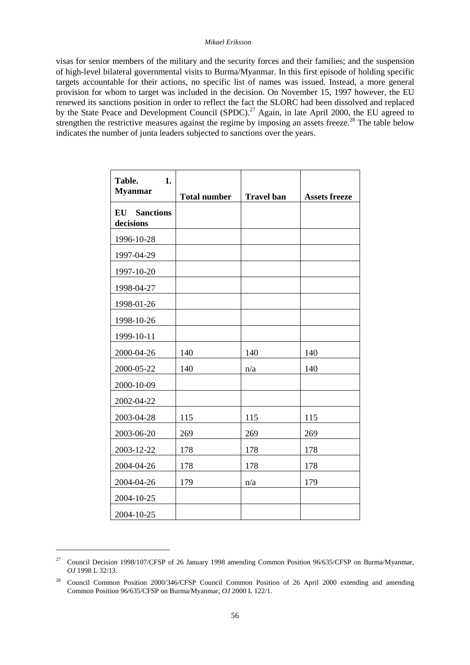#### *Mikael Eriksson*

visas for senior members of the military and the security forces and their families; and the suspension of high-level bilateral governmental visits to Burma/Myanmar. In this first episode of holding specific targets accountable for their actions, no specific list of names was issued. Instead, a more general provision for whom to target was included in the decision. On November 15, 1997 however, the EU renewed its sanctions position in order to reflect the fact the SLORC had been dissolved and replaced by the State Peace and Development Council (SPDC).<sup>27</sup> Again, in late April 2000, the EU agreed to strengthen the restrictive measures against the regime by imposing an assets freeze.<sup>28</sup> The table below indicates the number of junta leaders subjected to sanctions over the years.

| Table.<br>1.<br><b>Myanmar</b>   | <b>Total number</b> | <b>Travel</b> ban | <b>Assets freeze</b> |
|----------------------------------|---------------------|-------------------|----------------------|
| <b>EU</b> Sanctions<br>decisions |                     |                   |                      |
| 1996-10-28                       |                     |                   |                      |
| 1997-04-29                       |                     |                   |                      |
| 1997-10-20                       |                     |                   |                      |
| 1998-04-27                       |                     |                   |                      |
| 1998-01-26                       |                     |                   |                      |
| 1998-10-26                       |                     |                   |                      |
| 1999-10-11                       |                     |                   |                      |
| 2000-04-26                       | 140                 | 140               | 140                  |
| 2000-05-22                       | 140                 | n/a               | 140                  |
| 2000-10-09                       |                     |                   |                      |
| 2002-04-22                       |                     |                   |                      |
| 2003-04-28                       | 115                 | 115               | 115                  |
| 2003-06-20                       | 269                 | 269               | 269                  |
| 2003-12-22                       | 178                 | 178               | 178                  |
| 2004-04-26                       | 178                 | 178               | 178                  |
| 2004-04-26                       | 179                 | n/a               | 179                  |
| 2004-10-25                       |                     |                   |                      |
| 2004-10-25                       |                     |                   |                      |

<sup>&</sup>lt;sup>27</sup> Council Decision 1998/107/CFSP of 26 January 1998 amending Common Position 96/635/CFSP on Burma/Myanmar, *OJ* 1998 L 32/13.

<sup>&</sup>lt;sup>28</sup> Council Common Position 2000/346/CFSP Council Common Position of 26 April 2000 extending and amending Common Position 96/635/CFSP on Burma/Myanmar, *OJ* 2000 L 122/1.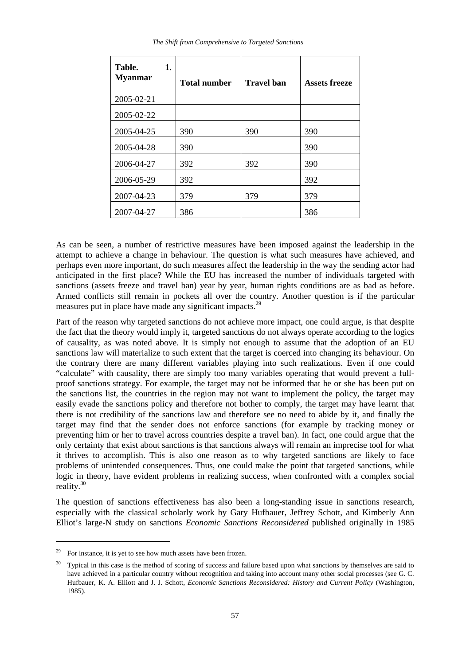*The Shift from Comprehensive to Targeted Sanctions* 

| Table.<br><b>Myanmar</b> | 1.<br><b>Total number</b> | <b>Travel ban</b> | <b>Assets freeze</b> |
|--------------------------|---------------------------|-------------------|----------------------|
| 2005-02-21               |                           |                   |                      |
| 2005-02-22               |                           |                   |                      |
| 2005-04-25               | 390                       | 390               | 390                  |
| 2005-04-28               | 390                       |                   | 390                  |
| 2006-04-27               | 392                       | 392               | 390                  |
| 2006-05-29               | 392                       |                   | 392                  |
| 2007-04-23               | 379                       | 379               | 379                  |
| 2007-04-27               | 386                       |                   | 386                  |

As can be seen, a number of restrictive measures have been imposed against the leadership in the attempt to achieve a change in behaviour. The question is what such measures have achieved, and perhaps even more important, do such measures affect the leadership in the way the sending actor had anticipated in the first place? While the EU has increased the number of individuals targeted with sanctions (assets freeze and travel ban) year by year, human rights conditions are as bad as before. Armed conflicts still remain in pockets all over the country. Another question is if the particular measures put in place have made any significant impacts.<sup>29</sup>

Part of the reason why targeted sanctions do not achieve more impact, one could argue, is that despite the fact that the theory would imply it, targeted sanctions do not always operate according to the logics of causality, as was noted above. It is simply not enough to assume that the adoption of an EU sanctions law will materialize to such extent that the target is coerced into changing its behaviour. On the contrary there are many different variables playing into such realizations. Even if one could "calculate" with causality, there are simply too many variables operating that would prevent a fullproof sanctions strategy. For example, the target may not be informed that he or she has been put on the sanctions list, the countries in the region may not want to implement the policy, the target may easily evade the sanctions policy and therefore not bother to comply, the target may have learnt that there is not credibility of the sanctions law and therefore see no need to abide by it, and finally the target may find that the sender does not enforce sanctions (for example by tracking money or preventing him or her to travel across countries despite a travel ban). In fact, one could argue that the only certainty that exist about sanctions is that sanctions always will remain an imprecise tool for what it thrives to accomplish. This is also one reason as to why targeted sanctions are likely to face problems of unintended consequences. Thus, one could make the point that targeted sanctions, while logic in theory, have evident problems in realizing success, when confronted with a complex social reality.<sup>30</sup>

The question of sanctions effectiveness has also been a long-standing issue in sanctions research, especially with the classical scholarly work by Gary Hufbauer, Jeffrey Schott, and Kimberly Ann Elliot's large-N study on sanctions *Economic Sanctions Reconsidered* published originally in 1985

<sup>&</sup>lt;sup>29</sup> For instance, it is yet to see how much assets have been frozen.

<sup>30</sup> Typical in this case is the method of scoring of success and failure based upon what sanctions by themselves are said to have achieved in a particular country without recognition and taking into account many other social processes (see G. C. Hufbauer, K. A. Elliott and J. J. Schott, *Economic Sanctions Reconsidered: History and Current Policy* (Washington, 1985).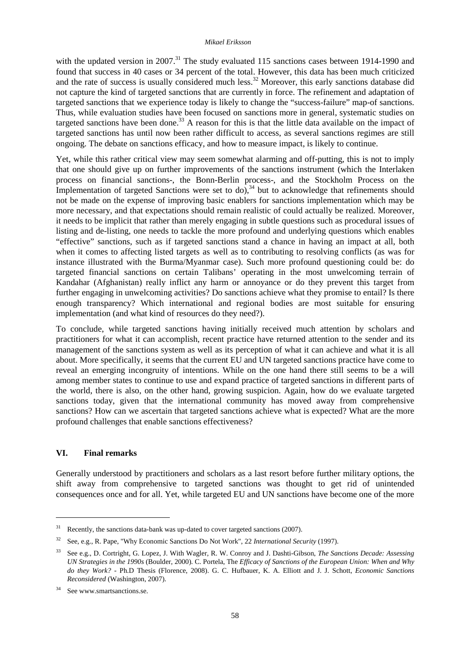#### *Mikael Eriksson*

with the updated version in 2007.<sup>31</sup> The study evaluated 115 sanctions cases between 1914-1990 and found that success in 40 cases or 34 percent of the total. However, this data has been much criticized and the rate of success is usually considered much less.<sup>32</sup> Moreover, this early sanctions database did not capture the kind of targeted sanctions that are currently in force. The refinement and adaptation of targeted sanctions that we experience today is likely to change the "success-failure" map-of sanctions. Thus, while evaluation studies have been focused on sanctions more in general, systematic studies on targeted sanctions have been done.<sup>33</sup> A reason for this is that the little data available on the impact of targeted sanctions has until now been rather difficult to access, as several sanctions regimes are still ongoing. The debate on sanctions efficacy, and how to measure impact, is likely to continue.

Yet, while this rather critical view may seem somewhat alarming and off-putting, this is not to imply that one should give up on further improvements of the sanctions instrument (which the Interlaken process on financial sanctions-, the Bonn-Berlin process-, and the Stockholm Process on the Implementation of targeted Sanctions were set to do),<sup>34</sup> but to acknowledge that refinements should not be made on the expense of improving basic enablers for sanctions implementation which may be more necessary, and that expectations should remain realistic of could actually be realized. Moreover, it needs to be implicit that rather than merely engaging in subtle questions such as procedural issues of listing and de-listing, one needs to tackle the more profound and underlying questions which enables "effective" sanctions, such as if targeted sanctions stand a chance in having an impact at all, both when it comes to affecting listed targets as well as to contributing to resolving conflicts (as was for instance illustrated with the Burma/Myanmar case). Such more profound questioning could be: do targeted financial sanctions on certain Talibans' operating in the most unwelcoming terrain of Kandahar (Afghanistan) really inflict any harm or annoyance or do they prevent this target from further engaging in unwelcoming activities? Do sanctions achieve what they promise to entail? Is there enough transparency? Which international and regional bodies are most suitable for ensuring implementation (and what kind of resources do they need?).

To conclude, while targeted sanctions having initially received much attention by scholars and practitioners for what it can accomplish, recent practice have returned attention to the sender and its management of the sanctions system as well as its perception of what it can achieve and what it is all about. More specifically, it seems that the current EU and UN targeted sanctions practice have come to reveal an emerging incongruity of intentions. While on the one hand there still seems to be a will among member states to continue to use and expand practice of targeted sanctions in different parts of the world, there is also, on the other hand, growing suspicion. Again, how do we evaluate targeted sanctions today, given that the international community has moved away from comprehensive sanctions? How can we ascertain that targeted sanctions achieve what is expected? What are the more profound challenges that enable sanctions effectiveness?

# **VI. Final remarks**

 $\overline{a}$ 

Generally understood by practitioners and scholars as a last resort before further military options, the shift away from comprehensive to targeted sanctions was thought to get rid of unintended consequences once and for all. Yet, while targeted EU and UN sanctions have become one of the more

 $31$  Recently, the sanctions data-bank was up-dated to cover targeted sanctions (2007).

<sup>32</sup> See, e.g., R. Pape, "Why Economic Sanctions Do Not Work", 22 *International Security* (1997).

<sup>33</sup> See e.g., D. Cortright, G. Lopez, J. With Wagler, R. W. Conroy and J. Dashti-Gibson, *The Sanctions Decade: Assessing UN Strategies in the 1990s* (Boulder, 2000). C. Portela, The *Efficacy of Sanctions of the European Union: When and Why do they Work?* - Ph.D Thesis (Florence, 2008). G. C. Hufbauer, K. A. Elliott and J. J. Schott, *Economic Sanctions Reconsidered* (Washington, 2007).

<sup>&</sup>lt;sup>34</sup> See www.smartsanctions.se.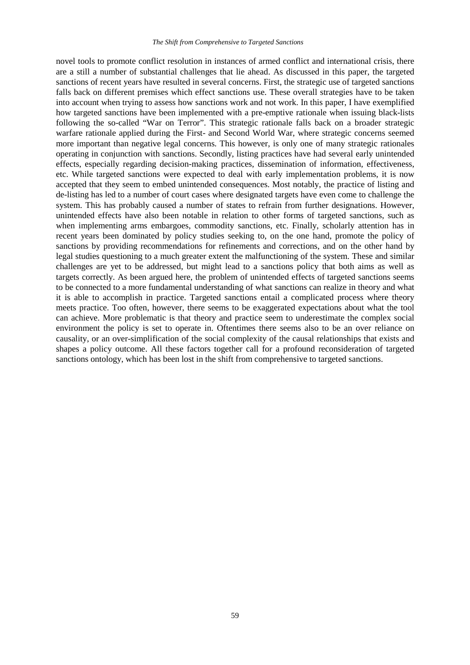novel tools to promote conflict resolution in instances of armed conflict and international crisis, there are a still a number of substantial challenges that lie ahead. As discussed in this paper, the targeted sanctions of recent years have resulted in several concerns. First, the strategic use of targeted sanctions falls back on different premises which effect sanctions use. These overall strategies have to be taken into account when trying to assess how sanctions work and not work. In this paper, I have exemplified how targeted sanctions have been implemented with a pre-emptive rationale when issuing black-lists following the so-called "War on Terror". This strategic rationale falls back on a broader strategic warfare rationale applied during the First- and Second World War, where strategic concerns seemed more important than negative legal concerns. This however, is only one of many strategic rationales operating in conjunction with sanctions. Secondly, listing practices have had several early unintended effects, especially regarding decision-making practices, dissemination of information, effectiveness, etc. While targeted sanctions were expected to deal with early implementation problems, it is now accepted that they seem to embed unintended consequences. Most notably, the practice of listing and de-listing has led to a number of court cases where designated targets have even come to challenge the system. This has probably caused a number of states to refrain from further designations. However, unintended effects have also been notable in relation to other forms of targeted sanctions, such as when implementing arms embargoes, commodity sanctions, etc. Finally, scholarly attention has in recent years been dominated by policy studies seeking to, on the one hand, promote the policy of sanctions by providing recommendations for refinements and corrections, and on the other hand by legal studies questioning to a much greater extent the malfunctioning of the system. These and similar challenges are yet to be addressed, but might lead to a sanctions policy that both aims as well as targets correctly. As been argued here, the problem of unintended effects of targeted sanctions seems to be connected to a more fundamental understanding of what sanctions can realize in theory and what it is able to accomplish in practice. Targeted sanctions entail a complicated process where theory meets practice. Too often, however, there seems to be exaggerated expectations about what the tool can achieve. More problematic is that theory and practice seem to underestimate the complex social environment the policy is set to operate in. Oftentimes there seems also to be an over reliance on causality, or an over-simplification of the social complexity of the causal relationships that exists and shapes a policy outcome. All these factors together call for a profound reconsideration of targeted sanctions ontology, which has been lost in the shift from comprehensive to targeted sanctions.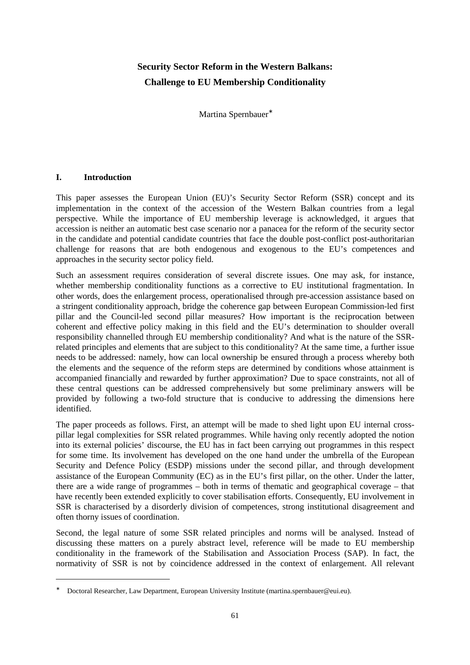# **Security Sector Reform in the Western Balkans: Challenge to EU Membership Conditionality**

Martina Spernbauer<sup>\*</sup>

# **I. Introduction**

 $\overline{a}$ 

This paper assesses the European Union (EU)'s Security Sector Reform (SSR) concept and its implementation in the context of the accession of the Western Balkan countries from a legal perspective. While the importance of EU membership leverage is acknowledged, it argues that accession is neither an automatic best case scenario nor a panacea for the reform of the security sector in the candidate and potential candidate countries that face the double post-conflict post-authoritarian challenge for reasons that are both endogenous and exogenous to the EU's competences and approaches in the security sector policy field.

Such an assessment requires consideration of several discrete issues. One may ask, for instance, whether membership conditionality functions as a corrective to EU institutional fragmentation. In other words, does the enlargement process, operationalised through pre-accession assistance based on a stringent conditionality approach, bridge the coherence gap between European Commission-led first pillar and the Council-led second pillar measures? How important is the reciprocation between coherent and effective policy making in this field and the EU's determination to shoulder overall responsibility channelled through EU membership conditionality? And what is the nature of the SSRrelated principles and elements that are subject to this conditionality? At the same time, a further issue needs to be addressed: namely, how can local ownership be ensured through a process whereby both the elements and the sequence of the reform steps are determined by conditions whose attainment is accompanied financially and rewarded by further approximation? Due to space constraints, not all of these central questions can be addressed comprehensively but some preliminary answers will be provided by following a two-fold structure that is conducive to addressing the dimensions here identified.

The paper proceeds as follows. First, an attempt will be made to shed light upon EU internal crosspillar legal complexities for SSR related programmes. While having only recently adopted the notion into its external policies' discourse, the EU has in fact been carrying out programmes in this respect for some time. Its involvement has developed on the one hand under the umbrella of the European Security and Defence Policy (ESDP) missions under the second pillar, and through development assistance of the European Community (EC) as in the EU's first pillar, on the other. Under the latter, there are a wide range of programmes – both in terms of thematic and geographical coverage – that have recently been extended explicitly to cover stabilisation efforts. Consequently, EU involvement in SSR is characterised by a disorderly division of competences, strong institutional disagreement and often thorny issues of coordination.

Second, the legal nature of some SSR related principles and norms will be analysed. Instead of discussing these matters on a purely abstract level, reference will be made to EU membership conditionality in the framework of the Stabilisation and Association Process (SAP). In fact, the normativity of SSR is not by coincidence addressed in the context of enlargement. All relevant

<sup>∗</sup> Doctoral Researcher, Law Department, European University Institute (martina.spernbauer@eui.eu).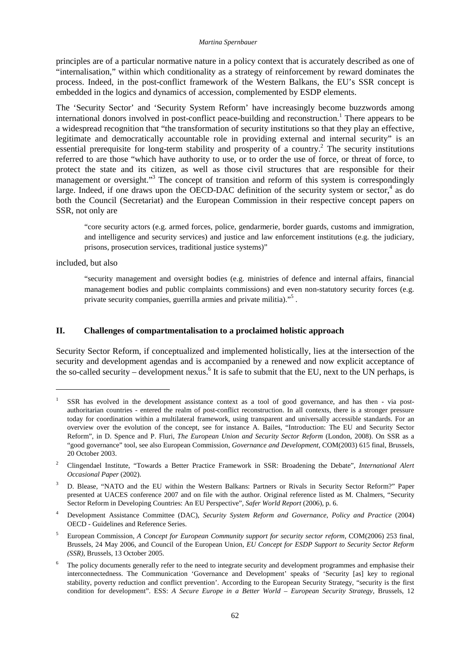#### *Martina Spernbauer*

principles are of a particular normative nature in a policy context that is accurately described as one of "internalisation," within which conditionality as a strategy of reinforcement by reward dominates the process. Indeed, in the post-conflict framework of the Western Balkans, the EU's SSR concept is embedded in the logics and dynamics of accession, complemented by ESDP elements.

The 'Security Sector' and 'Security System Reform' have increasingly become buzzwords among international donors involved in post-conflict peace-building and reconstruction.<sup>1</sup> There appears to be a widespread recognition that "the transformation of security institutions so that they play an effective, legitimate and democratically accountable role in providing external and internal security" is an essential prerequisite for long-term stability and prosperity of a country.<sup>2</sup> The security institutions referred to are those "which have authority to use, or to order the use of force, or threat of force, to protect the state and its citizen, as well as those civil structures that are responsible for their management or oversight."<sup>3</sup> The concept of transition and reform of this system is correspondingly large. Indeed, if one draws upon the OECD-DAC definition of the security system or sector,<sup>4</sup> as do both the Council (Secretariat) and the European Commission in their respective concept papers on SSR, not only are

"core security actors (e.g. armed forces, police, gendarmerie, border guards, customs and immigration, and intelligence and security services) and justice and law enforcement institutions (e.g. the judiciary, prisons, prosecution services, traditional justice systems)"

included, but also

 $\overline{a}$ 

"security management and oversight bodies (e.g. ministries of defence and internal affairs, financial management bodies and public complaints commissions) and even non-statutory security forces (e.g. private security companies, guerrilla armies and private militia)."<sup>5</sup>.

## **II. Challenges of compartmentalisation to a proclaimed holistic approach**

Security Sector Reform, if conceptualized and implemented holistically, lies at the intersection of the security and development agendas and is accompanied by a renewed and now explicit acceptance of the so-called security – development nexus.<sup>6</sup> It is safe to submit that the EU, next to the UN perhaps, is

<sup>1</sup> SSR has evolved in the development assistance context as a tool of good governance, and has then - via postauthoritarian countries - entered the realm of post-conflict reconstruction. In all contexts, there is a stronger pressure today for coordination within a multilateral framework, using transparent and universally accessible standards. For an overview over the evolution of the concept, see for instance A. Bailes, "Introduction: The EU and Security Sector Reform", in D. Spence and P. Fluri, *The European Union and Security Sector Reform* (London, 2008). On SSR as a "good governance" tool, see also European Commission, *Governance and Development,* COM(2003) 615 final, Brussels, 20 October 2003.

<sup>2</sup> Clingendael Institute, "Towards a Better Practice Framework in SSR: Broadening the Debate", *International Alert Occasional Paper* (2002).

<sup>3</sup> D. Blease, "NATO and the EU within the Western Balkans: Partners or Rivals in Security Sector Reform?" Paper presented at UACES conference 2007 and on file with the author. Original reference listed as M. Chalmers, "Security Sector Reform in Developing Countries: An EU Perspective", *Safer World Report* (2006), p. 6.

<sup>4</sup> Development Assistance Committee (DAC), *Security System Reform and Governance, Policy and Practice* (2004) OECD - Guidelines and Reference Series.

<sup>5</sup> European Commission, *A Concept for European Community support for security sector reform,* COM(2006) 253 final, Brussels, 24 May 2006, and Council of the European Union, *EU Concept for ESDP Support to Security Sector Reform (SSR)*, Brussels, 13 October 2005.

<sup>6</sup> The policy documents generally refer to the need to integrate security and development programmes and emphasise their interconnectedness. The Communication 'Governance and Development' speaks of 'Security [as] key to regional stability, poverty reduction and conflict prevention'. According to the European Security Strategy, "security is the first condition for development". ESS: *A Secure Europe in a Better World – European Security Strategy*, Brussels, 12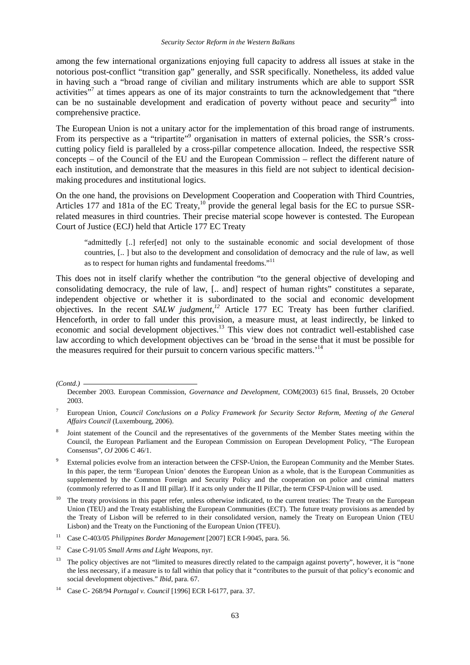among the few international organizations enjoying full capacity to address all issues at stake in the notorious post-conflict "transition gap" generally, and SSR specifically. Nonetheless, its added value in having such a "broad range of civilian and military instruments which are able to support SSR activities"<sup>7</sup> at times appears as one of its major constraints to turn the acknowledgement that "there can be no sustainable development and eradication of poverty without peace and security"<sup>8</sup> into comprehensive practice.

The European Union is not a unitary actor for the implementation of this broad range of instruments. From its perspective as a "tripartite" organisation in matters of external policies, the SSR's crosscutting policy field is paralleled by a cross-pillar competence allocation. Indeed, the respective SSR concepts – of the Council of the EU and the European Commission – reflect the different nature of each institution, and demonstrate that the measures in this field are not subject to identical decisionmaking procedures and institutional logics.

On the one hand, the provisions on Development Cooperation and Cooperation with Third Countries, Articles 177 and 181a of the EC Treaty,<sup>10</sup> provide the general legal basis for the EC to pursue SSRrelated measures in third countries. Their precise material scope however is contested. The European Court of Justice (ECJ) held that Article 177 EC Treaty

"admittedly [..] refer[ed] not only to the sustainable economic and social development of those countries, [.. ] but also to the development and consolidation of democracy and the rule of law, as well as to respect for human rights and fundamental freedoms."<sup>11</sup>

This does not in itself clarify whether the contribution "to the general objective of developing and consolidating democracy, the rule of law, [.. and] respect of human rights" constitutes a separate, independent objective or whether it is subordinated to the social and economic development objectives. In the recent *SALW judgment*, *<sup>12</sup>* Article 177 EC Treaty has been further clarified. Henceforth, in order to fall under this provision, a measure must, at least indirectly, be linked to economic and social development objectives.<sup>13</sup> This view does not contradict well-established case law according to which development objectives can be 'broad in the sense that it must be possible for the measures required for their pursuit to concern various specific matters.<sup>'14</sup>

*<sup>(</sup>Contd.)* 

December 2003. European Commission, *Governance and Development,* COM(2003) 615 final, Brussels, 20 October 2003.

<sup>7</sup> European Union, *Council Conclusions on a Policy Framework for Security Sector Reform, Meeting of the General Affairs Council* (Luxembourg, 2006).

<sup>8</sup> Joint statement of the Council and the representatives of the governments of the Member States meeting within the Council, the European Parliament and the European Commission on European Development Policy, "The European Consensus", *OJ* 2006 C 46/1.

<sup>9</sup> External policies evolve from an interaction between the CFSP-Union, the European Community and the Member States. In this paper, the term 'European Union' denotes the European Union as a whole, that is the European Communities as supplemented by the Common Foreign and Security Policy and the cooperation on police and criminal matters (commonly referred to as II and III pillar). If it acts only under the II Pillar, the term CFSP-Union will be used.

<sup>&</sup>lt;sup>10</sup> The treaty provisions in this paper refer, unless otherwise indicated, to the current treaties: The Treaty on the European Union (TEU) and the Treaty establishing the European Communities (ECT). The future treaty provisions as amended by the Treaty of Lisbon will be referred to in their consolidated version, namely the Treaty on European Union (TEU Lisbon) and the Treaty on the Functioning of the European Union (TFEU).

<sup>11</sup> Case C-403/05 *Philippines Border Management* [2007] ECR I-9045, para. 56.

<sup>12</sup> Case C-91/05 *Small Arms and Light Weapons*, nyr.

<sup>&</sup>lt;sup>13</sup> The policy objectives are not "limited to measures directly related to the campaign against poverty", however, it is "none the less necessary, if a measure is to fall within that policy that it "contributes to the pursuit of that policy's economic and social development objectives." *Ibid*, para. 67.

<sup>14</sup> Case C- 268/94 *Portugal v. Council* [1996] ECR I-6177, para. 37.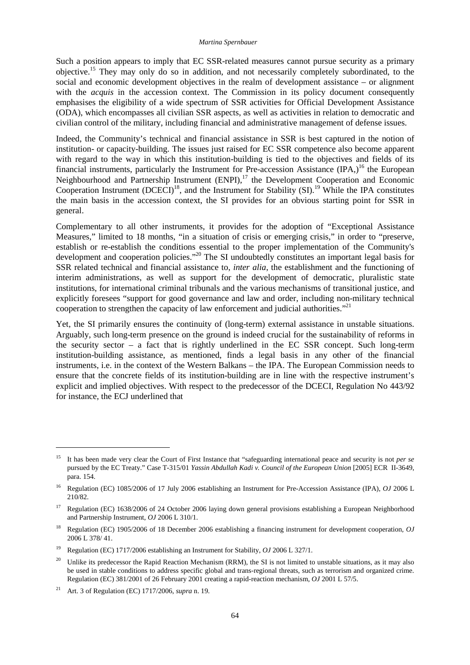Such a position appears to imply that EC SSR-related measures cannot pursue security as a primary objective.<sup>15</sup> They may only do so in addition, and not necessarily completely subordinated, to the social and economic development objectives in the realm of development assistance – or alignment with the *acquis* in the accession context. The Commission in its policy document consequently emphasises the eligibility of a wide spectrum of SSR activities for Official Development Assistance (ODA), which encompasses all civilian SSR aspects, as well as activities in relation to democratic and civilian control of the military, including financial and administrative management of defense issues.

Indeed, the Community's technical and financial assistance in SSR is best captured in the notion of institution- or capacity-building. The issues just raised for EC SSR competence also become apparent with regard to the way in which this institution-building is tied to the objectives and fields of its financial instruments, particularly the Instrument for Pre-accession Assistance (IPA,)<sup>16</sup> the European Neighbourhood and Partnership Instrument (ENPI),<sup>17</sup> the Development Cooperation and Economic Cooperation Instrument (DCECI)<sup>18</sup>, and the Instrument for Stability  $(SI)$ .<sup>19</sup> While the IPA constitutes the main basis in the accession context, the SI provides for an obvious starting point for SSR in general.

Complementary to all other instruments, it provides for the adoption of "Exceptional Assistance Measures," limited to 18 months, "in a situation of crisis or emerging crisis," in order to "preserve, establish or re-establish the conditions essential to the proper implementation of the Community's development and cooperation policies."<sup>20</sup> The SI undoubtedly constitutes an important legal basis for SSR related technical and financial assistance to, *inter alia*, the establishment and the functioning of interim administrations, as well as support for the development of democratic, pluralistic state institutions, for international criminal tribunals and the various mechanisms of transitional justice, and explicitly foresees "support for good governance and law and order, including non-military technical cooperation to strengthen the capacity of law enforcement and judicial authorities."<sup>21</sup>

Yet, the SI primarily ensures the continuity of (long-term) external assistance in unstable situations. Arguably, such long-term presence on the ground is indeed crucial for the sustainability of reforms in the security sector – a fact that is rightly underlined in the EC SSR concept. Such long-term institution-building assistance, as mentioned, finds a legal basis in any other of the financial instruments, i.e. in the context of the Western Balkans – the IPA. The European Commission needs to ensure that the concrete fields of its institution-building are in line with the respective instrument's explicit and implied objectives. With respect to the predecessor of the DCECI, Regulation No 443/92 for instance, the ECJ underlined that

<sup>15</sup> It has been made very clear the Court of First Instance that "safeguarding international peace and security is not *per se* pursued by the EC Treaty." Case T-315/01 *Yassin Abdullah Kadi v. Council of the European Union* [2005] ECR II-3649, para. 154.

<sup>16</sup> Regulation (EC) 1085/2006 of 17 July 2006 establishing an Instrument for Pre-Accession Assistance (IPA), *OJ* 2006 L 210/82.

<sup>&</sup>lt;sup>17</sup> Regulation (EC) 1638/2006 of 24 October 2006 laying down general provisions establishing a European Neighborhood and Partnership Instrument, *OJ* 2006 L 310/1.

<sup>18</sup> Regulation (EC) 1905/2006 of 18 December 2006 establishing a financing instrument for development cooperation*, OJ*  2006 L 378/ 41.

<sup>19</sup> Regulation (EC) 1717/2006 establishing an Instrument for Stability, *OJ* 2006 L 327/1.

<sup>&</sup>lt;sup>20</sup> Unlike its predecessor the Rapid Reaction Mechanism (RRM), the SI is not limited to unstable situations, as it may also be used in stable conditions to address specific global and trans-regional threats, such as terrorism and organized crime. Regulation (EC) 381/2001 of 26 February 2001 creating a rapid-reaction mechanism, *OJ* 2001 L 57/5.

<sup>21</sup> Art. 3 of Regulation (EC) 1717/2006, *supra* n. 19.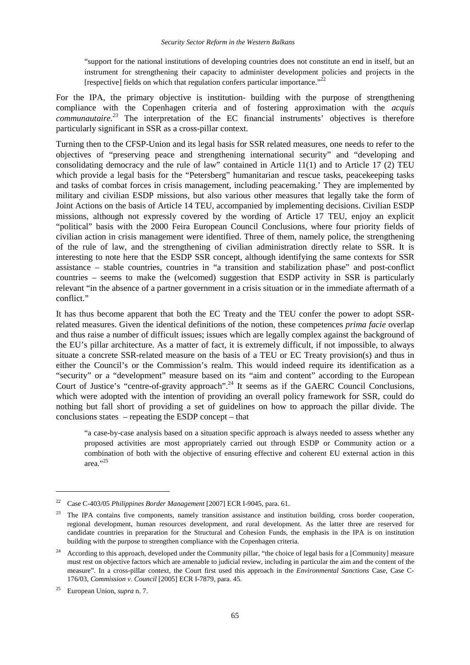"support for the national institutions of developing countries does not constitute an end in itself, but an instrument for strengthening their capacity to administer development policies and projects in the [respective] fields on which that regulation confers particular importance."<sup>22</sup>

For the IPA, the primary objective is institution- building with the purpose of strengthening compliance with the Copenhagen criteria and of fostering approximation with the *acquis communautaire.<sup>23</sup>* The interpretation of the EC financial instruments' objectives is therefore particularly significant in SSR as a cross-pillar context.

Turning then to the CFSP-Union and its legal basis for SSR related measures, one needs to refer to the objectives of "preserving peace and strengthening international security" and "developing and consolidating democracy and the rule of law" contained in Article 11(1) and to Article 17 (2) TEU which provide a legal basis for the "Petersberg" humanitarian and rescue tasks, peace keeping tasks and tasks of combat forces in crisis management, including peacemaking.' They are implemented by military and civilian ESDP missions, but also various other measures that legally take the form of Joint Actions on the basis of Article 14 TEU, accompanied by implementing decisions. Civilian ESDP missions, although not expressly covered by the wording of Article 17 TEU, enjoy an explicit "political" basis with the 2000 Feira European Council Conclusions, where four priority fields of civilian action in crisis management were identified. Three of them, namely police, the strengthening of the rule of law, and the strengthening of civilian administration directly relate to SSR. It is interesting to note here that the ESDP SSR concept, although identifying the same contexts for SSR assistance – stable countries, countries in "a transition and stabilization phase" and post-conflict countries – seems to make the (welcomed) suggestion that ESDP activity in SSR is particularly relevant "in the absence of a partner government in a crisis situation or in the immediate aftermath of a conflict."

It has thus become apparent that both the EC Treaty and the TEU confer the power to adopt SSRrelated measures. Given the identical definitions of the notion, these competences *prima facie* overlap and thus raise a number of difficult issues; issues which are legally complex against the background of the EU's pillar architecture. As a matter of fact, it is extremely difficult, if not impossible, to always situate a concrete SSR-related measure on the basis of a TEU or EC Treaty provision(s) and thus in either the Council's or the Commission's realm. This would indeed require its identification as a "security" or a "development" measure based on its "aim and content" according to the European Court of Justice's "centre-of-gravity approach".<sup>24</sup> It seems as if the GAERC Council Conclusions, which were adopted with the intention of providing an overall policy framework for SSR, could do nothing but fall short of providing a set of guidelines on how to approach the pillar divide. The conclusions states – repeating the ESDP concept – that

"a case-by-case analysis based on a situation specific approach is always needed to assess whether any proposed activities are most appropriately carried out through ESDP or Community action or a combination of both with the objective of ensuring effective and coherent EU external action in this area."<sup>25</sup>

<sup>22</sup> Case C-403/05 *Philippines Border Management* [2007] ECR I-9045, para. 61.

 $^{23}$  The IPA contains five components, namely transition assistance and institution building, cross border cooperation, regional development, human resources development, and rural development. As the latter three are reserved for candidate countries in preparation for the Structural and Cohesion Funds, the emphasis in the IPA is on institution building with the purpose to strengthen compliance with the Copenhagen criteria.

<sup>&</sup>lt;sup>24</sup> According to this approach, developed under the Community pillar, "the choice of legal basis for a [Community] measure must rest on objective factors which are amenable to judicial review, including in particular the aim and the content of the measure". In a cross-pillar context, the Court first used this approach in the *Environmental Sanctions* Case, Case C-176/03, *Commission v. Council* [2005] ECR I-7879, para. 45.

<sup>25</sup> European Union, *supra* n. 7.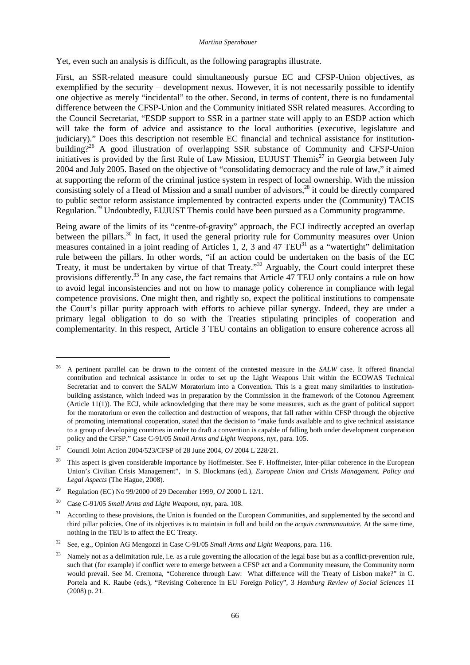#### *Martina Spernbauer*

Yet, even such an analysis is difficult, as the following paragraphs illustrate.

First, an SSR-related measure could simultaneously pursue EC and CFSP-Union objectives, as exemplified by the security – development nexus. However, it is not necessarily possible to identify one objective as merely "incidental" to the other. Second, in terms of content, there is no fundamental difference between the CFSP-Union and the Community initiated SSR related measures. According to the Council Secretariat, "ESDP support to SSR in a partner state will apply to an ESDP action which will take the form of advice and assistance to the local authorities (executive, legislature and judiciary)." Does this description not resemble EC financial and technical assistance for institutionbuilding?<sup>26</sup> A good illustration of overlapping SSR substance of Community and CFSP-Union initiatives is provided by the first Rule of Law Mission, EUJUST Themis<sup>27</sup> in Georgia between July 2004 and July 2005. Based on the objective of "consolidating democracy and the rule of law," it aimed at supporting the reform of the criminal justice system in respect of local ownership. With the mission consisting solely of a Head of Mission and a small number of advisors,<sup>28</sup> it could be directly compared to public sector reform assistance implemented by contracted experts under the (Community) TACIS Regulation.<sup>29</sup> Undoubtedly, EUJUST Themis could have been pursued as a Community programme.

Being aware of the limits of its "centre-of-gravity" approach, the ECJ indirectly accepted an overlap between the pillars.<sup>30</sup> In fact, it used the general priority rule for Community measures over Union measures contained in a joint reading of Articles 1, 2, 3 and 47 TEU<sup>31</sup> as a "watertight" delimitation rule between the pillars. In other words, "if an action could be undertaken on the basis of the EC Treaty, it must be undertaken by virtue of that Treaty."<sup>32</sup> Arguably, the Court could interpret these provisions differently.<sup>33</sup> In any case, the fact remains that Article 47 TEU only contains a rule on how to avoid legal inconsistencies and not on how to manage policy coherence in compliance with legal competence provisions. One might then, and rightly so, expect the political institutions to compensate the Court's pillar purity approach with efforts to achieve pillar synergy. Indeed, they are under a primary legal obligation to do so with the Treaties stipulating principles of cooperation and complementarity. In this respect, Article 3 TEU contains an obligation to ensure coherence across all

<sup>&</sup>lt;sup>26</sup> A pertinent parallel can be drawn to the content of the contested measure in the *SALW* case. It offered financial contribution and technical assistance in order to set up the Light Weapons Unit within the ECOWAS Technical Secretariat and to convert the SALW Moratorium into a Convention. This is a great many similarities to institutionbuilding assistance, which indeed was in preparation by the Commission in the framework of the Cotonou Agreement (Article 11(1)). The ECJ, while acknowledging that there may be some measures, such as the grant of political support for the moratorium or even the collection and destruction of weapons, that fall rather within CFSP through the objective of promoting international cooperation, stated that the decision to "make funds available and to give technical assistance to a group of developing countries in order to draft a convention is capable of falling both under development cooperation policy and the CFSP." Case C-91/05 *Small Arms and Light Weapons*, nyr, para. 105.

<sup>27</sup> Council Joint Action 2004/523/CFSP of 28 June 2004, *OJ* 2004 L 228/21.

<sup>28</sup> This aspect is given considerable importance by Hoffmeister. See F. Hoffmeister, Inter-pillar coherence in the European Union's Civilian Crisis Management", in S. Blockmans (ed.), *European Union and Crisis Management. Policy and Legal Aspects* (The Hague, 2008).

<sup>29</sup> Regulation (EC) No 99/2000 of 29 December 1999*, OJ* 2000 L 12/1.

<sup>30</sup> Case C-91/05 *Small Arms and Light Weapons*, nyr, para. 108.

 $31$  According to these provisions, the Union is founded on the European Communities, and supplemented by the second and third pillar policies. One of its objectives is to maintain in full and build on the *acquis communautaire*. At the same time, nothing in the TEU is to affect the EC Treaty.

<sup>32</sup> See, e.g., Opinion AG Mengozzi in Case C-91/05 *Small Arms and Light Weapons*, para. 116.

<sup>&</sup>lt;sup>33</sup> Namely not as a delimitation rule, i.e. as a rule governing the allocation of the legal base but as a conflict-prevention rule, such that (for example) if conflict were to emerge between a CFSP act and a Community measure, the Community norm would prevail. See M. Cremona, "Coherence through Law: What difference will the Treaty of Lisbon make?" in C. Portela and K. Raube (eds.), "Revising Coherence in EU Foreign Policy", 3 *Hamburg Review of Social Sciences* 11 (2008) p. 21.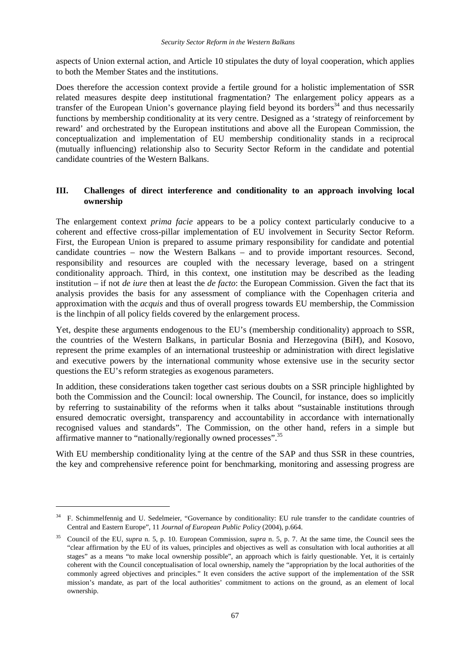aspects of Union external action, and Article 10 stipulates the duty of loyal cooperation, which applies to both the Member States and the institutions.

Does therefore the accession context provide a fertile ground for a holistic implementation of SSR related measures despite deep institutional fragmentation? The enlargement policy appears as a transfer of the European Union's governance playing field beyond its borders<sup>34</sup> and thus necessarily functions by membership conditionality at its very centre. Designed as a 'strategy of reinforcement by reward' and orchestrated by the European institutions and above all the European Commission, the conceptualization and implementation of EU membership conditionality stands in a reciprocal (mutually influencing) relationship also to Security Sector Reform in the candidate and potential candidate countries of the Western Balkans.

# **III. Challenges of direct interference and conditionality to an approach involving local ownership**

The enlargement context *prima facie* appears to be a policy context particularly conducive to a coherent and effective cross-pillar implementation of EU involvement in Security Sector Reform. First, the European Union is prepared to assume primary responsibility for candidate and potential candidate countries – now the Western Balkans – and to provide important resources. Second, responsibility and resources are coupled with the necessary leverage, based on a stringent conditionality approach. Third, in this context, one institution may be described as the leading institution – if not *de iure* then at least the *de facto*: the European Commission. Given the fact that its analysis provides the basis for any assessment of compliance with the Copenhagen criteria and approximation with the *acquis* and thus of overall progress towards EU membership, the Commission is the linchpin of all policy fields covered by the enlargement process.

Yet, despite these arguments endogenous to the EU's (membership conditionality) approach to SSR, the countries of the Western Balkans, in particular Bosnia and Herzegovina (BiH), and Kosovo, represent the prime examples of an international trusteeship or administration with direct legislative and executive powers by the international community whose extensive use in the security sector questions the EU's reform strategies as exogenous parameters.

In addition, these considerations taken together cast serious doubts on a SSR principle highlighted by both the Commission and the Council: local ownership. The Council, for instance, does so implicitly by referring to sustainability of the reforms when it talks about "sustainable institutions through ensured democratic oversight, transparency and accountability in accordance with internationally recognised values and standards". The Commission, on the other hand, refers in a simple but affirmative manner to "nationally/regionally owned processes".<sup>35</sup>

With EU membership conditionality lying at the centre of the SAP and thus SSR in these countries, the key and comprehensive reference point for benchmarking, monitoring and assessing progress are

<sup>&</sup>lt;sup>34</sup> F. Schimmelfennig and U. Sedelmeier, "Governance by conditionality: EU rule transfer to the candidate countries of Central and Eastern Europe", 11 *Journal of European Public Policy* (2004), p.664.

<sup>35</sup> Council of the EU, *supra* n. 5, p. 10. European Commission, *supra* n. 5*,* p. 7. At the same time, the Council sees the "clear affirmation by the EU of its values, principles and objectives as well as consultation with local authorities at all stages" as a means "to make local ownership possible", an approach which is fairly questionable. Yet, it is certainly coherent with the Council conceptualisation of local ownership, namely the "appropriation by the local authorities of the commonly agreed objectives and principles." It even considers the active support of the implementation of the SSR mission's mandate, as part of the local authorities' commitment to actions on the ground, as an element of local ownership.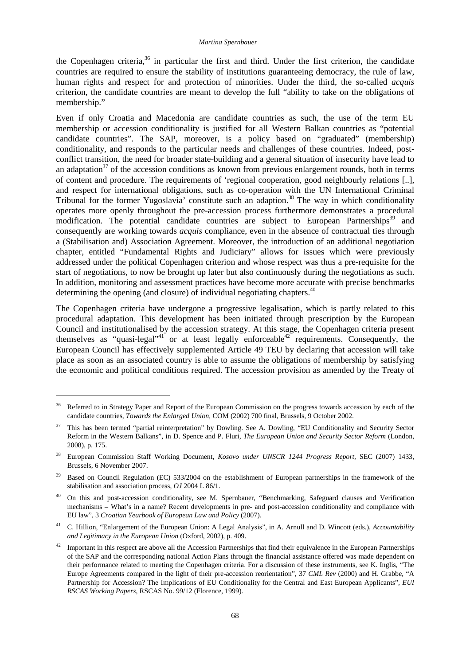the Copenhagen criteria,<sup>36</sup> in particular the first and third. Under the first criterion, the candidate countries are required to ensure the stability of institutions guaranteeing democracy, the rule of law, human rights and respect for and protection of minorities. Under the third, the so-called *acquis* criterion, the candidate countries are meant to develop the full "ability to take on the obligations of membership."

Even if only Croatia and Macedonia are candidate countries as such, the use of the term EU membership or accession conditionality is justified for all Western Balkan countries as "potential candidate countries". The SAP, moreover, is a policy based on "graduated" (membership) conditionality, and responds to the particular needs and challenges of these countries. Indeed, postconflict transition, the need for broader state-building and a general situation of insecurity have lead to an adaptation $37$  of the accession conditions as known from previous enlargement rounds, both in terms of content and procedure. The requirements of 'regional cooperation, good neighbourly relations [..], and respect for international obligations, such as co-operation with the UN International Criminal Tribunal for the former Yugoslavia' constitute such an adaption.<sup>38</sup> The way in which conditionality operates more openly throughout the pre-accession process furthermore demonstrates a procedural modification. The potential candidate countries are subject to European Partnerships<sup>39</sup> and consequently are working towards *acquis* compliance, even in the absence of contractual ties through a (Stabilisation and) Association Agreement. Moreover, the introduction of an additional negotiation chapter, entitled "Fundamental Rights and Judiciary" allows for issues which were previously addressed under the political Copenhagen criterion and whose respect was thus a pre-requisite for the start of negotiations, to now be brought up later but also continuously during the negotiations as such. In addition, monitoring and assessment practices have become more accurate with precise benchmarks determining the opening (and closure) of individual negotiating chapters.<sup>40</sup>

The Copenhagen criteria have undergone a progressive legalisation, which is partly related to this procedural adaptation. This development has been initiated through prescription by the European Council and institutionalised by the accession strategy. At this stage, the Copenhagen criteria present themselves as "quasi-legal"<sup>41</sup> or at least legally enforceable<sup>42</sup> requirements. Consequently, the European Council has effectively supplemented Article 49 TEU by declaring that accession will take place as soon as an associated country is able to assume the obligations of membership by satisfying the economic and political conditions required. The accession provision as amended by the Treaty of

<sup>&</sup>lt;sup>36</sup> Referred to in Strategy Paper and Report of the European Commission on the progress towards accession by each of the candidate countries, *Towards the Enlarged Union,* COM (2002) 700 final, Brussels, 9 October 2002.

<sup>&</sup>lt;sup>37</sup> This has been termed "partial reinterpretation" by Dowling. See A. Dowling, "EU Conditionality and Security Sector Reform in the Western Balkans", in D. Spence and P. Fluri, *The European Union and Security Sector Reform* (London, 2008), p. 175.

<sup>38</sup> European Commission Staff Working Document, *Kosovo under UNSCR 1244 Progress Report*, SEC (2007) 1433, Brussels, 6 November 2007.

<sup>&</sup>lt;sup>39</sup> Based on Council Regulation (EC) 533/2004 on the establishment of European partnerships in the framework of the stabilisation and association process, *OJ* 2004 L 86/1.

<sup>40</sup> On this and post-accession conditionality, see M. Spernbauer, "Benchmarking, Safeguard clauses and Verification mechanisms – What's in a name? Recent developments in pre- and post-accession conditionality and compliance with EU law", 3 *Croatian Yearbook of European Law and Policy* (2007)*.*

<sup>41</sup> C. Hillion, "Enlargement of the European Union: A Legal Analysis", in A. Arnull and D. Wincott (eds.), *Accountability and Legitimacy in the European Union* (Oxford, 2002), p. 409.

<sup>42</sup> Important in this respect are above all the Accession Partnerships that find their equivalence in the European Partnerships of the SAP and the corresponding national Action Plans through the financial assistance offered was made dependent on their performance related to meeting the Copenhagen criteria. For a discussion of these instruments, see K. Inglis, "The Europe Agreements compared in the light of their pre-accession reorientation", 37 *CML Rev* (2000) and H. Grabbe, "A Partnership for Accession? The Implications of EU Conditionality for the Central and East European Applicants", *EUI RSCAS Working Papers,* RSCAS No. 99/12 (Florence, 1999).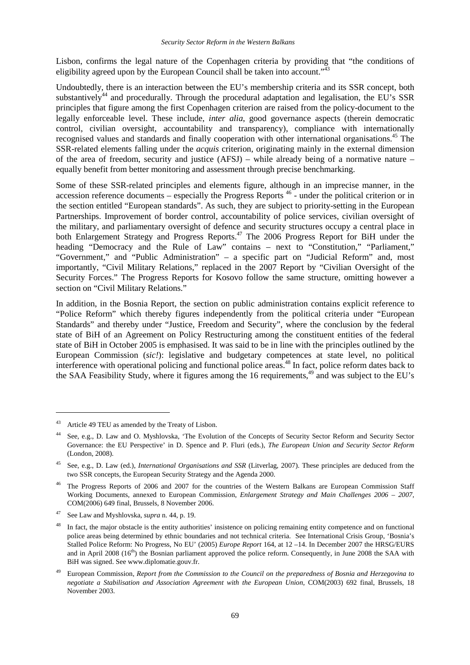Lisbon, confirms the legal nature of the Copenhagen criteria by providing that "the conditions of eligibility agreed upon by the European Council shall be taken into account."<sup>4</sup>

Undoubtedly, there is an interaction between the EU's membership criteria and its SSR concept, both substantively<sup>44</sup> and procedurally. Through the procedural adaptation and legalisation, the EU's SSR principles that figure among the first Copenhagen criterion are raised from the policy-document to the legally enforceable level. These include, *inter alia*, good governance aspects (therein democratic control, civilian oversight, accountability and transparency), compliance with internationally recognised values and standards and finally cooperation with other international organisations.<sup>45</sup> The SSR-related elements falling under the *acquis* criterion, originating mainly in the external dimension of the area of freedom, security and justice (AFSJ) – while already being of a normative nature – equally benefit from better monitoring and assessment through precise benchmarking.

Some of these SSR-related principles and elements figure, although in an imprecise manner, in the accession reference documents – especially the Progress Reports <sup>46</sup> - under the political criterion or in the section entitled "European standards". As such, they are subject to priority-setting in the European Partnerships. Improvement of border control, accountability of police services, civilian oversight of the military, and parliamentary oversight of defence and security structures occupy a central place in both Enlargement Strategy and Progress Reports.<sup>47</sup> The 2006 Progress Report for BiH under the heading "Democracy and the Rule of Law" contains – next to "Constitution," "Parliament," "Government," and "Public Administration" – a specific part on "Judicial Reform" and, most importantly, "Civil Military Relations," replaced in the 2007 Report by "Civilian Oversight of the Security Forces." The Progress Reports for Kosovo follow the same structure, omitting however a section on "Civil Military Relations."

In addition, in the Bosnia Report, the section on public administration contains explicit reference to "Police Reform" which thereby figures independently from the political criteria under "European Standards" and thereby under "Justice, Freedom and Security", where the conclusion by the federal state of BiH of an Agreement on Policy Restructuring among the constituent entities of the federal state of BiH in October 2005 is emphasised. It was said to be in line with the principles outlined by the European Commission (*sic!*): legislative and budgetary competences at state level, no political interference with operational policing and functional police areas.<sup>48</sup> In fact, police reform dates back to the SAA Feasibility Study, where it figures among the 16 requirements,<sup>49</sup> and was subject to the EU's

l

<sup>43</sup> Article 49 TEU as amended by the Treaty of Lisbon.

See, e.g., D. Law and O. Myshlovska, 'The Evolution of the Concepts of Security Sector Reform and Security Sector Governance: the EU Perspective' in D. Spence and P. Fluri (eds.), *The European Union and Security Sector Reform* (London, 2008).

<sup>45</sup> See, e.g., D. Law (ed.), *International Organisations and SSR* (Litverlag, 2007). These principles are deduced from the two SSR concepts, the European Security Strategy and the Agenda 2000.

<sup>46</sup> The Progress Reports of 2006 and 2007 for the countries of the Western Balkans are European Commission Staff Working Documents, annexed to European Commission, *Enlargement Strategy and Main Challenges 2006 – 2007,*  COM(2006) 649 final, Brussels, 8 November 2006.

<sup>47</sup> See Law and Myshlovska, *supra* n. 44, p. 19.

In fact, the major obstacle is the entity authorities' insistence on policing remaining entity competence and on functional police areas being determined by ethnic boundaries and not technical criteria. See International Crisis Group, 'Bosnia's Stalled Police Reform: No Progress, No EU' (2005) *Europe Report* 164, at 12 –14. In December 2007 the HRSG/EURS and in April 2008 (16<sup>th</sup>) the Bosnian parliament approved the police reform. Consequently, in June 2008 the SAA with BiH was signed. See www.diplomatie.gouv.fr.

<sup>49</sup> European Commission, *Report from the Commission to the Council on the preparedness of Bosnia and Herzegovina to negotiate a Stabilisation and Association Agreement with the European Union*, COM(2003) 692 final, Brussels, 18 November 2003.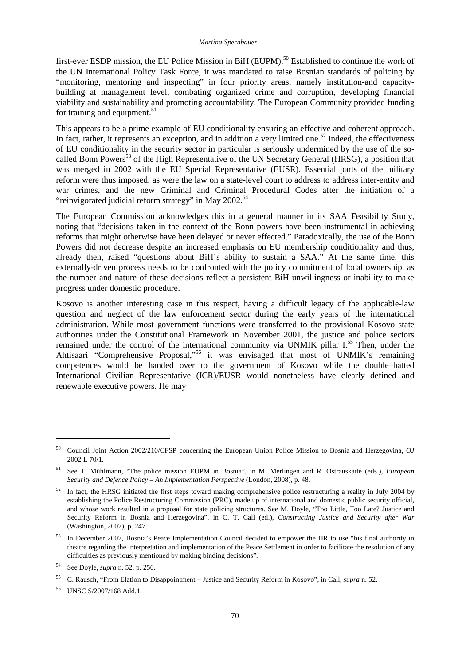first-ever ESDP mission, the EU Police Mission in BiH (EUPM).<sup>50</sup> Established to continue the work of the UN International Policy Task Force, it was mandated to raise Bosnian standards of policing by "monitoring, mentoring and inspecting" in four priority areas, namely institution-and capacitybuilding at management level, combating organized crime and corruption, developing financial viability and sustainability and promoting accountability. The European Community provided funding for training and equipment. $51$ 

This appears to be a prime example of EU conditionality ensuring an effective and coherent approach. In fact, rather, it represents an exception, and in addition a very limited one.<sup>52</sup> Indeed, the effectiveness of EU conditionality in the security sector in particular is seriously undermined by the use of the socalled Bonn Powers<sup>53</sup> of the High Representative of the UN Secretary General (HRSG), a position that was merged in 2002 with the EU Special Representative (EUSR). Essential parts of the military reform were thus imposed, as were the law on a state-level court to address to address inter-entity and war crimes, and the new Criminal and Criminal Procedural Codes after the initiation of a "reinvigorated judicial reform strategy" in May 2002.<sup>54</sup>

The European Commission acknowledges this in a general manner in its SAA Feasibility Study, noting that "decisions taken in the context of the Bonn powers have been instrumental in achieving reforms that might otherwise have been delayed or never effected." Paradoxically, the use of the Bonn Powers did not decrease despite an increased emphasis on EU membership conditionality and thus, already then, raised "questions about BiH's ability to sustain a SAA." At the same time, this externally-driven process needs to be confronted with the policy commitment of local ownership, as the number and nature of these decisions reflect a persistent BiH unwillingness or inability to make progress under domestic procedure.

Kosovo is another interesting case in this respect, having a difficult legacy of the applicable-law question and neglect of the law enforcement sector during the early years of the international administration. While most government functions were transferred to the provisional Kosovo state authorities under the Constitutional Framework in November 2001, the justice and police sectors remained under the control of the international community via UNMIK pillar I.<sup>55</sup> Then, under the Ahtisaari "Comprehensive Proposal,"<sup>56</sup> it was envisaged that most of UNMIK's remaining competences would be handed over to the government of Kosovo while the double–hatted International Civilian Representative (ICR)/EUSR would nonetheless have clearly defined and renewable executive powers. He may

l

<sup>50</sup> Council Joint Action 2002/210/CFSP concerning the European Union Police Mission to Bosnia and Herzegovina, *OJ*  2002 L 70/1*.*

<sup>51</sup> See T. Mühlmann, "The police mission EUPM in Bosnia", in M. Merlingen and R. Ostrauskaité (eds.), *European Security and Defence Policy – An Implementation Perspective* (London, 2008), p. 48.

<sup>52</sup> In fact, the HRSG initiated the first steps toward making comprehensive police restructuring a reality in July 2004 by establishing the Police Restructuring Commission (PRC), made up of international and domestic public security official, and whose work resulted in a proposal for state policing structures. See M. Doyle, "Too Little, Too Late? Justice and Security Reform in Bosnia and Herzegovina", in C. T. Call (ed.), *Constructing Justice and Security after War* (Washington, 2007), p. 247.

In December 2007, Bosnia's Peace Implementation Council decided to empower the HR to use "his final authority in theatre regarding the interpretation and implementation of the Peace Settlement in order to facilitate the resolution of any difficulties as previously mentioned by making binding decisions".

<sup>54</sup> See Doyle, *supra* n. 52, p. 250.

<sup>55</sup> C. Rausch, "From Elation to Disappointment – Justice and Security Reform in Kosovo", in Call, *supra* n. 52.

<sup>56</sup> UNSC S/2007/168 Add.1.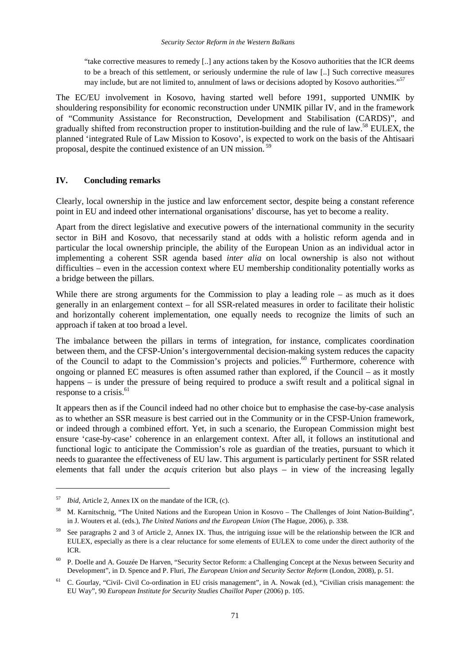"take corrective measures to remedy [..] any actions taken by the Kosovo authorities that the ICR deems to be a breach of this settlement, or seriously undermine the rule of law [..] Such corrective measures may include, but are not limited to, annulment of laws or decisions adopted by Kosovo authorities."<sup>57</sup>

The EC/EU involvement in Kosovo, having started well before 1991, supported UNMIK by shouldering responsibility for economic reconstruction under UNMIK pillar IV, and in the framework of "Community Assistance for Reconstruction, Development and Stabilisation (CARDS)", and gradually shifted from reconstruction proper to institution-building and the rule of law.<sup>58</sup> EULEX, the planned 'integrated Rule of Law Mission to Kosovo', is expected to work on the basis of the Ahtisaari proposal, despite the continued existence of an UN mission.<sup>59</sup>

### **IV. Concluding remarks**

Clearly, local ownership in the justice and law enforcement sector, despite being a constant reference point in EU and indeed other international organisations' discourse, has yet to become a reality.

Apart from the direct legislative and executive powers of the international community in the security sector in BiH and Kosovo, that necessarily stand at odds with a holistic reform agenda and in particular the local ownership principle, the ability of the European Union as an individual actor in implementing a coherent SSR agenda based *inter alia* on local ownership is also not without difficulties – even in the accession context where EU membership conditionality potentially works as a bridge between the pillars.

While there are strong arguments for the Commission to play a leading role – as much as it does generally in an enlargement context – for all SSR-related measures in order to facilitate their holistic and horizontally coherent implementation, one equally needs to recognize the limits of such an approach if taken at too broad a level.

The imbalance between the pillars in terms of integration, for instance, complicates coordination between them, and the CFSP-Union's intergovernmental decision-making system reduces the capacity of the Council to adapt to the Commission's projects and policies.<sup>60</sup> Furthermore, coherence with ongoing or planned EC measures is often assumed rather than explored, if the Council – as it mostly happens – is under the pressure of being required to produce a swift result and a political signal in response to a crisis.<sup>61</sup>

It appears then as if the Council indeed had no other choice but to emphasise the case-by-case analysis as to whether an SSR measure is best carried out in the Community or in the CFSP-Union framework, or indeed through a combined effort. Yet, in such a scenario, the European Commission might best ensure 'case-by-case' coherence in an enlargement context. After all, it follows an institutional and functional logic to anticipate the Commission's role as guardian of the treaties, pursuant to which it needs to guarantee the effectiveness of EU law. This argument is particularly pertinent for SSR related elements that fall under the *acquis* criterion but also plays – in view of the increasing legally

l

<sup>57</sup> *Ibid*, Article 2, Annex IX on the mandate of the ICR, (c).

<sup>58</sup> M. Karnitschnig, "The United Nations and the European Union in Kosovo – The Challenges of Joint Nation-Building", in J. Wouters et al. (eds.), *The United Nations and the European Union* (The Hague, 2006), p. 338.

<sup>59</sup> See paragraphs 2 and 3 of Article 2, Annex IX. Thus, the intriguing issue will be the relationship between the ICR and EULEX, especially as there is a clear reluctance for some elements of EULEX to come under the direct authority of the ICR.

<sup>&</sup>lt;sup>60</sup> P. Doelle and A. Gouzée De Harven, "Security Sector Reform: a Challenging Concept at the Nexus between Security and Development", in D. Spence and P. Fluri, *The European Union and Security Sector Reform* (London, 2008), p. 51.

<sup>61</sup> C. Gourlay, "Civil- Civil Co-ordination in EU crisis management", in A. Nowak (ed.), "Civilian crisis management: the EU Way"*,* 90 *European Institute for Security Studies Chaillot Paper* (2006) p. 105.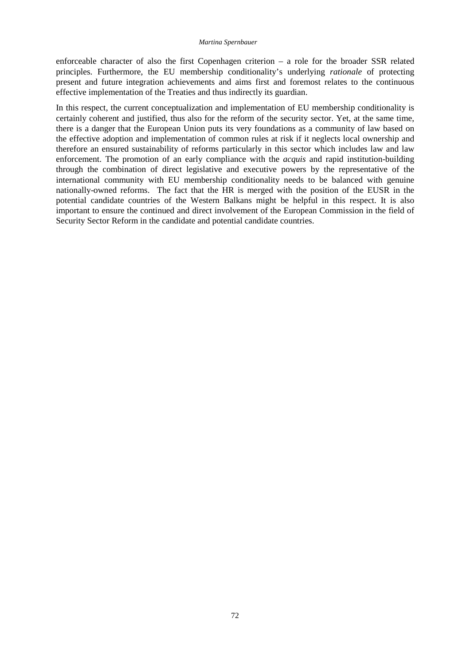enforceable character of also the first Copenhagen criterion – a role for the broader SSR related principles. Furthermore, the EU membership conditionality's underlying *rationale* of protecting present and future integration achievements and aims first and foremost relates to the continuous effective implementation of the Treaties and thus indirectly its guardian.

In this respect, the current conceptualization and implementation of EU membership conditionality is certainly coherent and justified, thus also for the reform of the security sector. Yet, at the same time, there is a danger that the European Union puts its very foundations as a community of law based on the effective adoption and implementation of common rules at risk if it neglects local ownership and therefore an ensured sustainability of reforms particularly in this sector which includes law and law enforcement. The promotion of an early compliance with the *acquis* and rapid institution-building through the combination of direct legislative and executive powers by the representative of the international community with EU membership conditionality needs to be balanced with genuine nationally-owned reforms. The fact that the HR is merged with the position of the EUSR in the potential candidate countries of the Western Balkans might be helpful in this respect. It is also important to ensure the continued and direct involvement of the European Commission in the field of Security Sector Reform in the candidate and potential candidate countries.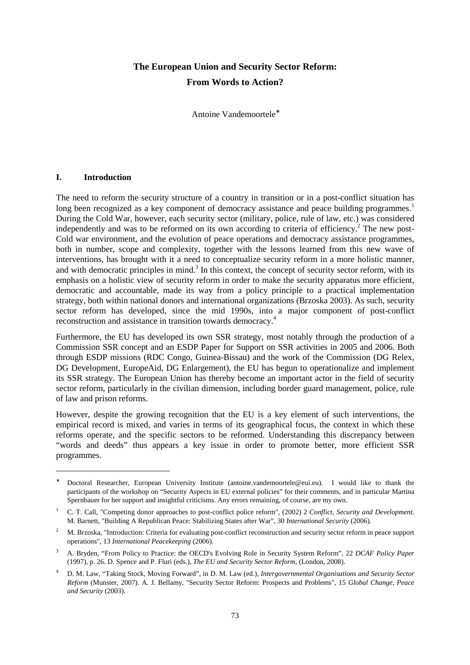# **The European Union and Security Sector Reform: From Words to Action?**

Antoine Vandemoortele<sup>∗</sup>

#### **I. Introduction**

 $\overline{a}$ 

The need to reform the security structure of a country in transition or in a post-conflict situation has long been recognized as a key component of democracy assistance and peace building programmes.<sup>1</sup> During the Cold War, however, each security sector (military, police, rule of law, etc.) was considered independently and was to be reformed on its own according to criteria of efficiency.<sup>2</sup> The new post-Cold war environment, and the evolution of peace operations and democracy assistance programmes, both in number, scope and complexity, together with the lessons learned from this new wave of interventions, has brought with it a need to conceptualize security reform in a more holistic manner, and with democratic principles in mind.<sup>3</sup> In this context, the concept of security sector reform, with its emphasis on a holistic view of security reform in order to make the security apparatus more efficient, democratic and accountable, made its way from a policy principle to a practical implementation strategy, both within national donors and international organizations (Brzoska 2003). As such, security sector reform has developed, since the mid 1990s, into a major component of post-conflict reconstruction and assistance in transition towards democracy.<sup>4</sup>

Furthermore, the EU has developed its own SSR strategy, most notably through the production of a Commission SSR concept and an ESDP Paper for Support on SSR activities in 2005 and 2006. Both through ESDP missions (RDC Congo, Guinea-Bissau) and the work of the Commission (DG Relex, DG Development, EuropeAid, DG Enlargement), the EU has begun to operationalize and implement its SSR strategy. The European Union has thereby become an important actor in the field of security sector reform, particularly in the civilian dimension, including border guard management, police, rule of law and prison reforms.

However, despite the growing recognition that the EU is a key element of such interventions, the empirical record is mixed, and varies in terms of its geographical focus, the context in which these reforms operate, and the specific sectors to be reformed. Understanding this discrepancy between "words and deeds" thus appears a key issue in order to promote better, more efficient SSR programmes.

<sup>∗</sup> Doctoral Researcher, European University Institute (antoine.vandemoortele@eui.eu). I would like to thank the participants of the workshop on "Security Aspects in EU external policies" for their comments, and in particular Martina Spernbauer for her support and insightful criticisms. Any errors remaining, of course, are my own.

<sup>1</sup> C. T. Call, "Competing donor approaches to post-conflict police reform", (2002) 2 *Conflict, Security and Development*. M. Barnett, "Building A Republican Peace: Stabilizing States after War", 30 *International Security* (2006).

 $\overline{2}$  M. Brzoska, "Introduction: Criteria for evaluating post-conflict reconstruction and security sector reform in peace support operations", 13 *International Peacekeeping* (2006).

<sup>3</sup> A. Bryden, "From Policy to Practice: the OECD's Evolving Role in Security System Reform", 22 *DCAF Policy Paper*  (1997), p. 26. D. Spence and P. Fluri (eds.), *The EU and Security Sector Reform*, (London, 2008).

<sup>4</sup> D. M. Law, "Taking Stock, Moving Forward", in D. M. Law (ed.), *Intergovernmental Organisations and Security Sector Reform* (Munster, 2007). A. J. Bellamy, "Security Sector Reform: Prospects and Problems", 15 *Global Change, Peace and Security* (2003).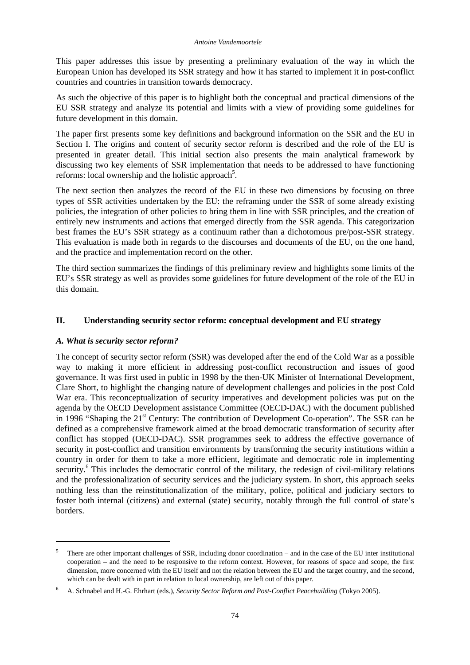This paper addresses this issue by presenting a preliminary evaluation of the way in which the European Union has developed its SSR strategy and how it has started to implement it in post-conflict countries and countries in transition towards democracy.

As such the objective of this paper is to highlight both the conceptual and practical dimensions of the EU SSR strategy and analyze its potential and limits with a view of providing some guidelines for future development in this domain.

The paper first presents some key definitions and background information on the SSR and the EU in Section I. The origins and content of security sector reform is described and the role of the EU is presented in greater detail. This initial section also presents the main analytical framework by discussing two key elements of SSR implementation that needs to be addressed to have functioning reforms: local ownership and the holistic approach<sup>5</sup>.

The next section then analyzes the record of the EU in these two dimensions by focusing on three types of SSR activities undertaken by the EU: the reframing under the SSR of some already existing policies, the integration of other policies to bring them in line with SSR principles, and the creation of entirely new instruments and actions that emerged directly from the SSR agenda. This categorization best frames the EU's SSR strategy as a continuum rather than a dichotomous pre/post-SSR strategy. This evaluation is made both in regards to the discourses and documents of the EU, on the one hand, and the practice and implementation record on the other.

The third section summarizes the findings of this preliminary review and highlights some limits of the EU's SSR strategy as well as provides some guidelines for future development of the role of the EU in this domain.

# **II. Understanding security sector reform: conceptual development and EU strategy**

# *A. What is security sector reform?*

 $\overline{a}$ 

The concept of security sector reform (SSR) was developed after the end of the Cold War as a possible way to making it more efficient in addressing post-conflict reconstruction and issues of good governance. It was first used in public in 1998 by the then-UK Minister of International Development, Clare Short, to highlight the changing nature of development challenges and policies in the post Cold War era. This reconceptualization of security imperatives and development policies was put on the agenda by the OECD Development assistance Committee (OECD-DAC) with the document published in 1996 "Shaping the 21<sup>st</sup> Century: The contribution of Development Co-operation". The SSR can be defined as a comprehensive framework aimed at the broad democratic transformation of security after conflict has stopped (OECD-DAC). SSR programmes seek to address the effective governance of security in post-conflict and transition environments by transforming the security institutions within a country in order for them to take a more efficient, legitimate and democratic role in implementing security.<sup>6</sup> This includes the democratic control of the military, the redesign of civil-military relations and the professionalization of security services and the judiciary system. In short, this approach seeks nothing less than the reinstitutionalization of the military, police, political and judiciary sectors to foster both internal (citizens) and external (state) security, notably through the full control of state's borders.

<sup>5</sup> There are other important challenges of SSR, including donor coordination – and in the case of the EU inter institutional cooperation – and the need to be responsive to the reform context. However, for reasons of space and scope, the first dimension, more concerned with the EU itself and not the relation between the EU and the target country, and the second, which can be dealt with in part in relation to local ownership, are left out of this paper.

<sup>6</sup> A. Schnabel and H.-G. Ehrhart (eds.), *Security Sector Reform and Post-Conflict Peacebuilding* (Tokyo 2005).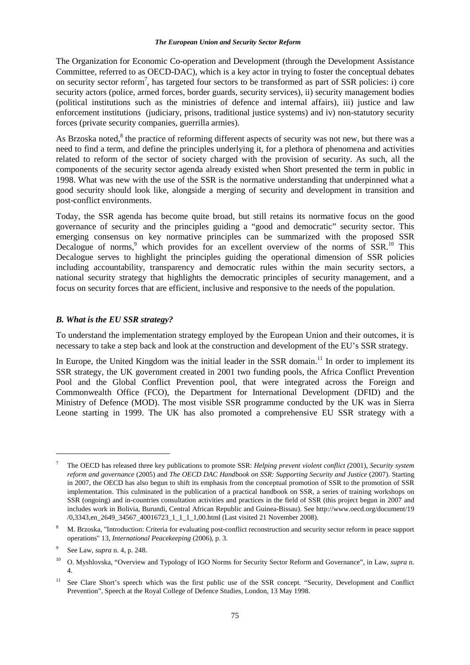#### *The European Union and Security Sector Reform*

The Organization for Economic Co-operation and Development (through the Development Assistance Committee, referred to as OECD-DAC), which is a key actor in trying to foster the conceptual debates on security sector reform<sup>7</sup>, has targeted four sectors to be transformed as part of SSR policies: i) core security actors (police, armed forces, border guards, security services), ii) security management bodies (political institutions such as the ministries of defence and internal affairs), iii) justice and law enforcement institutions (judiciary, prisons, traditional justice systems) and iv) non-statutory security forces (private security companies, guerrilla armies).

As Brzoska noted,<sup>8</sup> the practice of reforming different aspects of security was not new, but there was a need to find a term, and define the principles underlying it, for a plethora of phenomena and activities related to reform of the sector of society charged with the provision of security. As such, all the components of the security sector agenda already existed when Short presented the term in public in 1998. What was new with the use of the SSR is the normative understanding that underpinned what a good security should look like, alongside a merging of security and development in transition and post-conflict environments.

Today, the SSR agenda has become quite broad, but still retains its normative focus on the good governance of security and the principles guiding a "good and democratic" security sector. This emerging consensus on key normative principles can be summarized with the proposed SSR Decalogue of norms,<sup>9</sup> which provides for an excellent overview of the norms of  $SSR$ .<sup>10</sup> This Decalogue serves to highlight the principles guiding the operational dimension of SSR policies including accountability, transparency and democratic rules within the main security sectors, a national security strategy that highlights the democratic principles of security management, and a focus on security forces that are efficient, inclusive and responsive to the needs of the population.

### *B. What is the EU SSR strategy?*

To understand the implementation strategy employed by the European Union and their outcomes, it is necessary to take a step back and look at the construction and development of the EU's SSR strategy.

In Europe, the United Kingdom was the initial leader in the SSR domain.<sup>11</sup> In order to implement its SSR strategy, the UK government created in 2001 two funding pools, the Africa Conflict Prevention Pool and the Global Conflict Prevention pool, that were integrated across the Foreign and Commonwealth Office (FCO), the Department for International Development (DFID) and the Ministry of Defence (MOD). The most visible SSR programme conducted by the UK was in Sierra Leone starting in 1999. The UK has also promoted a comprehensive EU SSR strategy with a

<sup>7</sup> The OECD has released three key publications to promote SSR: *Helping prevent violent conflict (*2001), *Security system reform and governance* (2005) and *The OECD DAC Handbook on SSR: Supporting Security and Justice* (2007). Starting in 2007, the OECD has also begun to shift its emphasis from the conceptual promotion of SSR to the promotion of SSR implementation. This culminated in the publication of a practical handbook on SSR, a series of training workshops on SSR (ongoing) and in-countries consultation activities and practices in the field of SSR (this project begun in 2007 and includes work in Bolivia, Burundi, Central African Republic and Guinea-Bissau). See http://www.oecd.org/document/19 /0,3343,en\_2649\_34567\_40016723\_1\_1\_1\_1,00.html (Last visited 21 November 2008).

<sup>8</sup> M. Brzoska, "Introduction: Criteria for evaluating post-conflict reconstruction and security sector reform in peace support operations" 13, *International Peacekeeping* (2006), p. 3.

<sup>9</sup> See Law, *supra* n. 4, p. 248.

<sup>10</sup> O. Myshlovska, "Overview and Typology of IGO Norms for Security Sector Reform and Governance", in Law, *supra* n. 4.

<sup>&</sup>lt;sup>11</sup> See Clare Short's speech which was the first public use of the SSR concept. "Security, Development and Conflict Prevention", Speech at the Royal College of Defence Studies, London, 13 May 1998.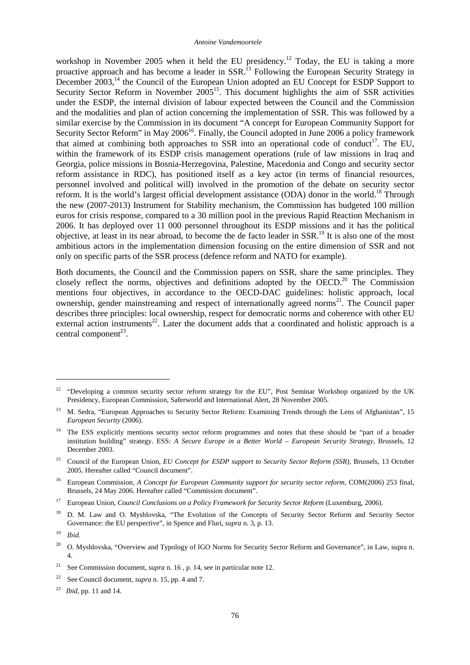workshop in November 2005 when it held the EU presidency.<sup>12</sup> Today, the EU is taking a more proactive approach and has become a leader in SSR.<sup>13</sup> Following the European Security Strategy in December 2003,<sup>14</sup> the Council of the European Union adopted an EU Concept for ESDP Support to Security Sector Reform in November  $2005^{15}$ . This document highlights the aim of SSR activities under the ESDP, the internal division of labour expected between the Council and the Commission and the modalities and plan of action concerning the implementation of SSR. This was followed by a similar exercise by the Commission in its document "A concept for European Community Support for Security Sector Reform" in May 2006<sup>16</sup>. Finally, the Council adopted in June 2006 a policy framework that aimed at combining both approaches to  $SSR$  into an operational code of conduct<sup>17</sup>. The EU, within the framework of its ESDP crisis management operations (rule of law missions in Iraq and Georgia, police missions in Bosnia-Herzegovina, Palestine, Macedonia and Congo and security sector reform assistance in RDC), has positioned itself as a key actor (in terms of financial resources, personnel involved and political will) involved in the promotion of the debate on security sector reform. It is the world's largest official development assistance (ODA) donor in the world.<sup>18</sup> Through the new (2007-2013) Instrument for Stability mechanism, the Commission has budgeted 100 million euros for crisis response, compared to a 30 million pool in the previous Rapid Reaction Mechanism in 2006. It has deployed over 11 000 personnel throughout its ESDP missions and it has the political objective, at least in its near abroad, to become the de facto leader in SSR.<sup>19</sup> It is also one of the most ambitious actors in the implementation dimension focusing on the entire dimension of SSR and not only on specific parts of the SSR process (defence reform and NATO for example).

Both documents, the Council and the Commission papers on SSR, share the same principles. They closely reflect the norms, objectives and definitions adopted by the OECD.<sup>20</sup> The Commission mentions four objectives, in accordance to the OECD-DAC guidelines: holistic approach, local ownership, gender mainstreaming and respect of internationally agreed norms<sup>21</sup>. The Council paper describes three principles: local ownership, respect for democratic norms and coherence with other EU external action instruments<sup>22</sup>. Later the document adds that a coordinated and holistic approach is a central component<sup>23</sup>.

<sup>&</sup>lt;sup>12</sup> "Developing a common security sector reform strategy for the EU", Post Seminar Workshop organized by the UK Presidency, European Commission, Saferworld and International Alert, 28 November 2005.

<sup>&</sup>lt;sup>13</sup> M. Sedra, "European Approaches to Security Sector Reform: Examining Trends through the Lens of Afghanistan", 15 *European Security* (2006).

<sup>&</sup>lt;sup>14</sup> The ESS explicitly mentions security sector reform programmes and notes that these should be "part of a broader" institution building" strategy. ESS: *A Secure Europe in a Better World – European Security Strategy*, Brussels, 12 December 2003.

<sup>&</sup>lt;sup>15</sup> Council of the European Union, *EU Concept for ESDP support to Security Sector Reform (SSR)*, Brussels, 13 October 2005. Hereafter called "Council document".

<sup>&</sup>lt;sup>16</sup> European Commission, *A Concept for European Community support for security sector reform, COM(2006) 253 final,* Brussels, 24 May 2006. Hereafter called "Commission document".

<sup>17</sup> European Union, *Council Conclusions on a Policy Framework for Security Sector Reform* (Luxemburg, 2006).

<sup>&</sup>lt;sup>18</sup> D. M. Law and O. Myshlovska, "The Evolution of the Concepts of Security Sector Reform and Security Sector Governance: the EU perspective", in Spence and Fluri, *supra* n. 3, p. 13.

<sup>19</sup> *Ibid*.

<sup>&</sup>lt;sup>20</sup> O. Myshlovska, "Overview and Typology of IGO Norms for Security Sector Reform and Governance", in Law, supra n. 4.

<sup>21</sup> See Commission document, *supra* n. 16 , p. 14, see in particular note 12.

<sup>22</sup> See Council document, *supra* n. 15, pp. 4 and 7.

<sup>23</sup> *Ibid*, pp. 11 and 14.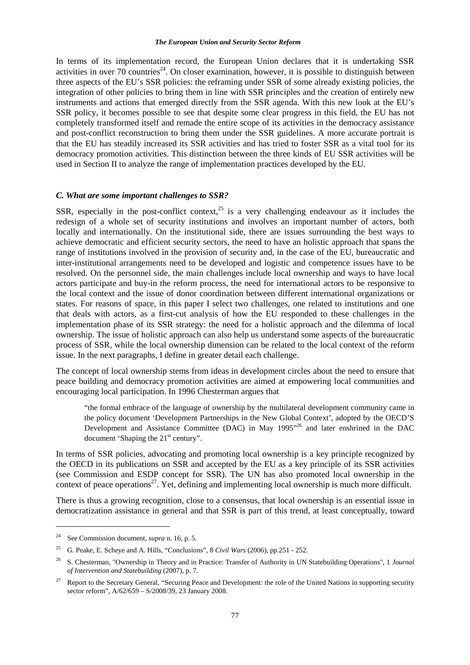#### *The European Union and Security Sector Reform*

In terms of its implementation record, the European Union declares that it is undertaking SSR activities in over 70 countries<sup>24</sup>. On closer examination, however, it is possible to distinguish between three aspects of the EU's SSR policies: the reframing under SSR of some already existing policies, the integration of other policies to bring them in line with SSR principles and the creation of entirely new instruments and actions that emerged directly from the SSR agenda. With this new look at the EU's SSR policy, it becomes possible to see that despite some clear progress in this field, the EU has not completely transformed itself and remade the entire scope of its activities in the democracy assistance and post-conflict reconstruction to bring them under the SSR guidelines. A more accurate portrait is that the EU has steadily increased its SSR activities and has tried to foster SSR as a vital tool for its democracy promotion activities. This distinction between the three kinds of EU SSR activities will be used in Section II to analyze the range of implementation practices developed by the EU.

### *C. What are some important challenges to SSR?*

SSR, especially in the post-conflict context,  $25$  is a very challenging endeavour as it includes the redesign of a whole set of security institutions and involves an important number of actors, both locally and internationally. On the institutional side, there are issues surrounding the best ways to achieve democratic and efficient security sectors, the need to have an holistic approach that spans the range of institutions involved in the provision of security and, in the case of the EU, bureaucratic and inter-institutional arrangements need to be developed and logistic and competence issues have to be resolved. On the personnel side, the main challenges include local ownership and ways to have local actors participate and buy-in the reform process, the need for international actors to be responsive to the local context and the issue of donor coordination between different international organizations or states. For reasons of space, in this paper I select two challenges, one related to institutions and one that deals with actors, as a first-cut analysis of how the EU responded to these challenges in the implementation phase of its SSR strategy: the need for a holistic approach and the dilemma of local ownership. The issue of holistic approach can also help us understand some aspects of the bureaucratic process of SSR, while the local ownership dimension can be related to the local context of the reform issue. In the next paragraphs, I define in greater detail each challenge.

The concept of local ownership stems from ideas in development circles about the need to ensure that peace building and democracy promotion activities are aimed at empowering local communities and encouraging local participation. In 1996 Chesterman argues that

"the formal embrace of the language of ownership by the multilateral development community came in the policy document 'Development Partnerships in the New Global Context', adopted by the OECD'S Development and Assistance Committee (DAC) in May  $1995^{26}$  and later enshrined in the DAC document 'Shaping the  $21<sup>st</sup>$  century".

In terms of SSR policies, advocating and promoting local ownership is a key principle recognized by the OECD in its publications on SSR and accepted by the EU as a key principle of its SSR activities (see Commission and ESDP concept for SSR). The UN has also promoted local ownership in the context of peace operations<sup>27</sup>. Yet, defining and implementing local ownership is much more difficult.

There is thus a growing recognition, close to a consensus, that local ownership is an essential issue in democratization assistance in general and that SSR is part of this trend, at least conceptually, toward

<sup>24</sup> See Commission document, *supra* n. 16, p. 5.

<sup>25</sup> G. Peake, E. Scheye and A. Hills, "Conclusions", 8 *Civil Wars* (2006), pp.251 - 252.

<sup>26</sup> S. Chesterman, "Ownership in Theory and in Practice: Transfer of Authority in UN Statebuilding Operations", 1 *Journal of Intervention and Statebuilding* (2007), p. 7.

<sup>27</sup> Report to the Secretary General, "Securing Peace and Development: the role of the United Nations in supporting security sector reform", A/62/659 – S/2008/39, 23 January 2008.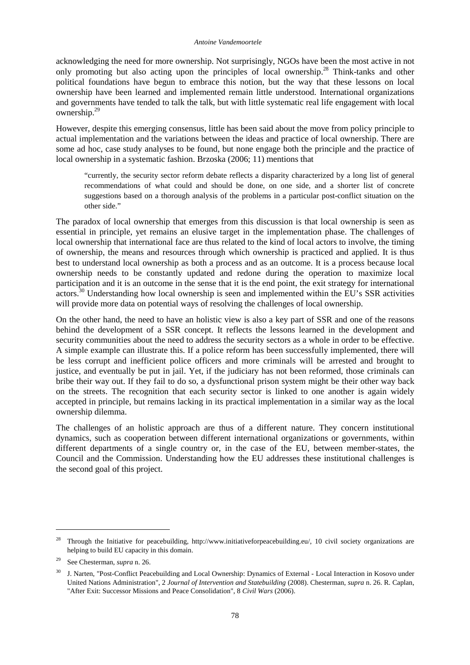acknowledging the need for more ownership. Not surprisingly, NGOs have been the most active in not only promoting but also acting upon the principles of local ownership.<sup>28</sup> Think-tanks and other political foundations have begun to embrace this notion, but the way that these lessons on local ownership have been learned and implemented remain little understood. International organizations and governments have tended to talk the talk, but with little systematic real life engagement with local ownership.<sup>29</sup>

However, despite this emerging consensus, little has been said about the move from policy principle to actual implementation and the variations between the ideas and practice of local ownership. There are some ad hoc, case study analyses to be found, but none engage both the principle and the practice of local ownership in a systematic fashion. Brzoska (2006; 11) mentions that

"currently, the security sector reform debate reflects a disparity characterized by a long list of general recommendations of what could and should be done, on one side, and a shorter list of concrete suggestions based on a thorough analysis of the problems in a particular post-conflict situation on the other side."

The paradox of local ownership that emerges from this discussion is that local ownership is seen as essential in principle, yet remains an elusive target in the implementation phase. The challenges of local ownership that international face are thus related to the kind of local actors to involve, the timing of ownership, the means and resources through which ownership is practiced and applied. It is thus best to understand local ownership as both a process and as an outcome. It is a process because local ownership needs to be constantly updated and redone during the operation to maximize local participation and it is an outcome in the sense that it is the end point, the exit strategy for international actors.<sup>30</sup> Understanding how local ownership is seen and implemented within the EU's SSR activities will provide more data on potential ways of resolving the challenges of local ownership.

On the other hand, the need to have an holistic view is also a key part of SSR and one of the reasons behind the development of a SSR concept. It reflects the lessons learned in the development and security communities about the need to address the security sectors as a whole in order to be effective. A simple example can illustrate this. If a police reform has been successfully implemented, there will be less corrupt and inefficient police officers and more criminals will be arrested and brought to justice, and eventually be put in jail. Yet, if the judiciary has not been reformed, those criminals can bribe their way out. If they fail to do so, a dysfunctional prison system might be their other way back on the streets. The recognition that each security sector is linked to one another is again widely accepted in principle, but remains lacking in its practical implementation in a similar way as the local ownership dilemma.

The challenges of an holistic approach are thus of a different nature. They concern institutional dynamics, such as cooperation between different international organizations or governments, within different departments of a single country or, in the case of the EU, between member-states, the Council and the Commission. Understanding how the EU addresses these institutional challenges is the second goal of this project.

<sup>&</sup>lt;sup>28</sup> Through the Initiative for peacebuilding, http://www.initiativeforpeacebuilding.eu/, 10 civil society organizations are helping to build EU capacity in this domain.

<sup>29</sup> See Chesterman, *supra* n. 26.

<sup>&</sup>lt;sup>30</sup> J. Narten, "Post-Conflict Peacebuilding and Local Ownership: Dynamics of External - Local Interaction in Kosovo under United Nations Administration", 2 *Journal of Intervention and Statebuilding* (2008). Chesterman, *supra* n. 26. R. Caplan, "After Exit: Successor Missions and Peace Consolidation", 8 *Civil Wars* (2006).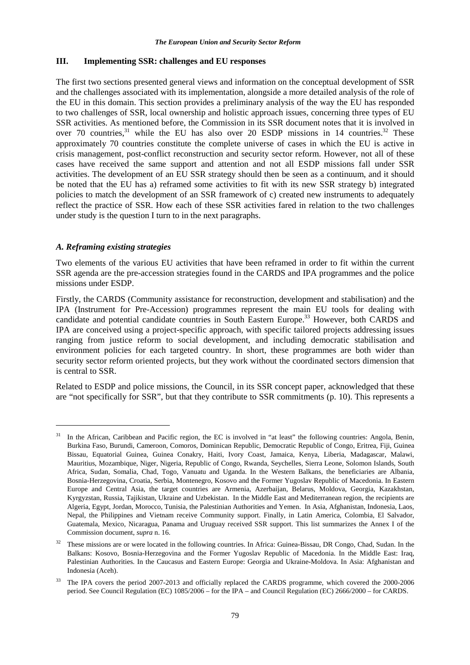#### **III. Implementing SSR: challenges and EU responses**

The first two sections presented general views and information on the conceptual development of SSR and the challenges associated with its implementation, alongside a more detailed analysis of the role of the EU in this domain. This section provides a preliminary analysis of the way the EU has responded to two challenges of SSR, local ownership and holistic approach issues, concerning three types of EU SSR activities. As mentioned before, the Commission in its SSR document notes that it is involved in over 70 countries,<sup>31</sup> while the EU has also over 20 ESDP missions in 14 countries.<sup>32</sup> These approximately 70 countries constitute the complete universe of cases in which the EU is active in crisis management, post-conflict reconstruction and security sector reform. However, not all of these cases have received the same support and attention and not all ESDP missions fall under SSR activities. The development of an EU SSR strategy should then be seen as a continuum, and it should be noted that the EU has a) reframed some activities to fit with its new SSR strategy b) integrated policies to match the development of an SSR framework of c) created new instruments to adequately reflect the practice of SSR. How each of these SSR activities fared in relation to the two challenges under study is the question I turn to in the next paragraphs.

#### *A. Reframing existing strategies*

 $\overline{a}$ 

Two elements of the various EU activities that have been reframed in order to fit within the current SSR agenda are the pre-accession strategies found in the CARDS and IPA programmes and the police missions under ESDP.

Firstly, the CARDS (Community assistance for reconstruction, development and stabilisation) and the IPA (Instrument for Pre-Accession) programmes represent the main EU tools for dealing with candidate and potential candidate countries in South Eastern Europe.<sup>33</sup> However, both CARDS and IPA are conceived using a project-specific approach, with specific tailored projects addressing issues ranging from justice reform to social development, and including democratic stabilisation and environment policies for each targeted country. In short, these programmes are both wider than security sector reform oriented projects, but they work without the coordinated sectors dimension that is central to SSR.

Related to ESDP and police missions, the Council, in its SSR concept paper, acknowledged that these are "not specifically for SSR", but that they contribute to SSR commitments (p. 10). This represents a

<sup>&</sup>lt;sup>31</sup> In the African, Caribbean and Pacific region, the EC is involved in "at least" the following countries: Angola, Benin, Burkina Faso, Burundi, Cameroon, Comoros, Dominican Republic, Democratic Republic of Congo, Eritrea, Fiji, Guinea Bissau, Equatorial Guinea, Guinea Conakry, Haiti, Ivory Coast, Jamaica, Kenya, Liberia, Madagascar, Malawi, Mauritius, Mozambique, Niger, Nigeria, Republic of Congo, Rwanda, Seychelles, Sierra Leone, Solomon Islands, South Africa, Sudan, Somalia, Chad, Togo, Vanuatu and Uganda. In the Western Balkans, the beneficiaries are Albania, Bosnia-Herzegovina, Croatia, Serbia, Montenegro, Kosovo and the Former Yugoslav Republic of Macedonia. In Eastern Europe and Central Asia, the target countries are Armenia, Azerbaijan, Belarus, Moldova, Georgia, Kazakhstan, Kyrgyzstan, Russia, Tajikistan, Ukraine and Uzbekistan. In the Middle East and Mediterranean region, the recipients are Algeria, Egypt, Jordan, Morocco, Tunisia, the Palestinian Authorities and Yemen. In Asia, Afghanistan, Indonesia, Laos, Nepal, the Philippines and Vietnam receive Community support. Finally, in Latin America, Colombia, El Salvador, Guatemala, Mexico, Nicaragua, Panama and Uruguay received SSR support. This list summarizes the Annex I of the Commission document, *supra* n. 16.

<sup>&</sup>lt;sup>32</sup> These missions are or were located in the following countries. In Africa: Guinea-Bissau, DR Congo, Chad, Sudan. In the Balkans: Kosovo, Bosnia-Herzegovina and the Former Yugoslav Republic of Macedonia. In the Middle East: Iraq, Palestinian Authorities. In the Caucasus and Eastern Europe: Georgia and Ukraine-Moldova. In Asia: Afghanistan and Indonesia (Aceh).

<sup>33</sup> The IPA covers the period 2007-2013 and officially replaced the CARDS programme, which covered the 2000-2006 period. See Council Regulation (EC) 1085/2006 – for the IPA – and Council Regulation (EC) 2666/2000 – for CARDS.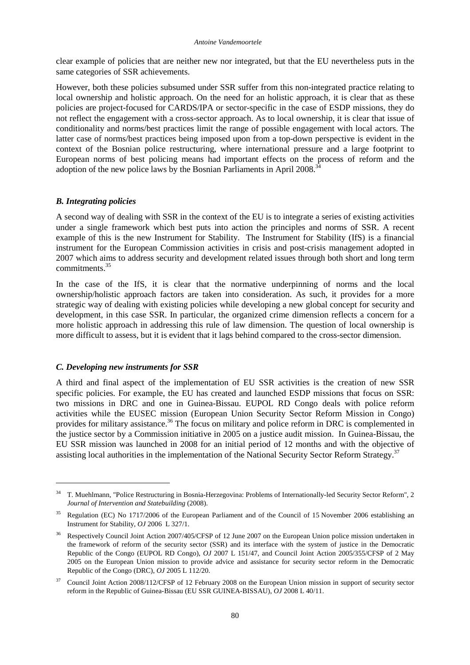clear example of policies that are neither new nor integrated, but that the EU nevertheless puts in the same categories of SSR achievements.

However, both these policies subsumed under SSR suffer from this non-integrated practice relating to local ownership and holistic approach. On the need for an holistic approach, it is clear that as these policies are project-focused for CARDS/IPA or sector-specific in the case of ESDP missions, they do not reflect the engagement with a cross-sector approach. As to local ownership, it is clear that issue of conditionality and norms/best practices limit the range of possible engagement with local actors. The latter case of norms/best practices being imposed upon from a top-down perspective is evident in the context of the Bosnian police restructuring, where international pressure and a large footprint to European norms of best policing means had important effects on the process of reform and the adoption of the new police laws by the Bosnian Parliaments in April 2008.<sup>3</sup>

#### *B. Integrating policies*

A second way of dealing with SSR in the context of the EU is to integrate a series of existing activities under a single framework which best puts into action the principles and norms of SSR. A recent example of this is the new Instrument for Stability. The Instrument for Stability (IfS) is a financial instrument for the European Commission activities in crisis and post-crisis management adopted in 2007 which aims to address security and development related issues through both short and long term commitments.<sup>35</sup>

In the case of the IfS, it is clear that the normative underpinning of norms and the local ownership/holistic approach factors are taken into consideration. As such, it provides for a more strategic way of dealing with existing policies while developing a new global concept for security and development, in this case SSR. In particular, the organized crime dimension reflects a concern for a more holistic approach in addressing this rule of law dimension. The question of local ownership is more difficult to assess, but it is evident that it lags behind compared to the cross-sector dimension.

#### *C. Developing new instruments for SSR*

 $\overline{a}$ 

A third and final aspect of the implementation of EU SSR activities is the creation of new SSR specific policies. For example, the EU has created and launched ESDP missions that focus on SSR: two missions in DRC and one in Guinea-Bissau. EUPOL RD Congo deals with police reform activities while the EUSEC mission (European Union Security Sector Reform Mission in Congo) provides for military assistance.<sup>36</sup> The focus on military and police reform in DRC is complemented in the justice sector by a Commission initiative in 2005 on a justice audit mission. In Guinea-Bissau, the EU SSR mission was launched in 2008 for an initial period of 12 months and with the objective of assisting local authorities in the implementation of the National Security Sector Reform Strategy.<sup>37</sup>

<sup>&</sup>lt;sup>34</sup> T. Muehlmann, "Police Restructuring in Bosnia-Herzegovina: Problems of Internationally-led Security Sector Reform", 2 *Journal of Intervention and Statebuilding* (2008).

<sup>&</sup>lt;sup>35</sup> Regulation (EC) No 1717/2006 of the European Parliament and of the Council of 15 November 2006 establishing an Instrument for Stability, *OJ* 2006 L 327/1.

<sup>&</sup>lt;sup>36</sup> Respectively Council Joint Action 2007/405/CFSP of 12 June 2007 on the European Union police mission undertaken in the framework of reform of the security sector (SSR) and its interface with the system of justice in the Democratic Republic of the Congo (EUPOL RD Congo), *OJ* 2007 L 151/47, and Council Joint Action 2005/355/CFSP of 2 May 2005 on the European Union mission to provide advice and assistance for security sector reform in the Democratic Republic of the Congo (DRC), *OJ* 2005 L 112/20.

<sup>37</sup> Council Joint Action 2008/112/CFSP of 12 February 2008 on the European Union mission in support of security sector reform in the Republic of Guinea-Bissau (EU SSR GUINEA-BISSAU), *OJ* 2008 L 40/11.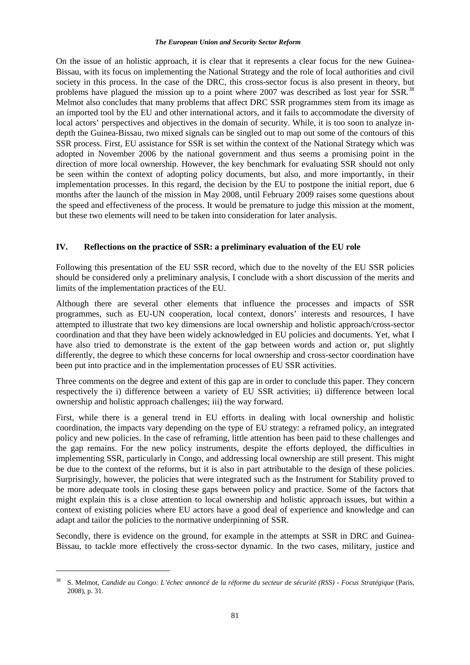#### *The European Union and Security Sector Reform*

On the issue of an holistic approach, it is clear that it represents a clear focus for the new Guinea-Bissau, with its focus on implementing the National Strategy and the role of local authorities and civil society in this process. In the case of the DRC, this cross-sector focus is also present in theory, but problems have plagued the mission up to a point where 2007 was described as lost year for SSR.<sup>38</sup> Melmot also concludes that many problems that affect DRC SSR programmes stem from its image as an imported tool by the EU and other international actors, and it fails to accommodate the diversity of local actors' perspectives and objectives in the domain of security. While, it is too soon to analyze indepth the Guinea-Bissau, two mixed signals can be singled out to map out some of the contours of this SSR process. First, EU assistance for SSR is set within the context of the National Strategy which was adopted in November 2006 by the national government and thus seems a promising point in the direction of more local ownership. However, the key benchmark for evaluating SSR should not only be seen within the context of adopting policy documents, but also, and more importantly, in their implementation processes. In this regard, the decision by the EU to postpone the initial report, due 6 months after the launch of the mission in May 2008, until February 2009 raises some questions about the speed and effectiveness of the process. It would be premature to judge this mission at the moment, but these two elements will need to be taken into consideration for later analysis.

### **IV. Reflections on the practice of SSR: a preliminary evaluation of the EU role**

Following this presentation of the EU SSR record, which due to the novelty of the EU SSR policies should be considered only a preliminary analysis, I conclude with a short discussion of the merits and limits of the implementation practices of the EU.

Although there are several other elements that influence the processes and impacts of SSR programmes, such as EU-UN cooperation, local context, donors' interests and resources, I have attempted to illustrate that two key dimensions are local ownership and holistic approach/cross-sector coordination and that they have been widely acknowledged in EU policies and documents. Yet, what I have also tried to demonstrate is the extent of the gap between words and action or, put slightly differently, the degree to which these concerns for local ownership and cross-sector coordination have been put into practice and in the implementation processes of EU SSR activities.

Three comments on the degree and extent of this gap are in order to conclude this paper. They concern respectively the i) difference between a variety of EU SSR activities; ii) difference between local ownership and holistic approach challenges; iii) the way forward.

First, while there is a general trend in EU efforts in dealing with local ownership and holistic coordination, the impacts vary depending on the type of EU strategy: a reframed policy, an integrated policy and new policies. In the case of reframing, little attention has been paid to these challenges and the gap remains. For the new policy instruments, despite the efforts deployed, the difficulties in implementing SSR, particularly in Congo, and addressing local ownership are still present. This might be due to the context of the reforms, but it is also in part attributable to the design of these policies. Surprisingly, however, the policies that were integrated such as the Instrument for Stability proved to be more adequate tools in closing these gaps between policy and practice. Some of the factors that might explain this is a close attention to local ownership and holistic approach issues, but within a context of existing policies where EU actors have a good deal of experience and knowledge and can adapt and tailor the policies to the normative underpinning of SSR.

Secondly, there is evidence on the ground, for example in the attempts at SSR in DRC and Guinea-Bissau, to tackle more effectively the cross-sector dynamic. In the two cases, military, justice and

<sup>38</sup> S. Melmot, *Candide au Congo: L'échec annoncé de la réforme du secteur de sécurité (RSS)* - *Focus Stratégique* (Paris, 2008), p. 31.